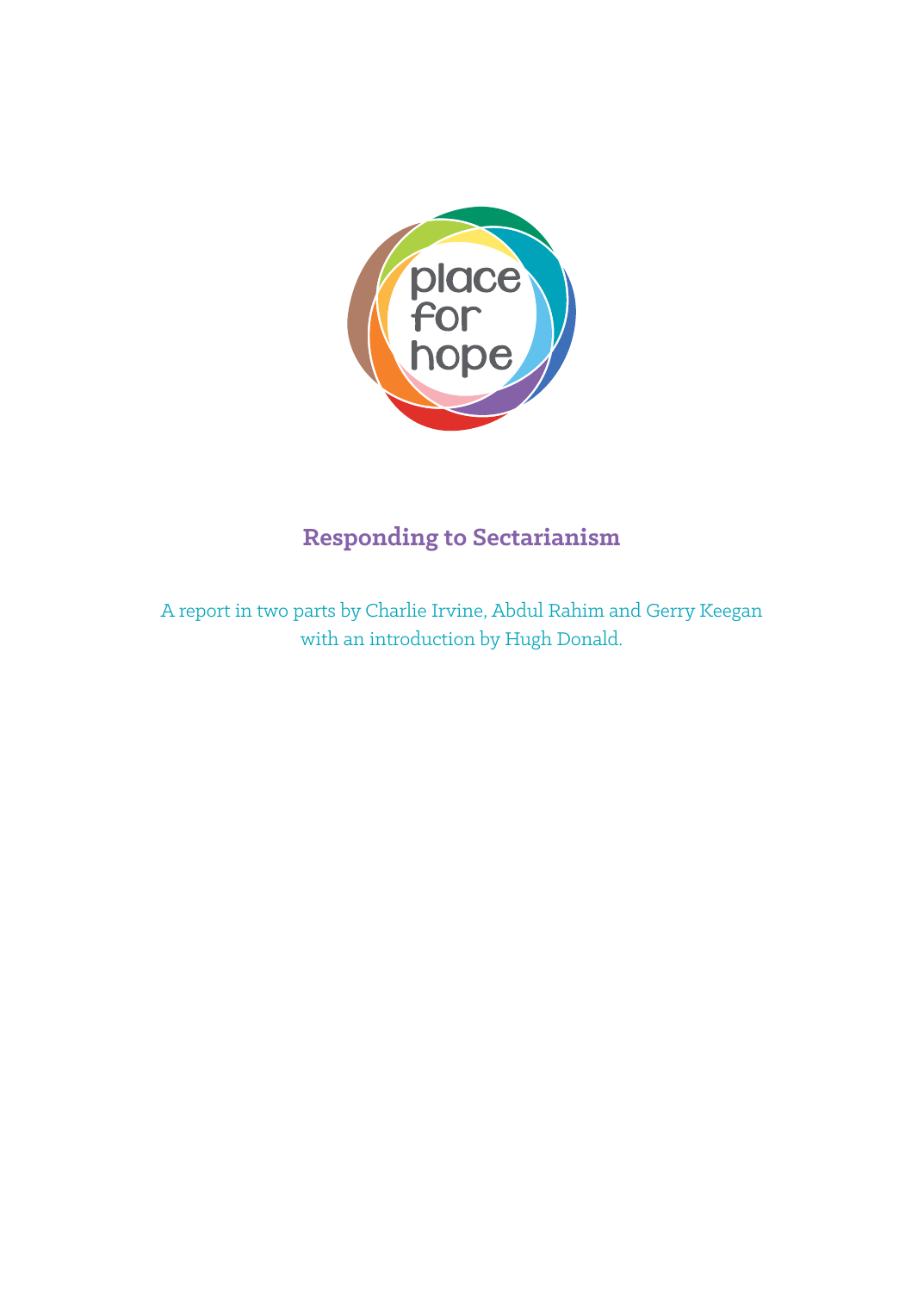

# **Responding to Sectarianism**

A report in two parts by Charlie Irvine, Abdul Rahim and Gerry Keegan with an introduction by Hugh Donald.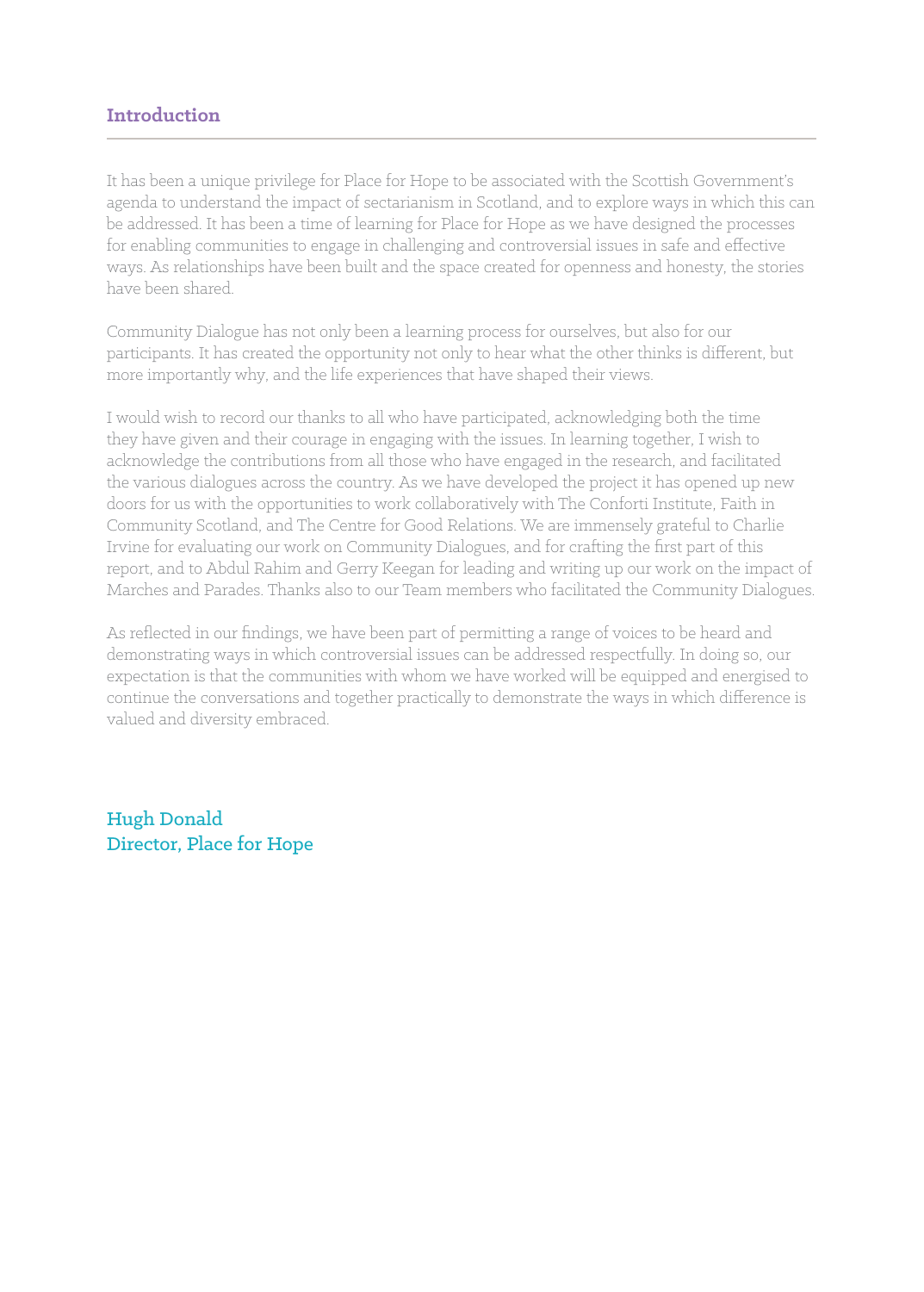## **Introduction**

It has been a unique privilege for Place for Hope to be associated with the Scottish Government's agenda to understand the impact of sectarianism in Scotland, and to explore ways in which this can be addressed. It has been a time of learning for Place for Hope as we have designed the processes for enabling communities to engage in challenging and controversial issues in safe and effective ways. As relationships have been built and the space created for openness and honesty, the stories have been shared.

Community Dialogue has not only been a learning process for ourselves, but also for our participants. It has created the opportunity not only to hear what the other thinks is different, but more importantly why, and the life experiences that have shaped their views.

I would wish to record our thanks to all who have participated, acknowledging both the time they have given and their courage in engaging with the issues. In learning together, I wish to acknowledge the contributions from all those who have engaged in the research, and facilitated the various dialogues across the country. As we have developed the project it has opened up new doors for us with the opportunities to work collaboratively with The Conforti Institute, Faith in Community Scotland, and The Centre for Good Relations. We are immensely grateful to Charlie Irvine for evaluating our work on Community Dialogues, and for crafting the first part of this report, and to Abdul Rahim and Gerry Keegan for leading and writing up our work on the impact of Marches and Parades. Thanks also to our Team members who facilitated the Community Dialogues.

As reflected in our findings, we have been part of permitting a range of voices to be heard and demonstrating ways in which controversial issues can be addressed respectfully. In doing so, our expectation is that the communities with whom we have worked will be equipped and energised to continue the conversations and together practically to demonstrate the ways in which difference is valued and diversity embraced.

Hugh Donald Director, Place for Hope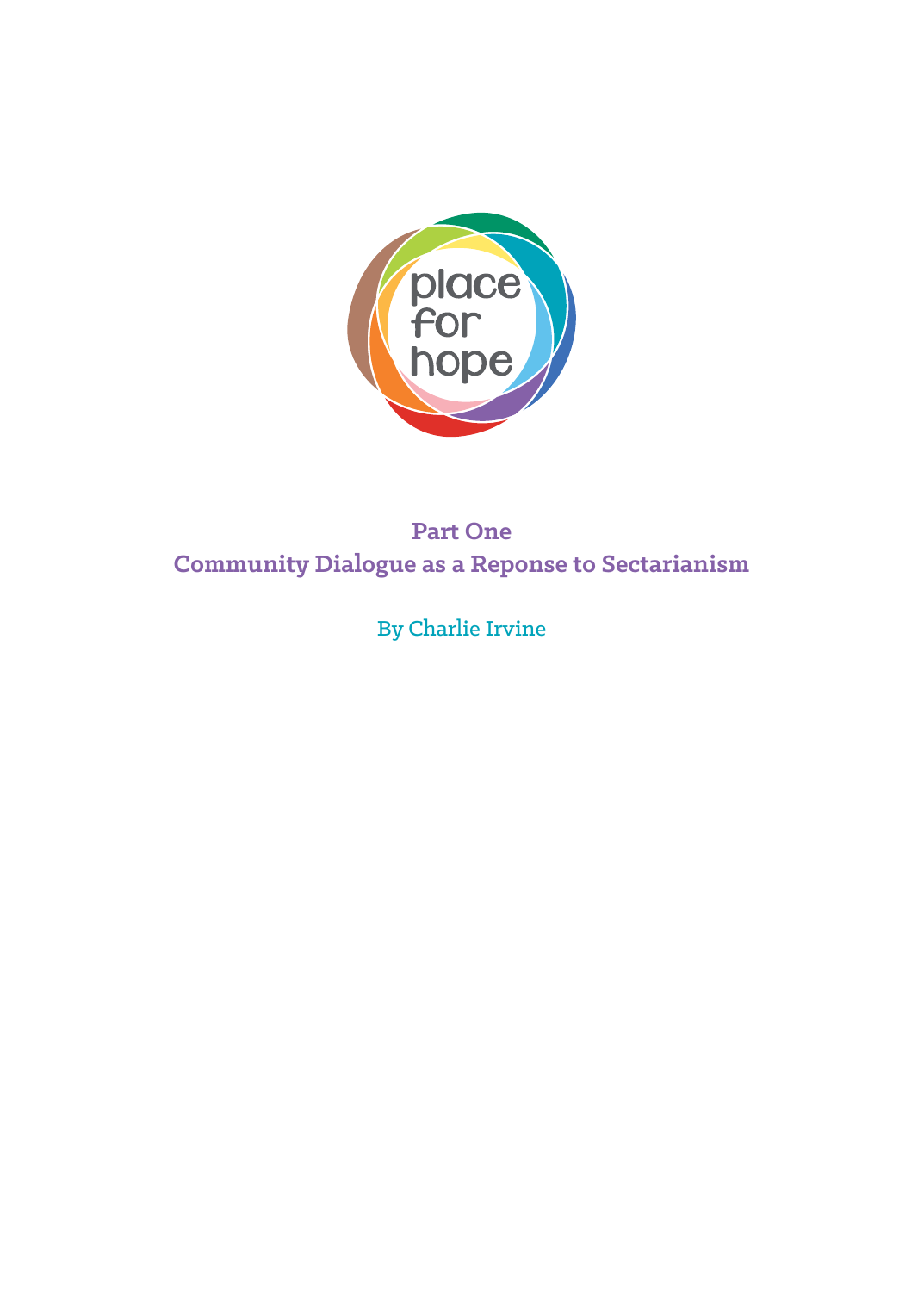

# **Part One Community Dialogue as a Reponse to Sectarianism**

By Charlie Irvine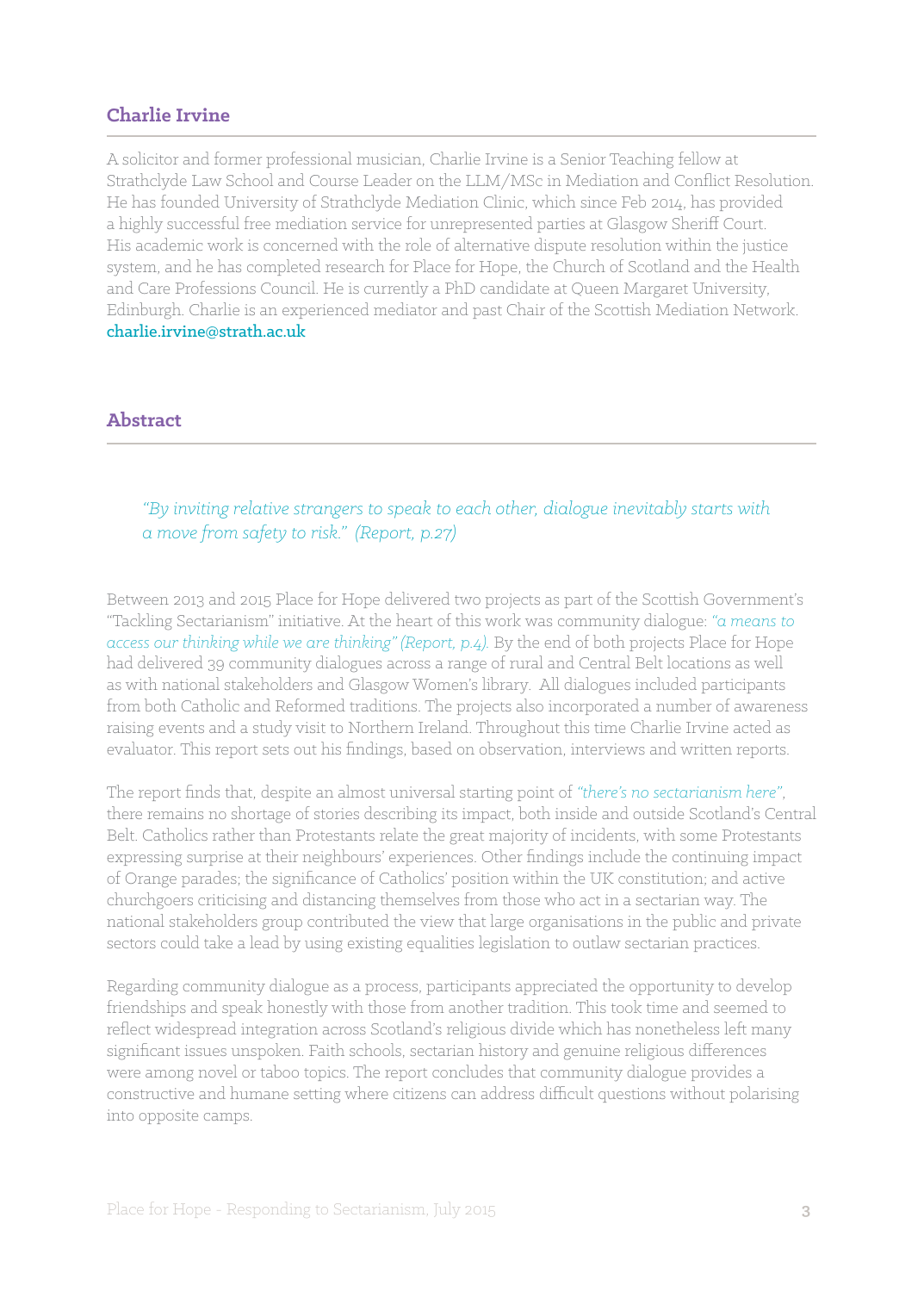## **Charlie Irvine**

A solicitor and former professional musician, Charlie Irvine is a Senior Teaching fellow at Strathclyde Law School and Course Leader on the LLM/MSc in Mediation and Conflict Resolution. He has founded University of Strathclyde Mediation Clinic, which since Feb 2014, has provided a highly successful free mediation service for unrepresented parties at Glasgow Sheriff Court. His academic work is concerned with the role of alternative dispute resolution within the justice system, and he has completed research for Place for Hope, the Church of Scotland and the Health and Care Professions Council. He is currently a PhD candidate at Queen Margaret University, Edinburgh. Charlie is an experienced mediator and past Chair of the Scottish Mediation Network. charlie.irvine@strath.ac.uk

## **Abstract**

## *"By inviting relative strangers to speak to each other, dialogue inevitably starts with a move from safety to risk." (Report, p.27)*

Between 2013 and 2015 Place for Hope delivered two projects as part of the Scottish Government's "Tackling Sectarianism" initiative. At the heart of this work was community dialogue: *"a means to access our thinking while we are thinking" (Report, p.4).* By the end of both projects Place for Hope had delivered 39 community dialogues across a range of rural and Central Belt locations as well as with national stakeholders and Glasgow Women's library. All dialogues included participants from both Catholic and Reformed traditions. The projects also incorporated a number of awareness raising events and a study visit to Northern Ireland. Throughout this time Charlie Irvine acted as evaluator. This report sets out his findings, based on observation, interviews and written reports.

The report finds that, despite an almost universal starting point of *"there's no sectarianism here"*, there remains no shortage of stories describing its impact, both inside and outside Scotland's Central Belt. Catholics rather than Protestants relate the great majority of incidents, with some Protestants expressing surprise at their neighbours' experiences. Other findings include the continuing impact of Orange parades; the significance of Catholics' position within the UK constitution; and active churchgoers criticising and distancing themselves from those who act in a sectarian way. The national stakeholders group contributed the view that large organisations in the public and private sectors could take a lead by using existing equalities legislation to outlaw sectarian practices.

Regarding community dialogue as a process, participants appreciated the opportunity to develop friendships and speak honestly with those from another tradition. This took time and seemed to reflect widespread integration across Scotland's religious divide which has nonetheless left many significant issues unspoken. Faith schools, sectarian history and genuine religious differences were among novel or taboo topics. The report concludes that community dialogue provides a constructive and humane setting where citizens can address difficult questions without polarising into opposite camps.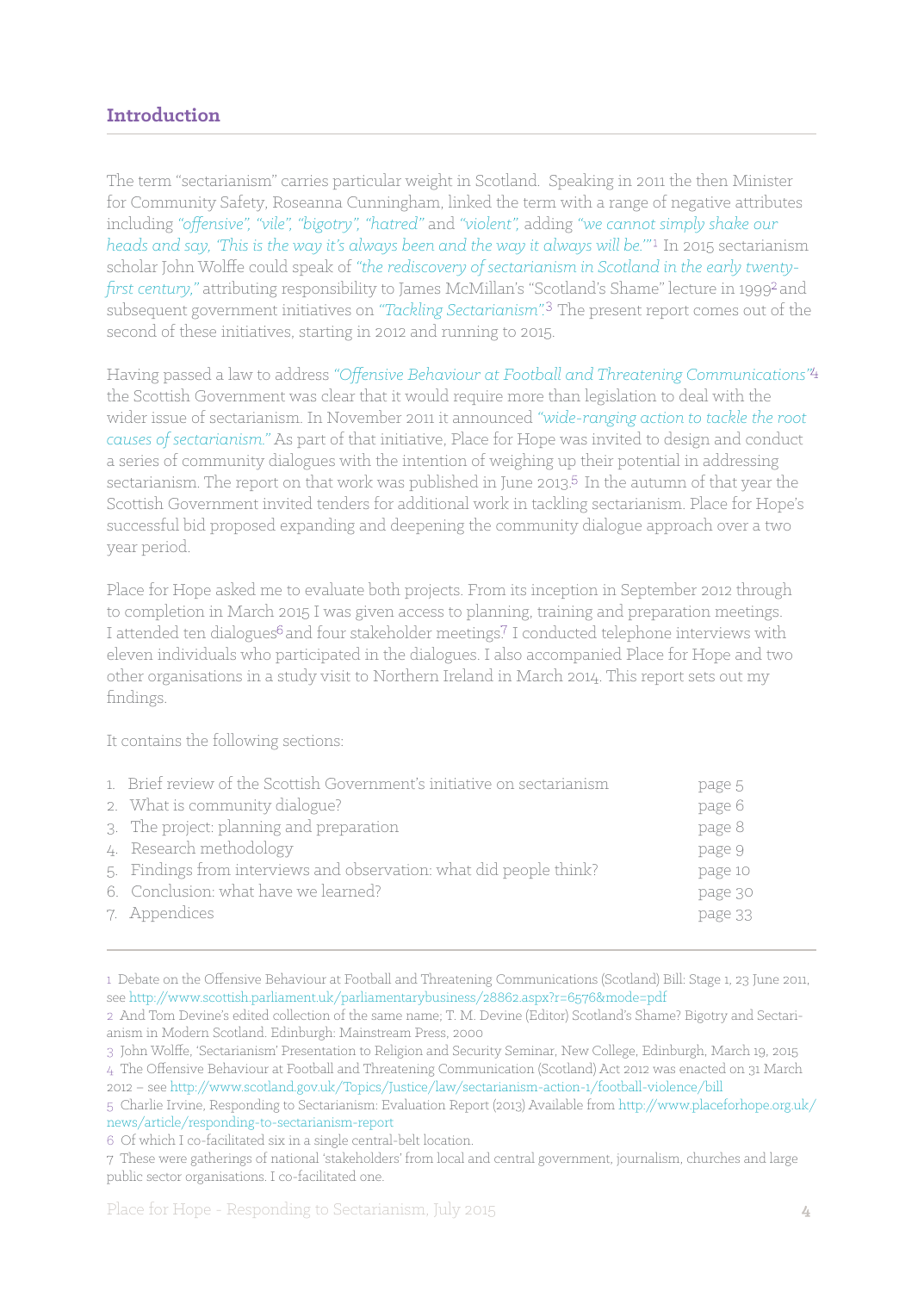## **Introduction**

The term "sectarianism" carries particular weight in Scotland. Speaking in 2011 the then Minister for Community Safety, Roseanna Cunningham, linked the term with a range of negative attributes including *"offensive", "vile", "bigotry", "hatred"* and *"violent",* adding *"we cannot simply shake our heads and say, 'This is the way it's always been and the way it always will be.'"* In 2015 sectarianism scholar John Wolffe could speak of *"the rediscovery of sectarianism in Scotland in the early twentyfirst century,*" attributing responsibility to James McMillan's "Scotland's Shame" lecture in 1999<sup>2</sup> and subsequent government initiatives on "Tackling Sectarianism".<sup>3</sup> The present report comes out of the second of these initiatives, starting in 2012 and running to 2015.

Having passed a law to address *"Offensive Behaviour at Football and Threatening Communications"* the Scottish Government was clear that it would require more than legislation to deal with the wider issue of sectarianism. In November 2011 it announced *"wide-ranging action to tackle the root causes of sectarianism."* As part of that initiative, Place for Hope was invited to design and conduct a series of community dialogues with the intention of weighing up their potential in addressing sectarianism. The report on that work was published in June 2013.<sup>5</sup> In the autumn of that year the Scottish Government invited tenders for additional work in tackling sectarianism. Place for Hope's successful bid proposed expanding and deepening the community dialogue approach over a two year period.

Place for Hope asked me to evaluate both projects. From its inception in September 2012 through to completion in March 2015 I was given access to planning, training and preparation meetings. I attended ten dialogues<sup>6</sup> and four stakeholder meetings.<sup>7</sup> I conducted telephone interviews with eleven individuals who participated in the dialogues. I also accompanied Place for Hope and two other organisations in a study visit to Northern Ireland in March 2014. This report sets out my findings.

It contains the following sections:

| 1. Brief review of the Scottish Government's initiative on sectarianism | page 5  |
|-------------------------------------------------------------------------|---------|
| 2. What is community dialogue?                                          | page 6  |
| 3. The project: planning and preparation                                | page 8  |
| 4. Research methodology                                                 | page 9  |
| 5. Findings from interviews and observation: what did people think?     | page 10 |
| 6. Conclusion: what have we learned?                                    | page 30 |
| 7. Appendices                                                           | page 33 |
|                                                                         |         |

<sup>1</sup> Debate on the Offensive Behaviour at Football and Threatening Communications (Scotland) Bill: Stage 1, 23 June 2011, see http://www.scottish.parliament.uk/parliamentarybusiness/28862.aspx?r=6576&mode=pdf

<sup>2</sup> And Tom Devine's edited collection of the same name; T. M. Devine (Editor) Scotland's Shame? Bigotry and Sectarianism in Modern Scotland. Edinburgh: Mainstream Press, 2000

<sup>3</sup> John Wolffe, 'Sectarianism' Presentation to Religion and Security Seminar, New College, Edinburgh, March 19, 2015

<sup>4</sup> The Offensive Behaviour at Football and Threatening Communication (Scotland) Act 2012 was enacted on 31 March 2012 – see http://www.scotland.gov.uk/Topics/Justice/law/sectarianism-action-1/football-violence/bill

<sup>5</sup> Charlie Irvine, Responding to Sectarianism: Evaluation Report (2013) Available from http://www.placeforhope.org.uk/ news/article/responding-to-sectarianism-report

<sup>6</sup> Of which I co-facilitated six in a single central-belt location.

<sup>7</sup> These were gatherings of national 'stakeholders' from local and central government, journalism, churches and large public sector organisations. I co-facilitated one.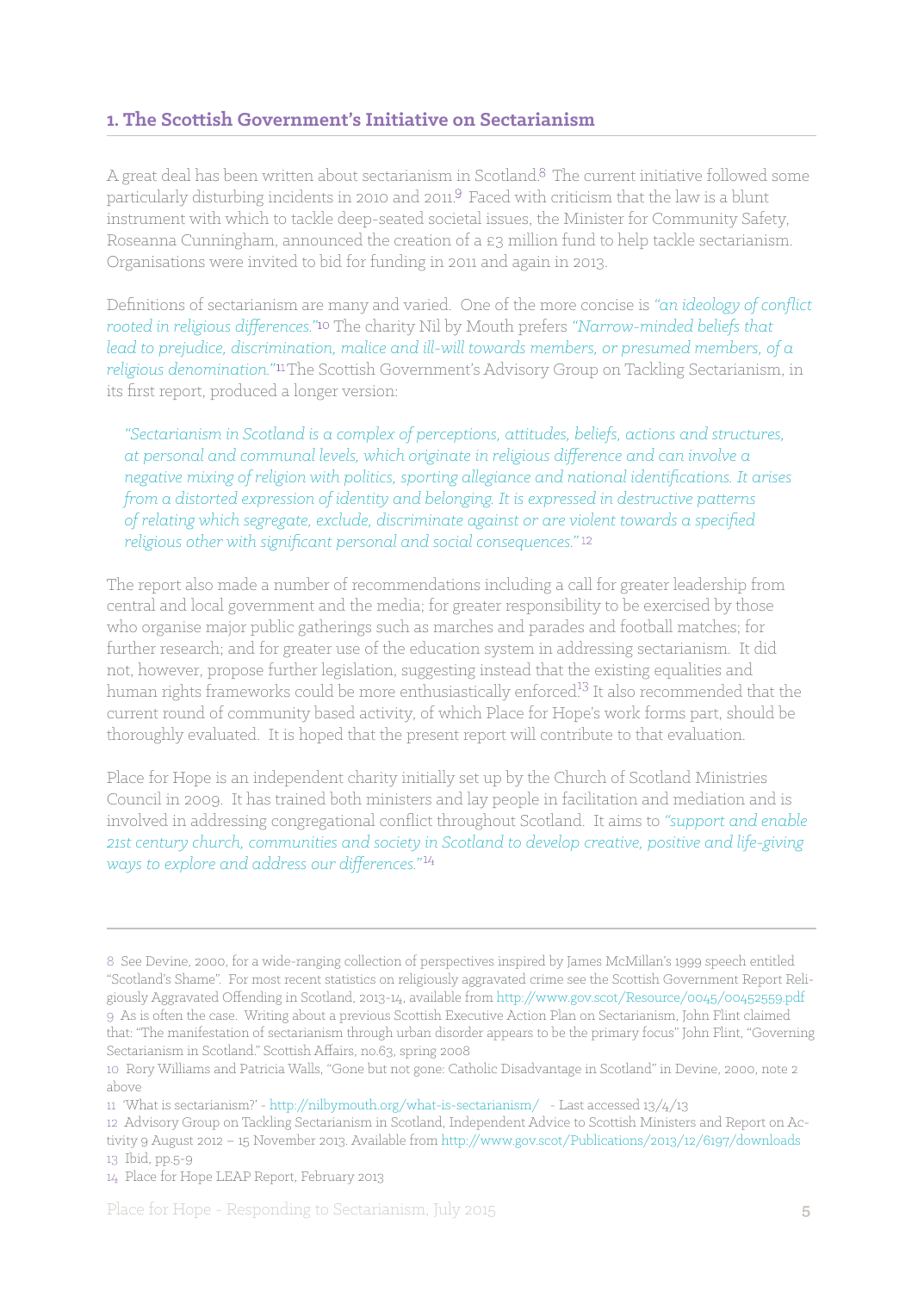## **1. The Scottish Government's Initiative on Sectarianism**

A great deal has been written about sectarianism in Scotland.<sup>8</sup> The current initiative followed some particularly disturbing incidents in 2010 and 2011.<sup>9</sup> Faced with criticism that the law is a blunt instrument with which to tackle deep-seated societal issues, the Minister for Community Safety, Roseanna Cunningham, announced the creation of a £3 million fund to help tackle sectarianism. Organisations were invited to bid for funding in 2011 and again in 2013.

Definitions of sectarianism are many and varied. One of the more concise is *"an ideology of conflict rooted in religious differences.*"<sup>10</sup> The charity Nil by Mouth prefers "Narrow-minded beliefs that *lead to prejudice, discrimination, malice and ill-will towards members, or presumed members, of a*  religious denomination."<sup>11</sup>The Scottish Government's Advisory Group on Tackling Sectarianism, in its first report, produced a longer version:

*"Sectarianism in Scotland is a complex of perceptions, attitudes, beliefs, actions and structures, at personal and communal levels, which originate in religious difference and can involve a negative mixing of religion with politics, sporting allegiance and national identifications. It arises from a distorted expression of identity and belonging. It is expressed in destructive patterns of relating which segregate, exclude, discriminate against or are violent towards a specified religious other with significant personal and social consequences."* 

The report also made a number of recommendations including a call for greater leadership from central and local government and the media; for greater responsibility to be exercised by those who organise major public gatherings such as marches and parades and football matches; for further research; and for greater use of the education system in addressing sectarianism. It did not, however, propose further legislation, suggesting instead that the existing equalities and human rights frameworks could be more enthusiastically enforced<sup>13</sup> It also recommended that the current round of community based activity, of which Place for Hope's work forms part, should be thoroughly evaluated. It is hoped that the present report will contribute to that evaluation.

Place for Hope is an independent charity initially set up by the Church of Scotland Ministries Council in 2009. It has trained both ministers and lay people in facilitation and mediation and is involved in addressing congregational conflict throughout Scotland. It aims to *"support and enable 21st century church, communities and society in Scotland to develop creative, positive and life-giving ways to explore and address our differences."*

<sup>8</sup> See Devine, 2000, for a wide-ranging collection of perspectives inspired by James McMillan's 1999 speech entitled "Scotland's Shame". For most recent statistics on religiously aggravated crime see the Scottish Government Report Religiously Aggravated Offending in Scotland, 2013-14, available from http://www.gov.scot/Resource/0045/00452559.pdf 9 As is often the case. Writing about a previous Scottish Executive Action Plan on Sectarianism, John Flint claimed that: "The manifestation of sectarianism through urban disorder appears to be the primary focus" John Flint, "Governing Sectarianism in Scotland." Scottish Affairs, no.63, spring 2008

<sup>10</sup> Rory Williams and Patricia Walls, "Gone but not gone: Catholic Disadvantage in Scotland" in Devine, 2000, note 2 above

<sup>11 &#</sup>x27;What is sectarianism?' - http://nilbymouth.org/what-is-sectarianism/ - Last accessed 13/4/13

<sup>12</sup> Advisory Group on Tackling Sectarianism in Scotland, Independent Advice to Scottish Ministers and Report on Activity 9 August 2012 – 15 November 2013. Available from http://www.gov.scot/Publications/2013/12/6197/downloads 13 Ibid, pp.5-9

<sup>14</sup> Place for Hope LEAP Report, February 2013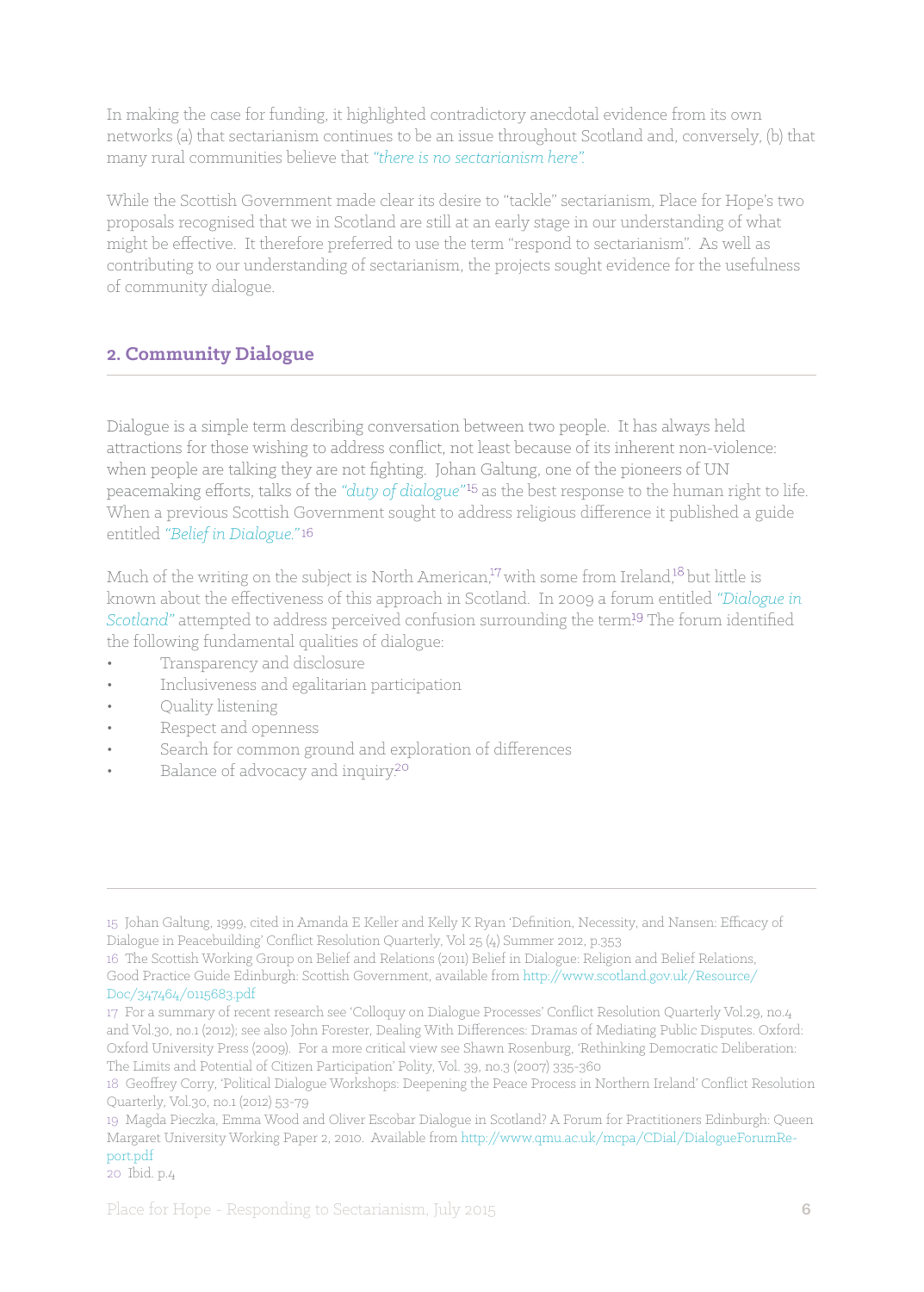In making the case for funding, it highlighted contradictory anecdotal evidence from its own networks (a) that sectarianism continues to be an issue throughout Scotland and, conversely, (b) that many rural communities believe that *"there is no sectarianism here".*

While the Scottish Government made clear its desire to "tackle" sectarianism, Place for Hope's two proposals recognised that we in Scotland are still at an early stage in our understanding of what might be effective. It therefore preferred to use the term "respond to sectarianism". As well as contributing to our understanding of sectarianism, the projects sought evidence for the usefulness of community dialogue.

## **2. Community Dialogue**

Dialogue is a simple term describing conversation between two people. It has always held attractions for those wishing to address conflict, not least because of its inherent non-violence: when people are talking they are not fighting. Johan Galtung, one of the pioneers of UN peacemaking efforts, talks of the *"duty of dialogue"* as the best response to the human right to life. When a previous Scottish Government sought to address religious difference it published a guide entitled *"Belief in Dialogue."*

Much of the writing on the subject is North American,<sup>17</sup> with some from Ireland,<sup>18</sup> but little is known about the effectiveness of this approach in Scotland. In 2009 a forum entitled *"Dialogue in Scotland*" attempted to address perceived confusion surrounding the term<sup>19</sup> The forum identified the following fundamental qualities of dialogue:

- Transparency and disclosure
- Inclusiveness and egalitarian participation
- Ouality listening
- Respect and openness
- Search for common ground and exploration of differences
- Balance of advocacy and inquiry.<sup>20</sup>

<sup>15</sup> Johan Galtung, 1999, cited in Amanda E Keller and Kelly K Ryan 'Definition, Necessity, and Nansen: Efficacy of Dialogue in Peacebuilding' Conflict Resolution Quarterly, Vol 25 (4) Summer 2012, p.353

<sup>16</sup> The Scottish Working Group on Belief and Relations (2011) Belief in Dialogue: Religion and Belief Relations, Good Practice Guide Edinburgh: Scottish Government, available from http://www.scotland.gov.uk/Resource/ Doc/347464/0115683.pdf

<sup>17</sup> For a summary of recent research see 'Colloquy on Dialogue Processes' Conflict Resolution Quarterly Vol.29, no.4 and Vol.30, no.1 (2012); see also John Forester, Dealing With Differences: Dramas of Mediating Public Disputes. Oxford: Oxford University Press (2009). For a more critical view see Shawn Rosenburg, 'Rethinking Democratic Deliberation: The Limits and Potential of Citizen Participation' Polity, Vol. 39, no.3 (2007) 335-360

<sup>18</sup> Geoffrey Corry, 'Political Dialogue Workshops: Deepening the Peace Process in Northern Ireland' Conflict Resolution Quarterly, Vol.30, no.1 (2012) 53-79

<sup>19</sup> Magda Pieczka, Emma Wood and Oliver Escobar Dialogue in Scotland? A Forum for Practitioners Edinburgh: Queen Margaret University Working Paper 2, 2010. Available from http://www.qmu.ac.uk/mcpa/CDial/DialogueForumReport.pdf

<sup>20</sup> Ibid. p.4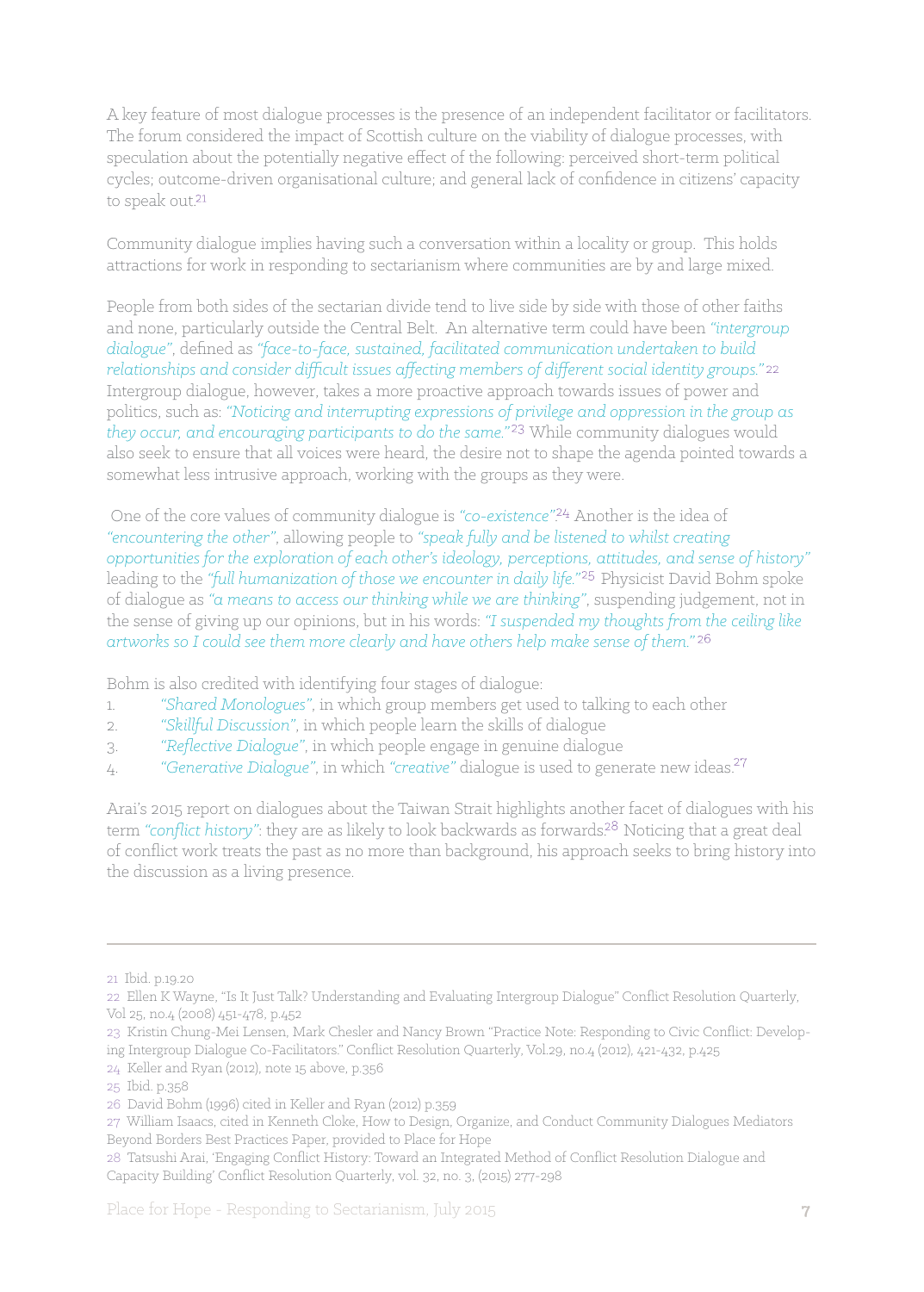A key feature of most dialogue processes is the presence of an independent facilitator or facilitators. The forum considered the impact of Scottish culture on the viability of dialogue processes, with speculation about the potentially negative effect of the following: perceived short-term political cycles; outcome-driven organisational culture; and general lack of confidence in citizens' capacity to speak out.<sup>21</sup>

Community dialogue implies having such a conversation within a locality or group. This holds attractions for work in responding to sectarianism where communities are by and large mixed.

People from both sides of the sectarian divide tend to live side by side with those of other faiths and none, particularly outside the Central Belt. An alternative term could have been *"intergroup dialogue"*, defined as *"face-to-face, sustained, facilitated communication undertaken to build*  relationships and consider difficult issues affecting members of different social identity groups."<sup>22</sup> Intergroup dialogue, however, takes a more proactive approach towards issues of power and politics, such as: *"Noticing and interrupting expressions of privilege and oppression in the group as they occur, and encouraging participants to do the same."* While community dialogues would also seek to ensure that all voices were heard, the desire not to shape the agenda pointed towards a somewhat less intrusive approach, working with the groups as they were.

 One of the core values of community dialogue is *"co-existence"*. Another is the idea of *"encountering the other"*, allowing people to *"speak fully and be listened to whilst creating opportunities for the exploration of each other's ideology, perceptions, attitudes, and sense of history"* leading to the "full humanization of those we encounter in daily life."<sup>25</sup> Physicist David Bohm spoke of dialogue as *"a means to access our thinking while we are thinking"*, suspending judgement, not in the sense of giving up our opinions, but in his words: *"I suspended my thoughts from the ceiling like artworks so I could see them more clearly and have others help make sense of them."*

Bohm is also credited with identifying four stages of dialogue:

- 1. *"Shared Monologues"*, in which group members get used to talking to each other
- 2. *"Skillful Discussion"*, in which people learn the skills of dialogue
- 3. *"Reflective Dialogue"*, in which people engage in genuine dialogue
- 4. *"Generative Dialogue"*, in which *"creative"* dialogue is used to generate new ideas.

Arai's 2015 report on dialogues about the Taiwan Strait highlights another facet of dialogues with his term "conflict history": they are as likely to look backwards as forwards.<sup>28</sup> Noticing that a great deal of conflict work treats the past as no more than background, his approach seeks to bring history into the discussion as a living presence.

23 Kristin Chung-Mei Lensen, Mark Chesler and Nancy Brown "Practice Note: Responding to Civic Conflict: Developing Intergroup Dialogue Co-Facilitators." Conflict Resolution Quarterly, Vol.29, no.4 (2012), 421-432, p.425

<sup>21</sup> Ibid. p.19.20

<sup>22</sup> Ellen K Wayne, "Is It Just Talk? Understanding and Evaluating Intergroup Dialogue" Conflict Resolution Quarterly, Vol 25, no.4 (2008) 451-478, p.452

<sup>24</sup> Keller and Ryan (2012), note 15 above, p.356

<sup>25</sup> Ibid. p.358

<sup>26</sup> David Bohm (1996) cited in Keller and Ryan (2012) p.359

<sup>27</sup> William Isaacs, cited in Kenneth Cloke, How to Design, Organize, and Conduct Community Dialogues Mediators Beyond Borders Best Practices Paper, provided to Place for Hope

<sup>28</sup> Tatsushi Arai, 'Engaging Conflict History: Toward an Integrated Method of Conflict Resolution Dialogue and Capacity Building' Conflict Resolution Quarterly, vol. 32, no. 3, (2015) 277-298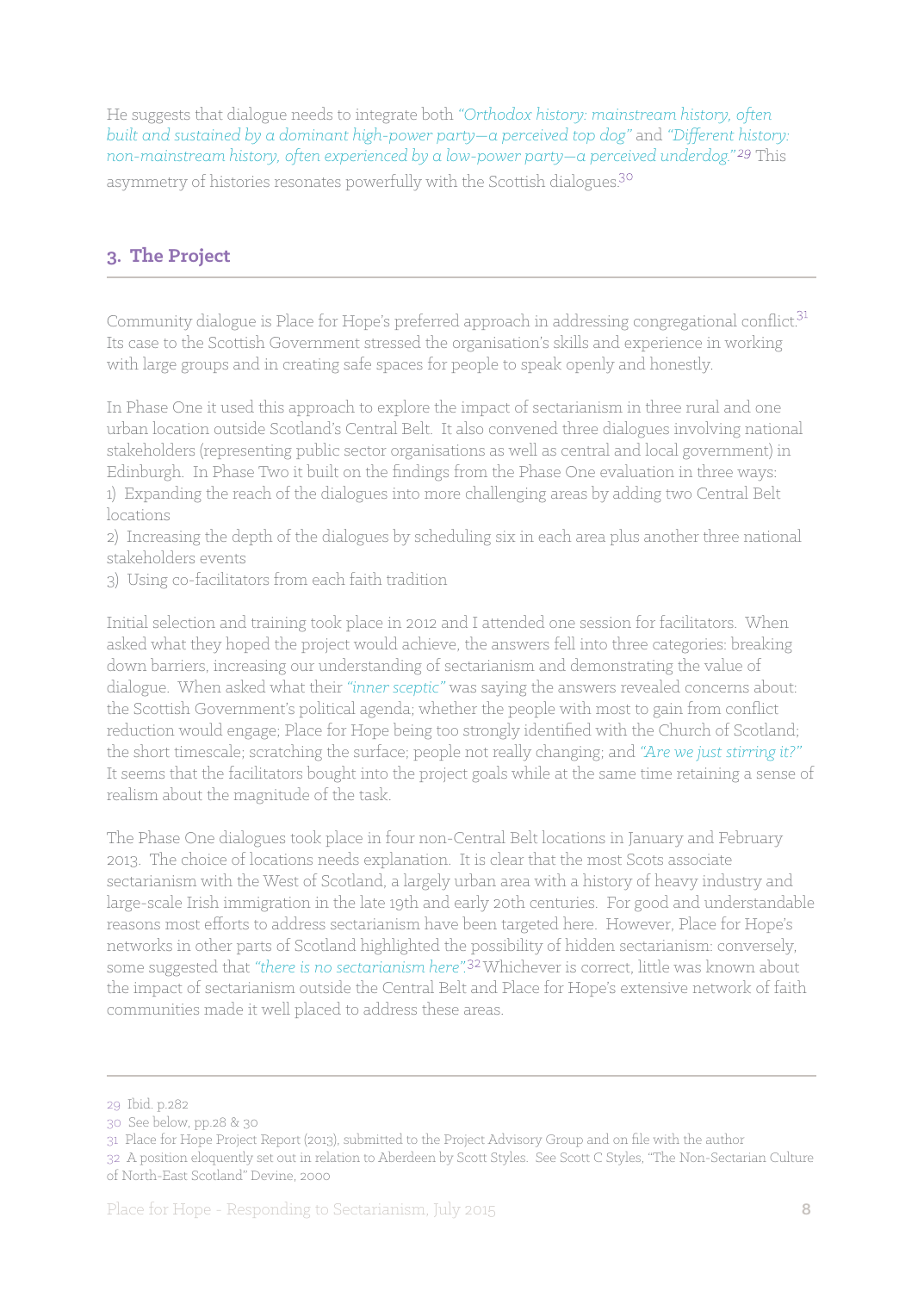He suggests that dialogue needs to integrate both *"Orthodox history: mainstream history, often built and sustained by a dominant high-power party—a perceived top dog"* and *"Different history: non-mainstream history, often experienced by a low-power party—a perceived underdog."* This asymmetry of histories resonates powerfully with the Scottish dialogues.<sup>30</sup>

## **3. The Project**

Community dialogue is Place for Hope's preferred approach in addressing congregational conflict.<sup>31</sup> Its case to the Scottish Government stressed the organisation's skills and experience in working with large groups and in creating safe spaces for people to speak openly and honestly.

In Phase One it used this approach to explore the impact of sectarianism in three rural and one urban location outside Scotland's Central Belt. It also convened three dialogues involving national stakeholders (representing public sector organisations as well as central and local government) in Edinburgh. In Phase Two it built on the findings from the Phase One evaluation in three ways: 1) Expanding the reach of the dialogues into more challenging areas by adding two Central Belt locations

2) Increasing the depth of the dialogues by scheduling six in each area plus another three national stakeholders events

3) Using co-facilitators from each faith tradition

Initial selection and training took place in 2012 and I attended one session for facilitators. When asked what they hoped the project would achieve, the answers fell into three categories: breaking down barriers, increasing our understanding of sectarianism and demonstrating the value of dialogue. When asked what their *"inner sceptic"* was saying the answers revealed concerns about: the Scottish Government's political agenda; whether the people with most to gain from conflict reduction would engage; Place for Hope being too strongly identified with the Church of Scotland; the short timescale; scratching the surface; people not really changing; and *"Are we just stirring it?"* It seems that the facilitators bought into the project goals while at the same time retaining a sense of realism about the magnitude of the task.

The Phase One dialogues took place in four non-Central Belt locations in January and February 2013. The choice of locations needs explanation. It is clear that the most Scots associate sectarianism with the West of Scotland, a largely urban area with a history of heavy industry and large-scale Irish immigration in the late 19th and early 20th centuries. For good and understandable reasons most efforts to address sectarianism have been targeted here. However, Place for Hope's networks in other parts of Scotland highlighted the possibility of hidden sectarianism: conversely, some suggested that "there is no sectarianism here".<sup>32</sup> Whichever is correct, little was known about the impact of sectarianism outside the Central Belt and Place for Hope's extensive network of faith communities made it well placed to address these areas.

<sup>29</sup> Ibid. p.282

<sup>30</sup> See below, pp.28 & 30

<sup>31</sup> Place for Hope Project Report (2013), submitted to the Project Advisory Group and on file with the author

<sup>32</sup> A position eloquently set out in relation to Aberdeen by Scott Styles. See Scott C Styles, "The Non-Sectarian Culture of North-East Scotland" Devine, 2000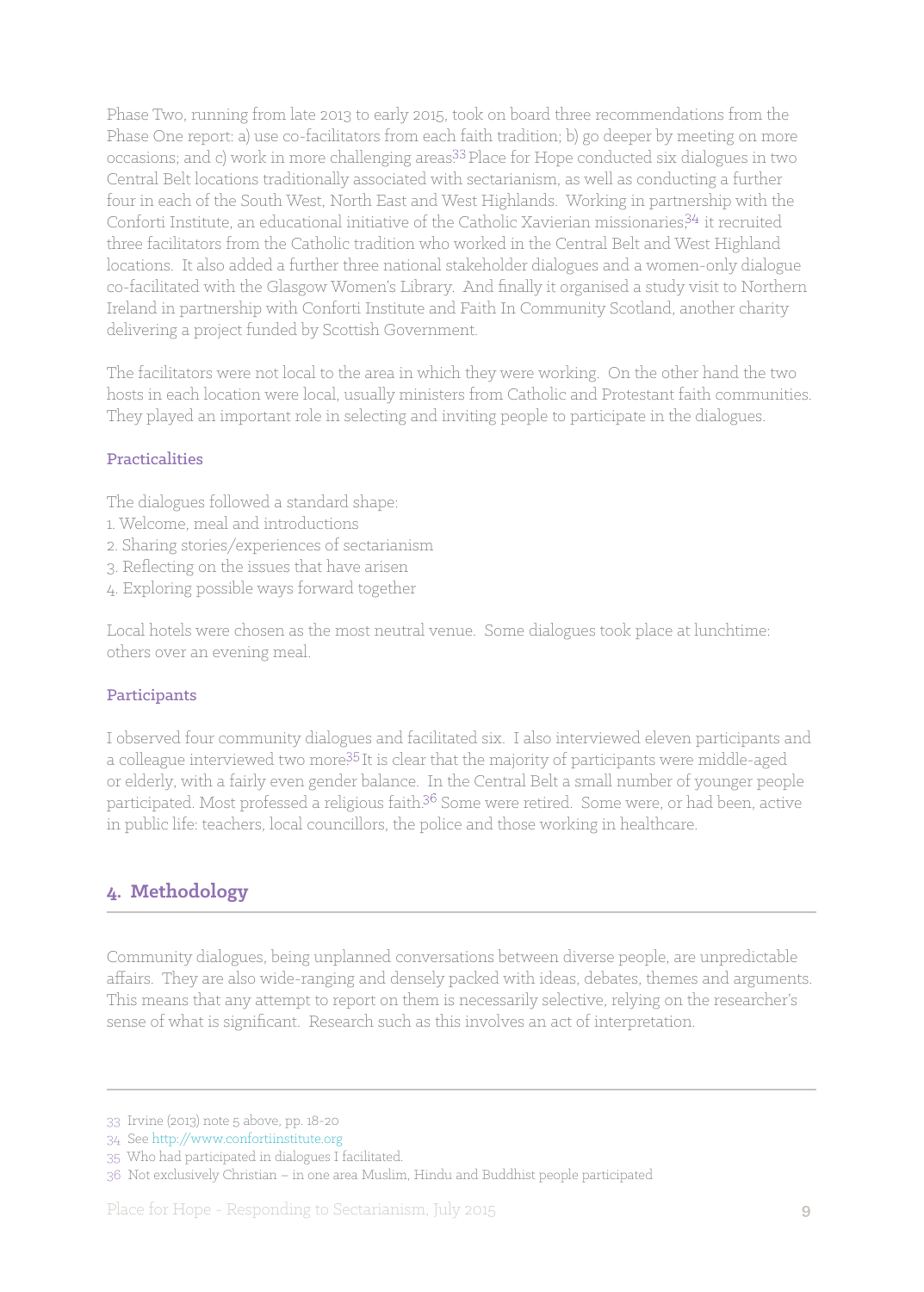Phase Two, running from late 2013 to early 2015, took on board three recommendations from the Phase One report: a) use co-facilitators from each faith tradition; b) go deeper by meeting on more occasions; and c) work in more challenging areas.<sup>33</sup> Place for Hope conducted six dialogues in two Central Belt locations traditionally associated with sectarianism, as well as conducting a further four in each of the South West, North East and West Highlands. Working in partnership with the Conforti Institute, an educational initiative of the Catholic Xavierian missionaries,  $34$  it recruited three facilitators from the Catholic tradition who worked in the Central Belt and West Highland locations. It also added a further three national stakeholder dialogues and a women-only dialogue co-facilitated with the Glasgow Women's Library. And finally it organised a study visit to Northern Ireland in partnership with Conforti Institute and Faith In Community Scotland, another charity delivering a project funded by Scottish Government.

The facilitators were not local to the area in which they were working. On the other hand the two hosts in each location were local, usually ministers from Catholic and Protestant faith communities. They played an important role in selecting and inviting people to participate in the dialogues.

#### Practicalities

The dialogues followed a standard shape:

- 1. Welcome, meal and introductions
- 2. Sharing stories/experiences of sectarianism
- 3. Reflecting on the issues that have arisen
- 4. Exploring possible ways forward together

Local hotels were chosen as the most neutral venue. Some dialogues took place at lunchtime: others over an evening meal.

#### Participants

I observed four community dialogues and facilitated six. I also interviewed eleven participants and a colleague interviewed two more<sup>35</sup> It is clear that the majority of participants were middle-aged or elderly, with a fairly even gender balance. In the Central Belt a small number of younger people participated. Most professed a religious faith.<sup>36</sup> Some were retired. Some were, or had been, active in public life: teachers, local councillors, the police and those working in healthcare.

## **4. Methodology**

Community dialogues, being unplanned conversations between diverse people, are unpredictable affairs. They are also wide-ranging and densely packed with ideas, debates, themes and arguments. This means that any attempt to report on them is necessarily selective, relying on the researcher's sense of what is significant. Research such as this involves an act of interpretation.

<sup>33</sup> Irvine (2013) note 5 above, pp. 18-20

<sup>34</sup> See http://www.confortiinstitute.org

<sup>35</sup> Who had participated in dialogues I facilitated.

<sup>36</sup> Not exclusively Christian – in one area Muslim, Hindu and Buddhist people participated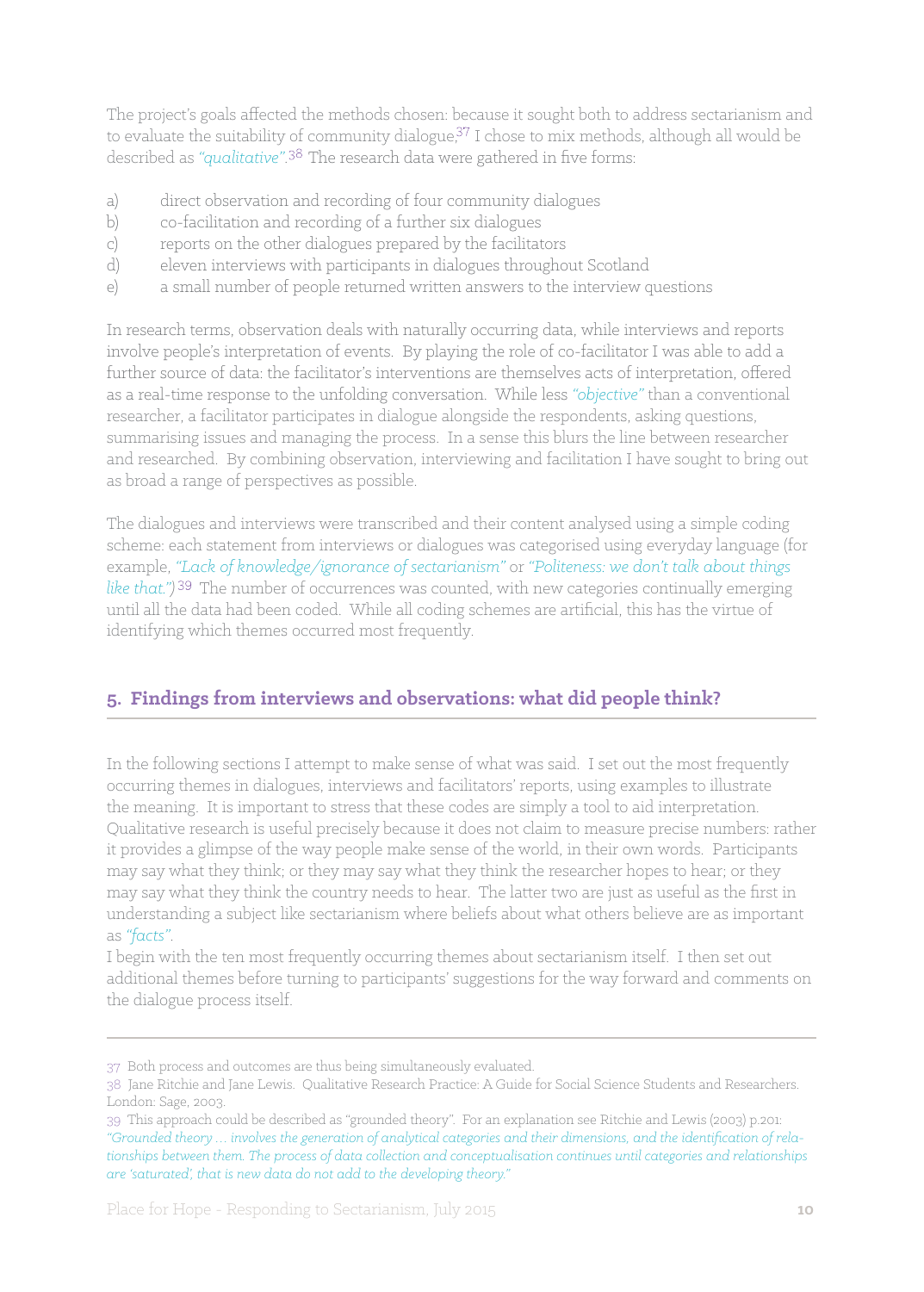The project's goals affected the methods chosen: because it sought both to address sectarianism and to evaluate the suitability of community dialogue, $37$  I chose to mix methods, although all would be described as "*qualitative*".<sup>38</sup> The research data were gathered in five forms:

- a) direct observation and recording of four community dialogues
- b) co-facilitation and recording of a further six dialogues
- c) reports on the other dialogues prepared by the facilitators
- d) eleven interviews with participants in dialogues throughout Scotland
- e) a small number of people returned written answers to the interview questions

In research terms, observation deals with naturally occurring data, while interviews and reports involve people's interpretation of events. By playing the role of co-facilitator I was able to add a further source of data: the facilitator's interventions are themselves acts of interpretation, offered as a real-time response to the unfolding conversation. While less *"objective"* than a conventional researcher, a facilitator participates in dialogue alongside the respondents, asking questions, summarising issues and managing the process. In a sense this blurs the line between researcher and researched. By combining observation, interviewing and facilitation I have sought to bring out as broad a range of perspectives as possible.

The dialogues and interviews were transcribed and their content analysed using a simple coding scheme: each statement from interviews or dialogues was categorised using everyday language (for example, *"Lack of knowledge/ignorance of sectarianism"* or *"Politeness: we don't talk about things*  like that.")<sup>39</sup> The number of occurrences was counted, with new categories continually emerging until all the data had been coded. While all coding schemes are artificial, this has the virtue of identifying which themes occurred most frequently.

## **5. Findings from interviews and observations: what did people think?**

In the following sections I attempt to make sense of what was said. I set out the most frequently occurring themes in dialogues, interviews and facilitators' reports, using examples to illustrate the meaning. It is important to stress that these codes are simply a tool to aid interpretation. Qualitative research is useful precisely because it does not claim to measure precise numbers: rather it provides a glimpse of the way people make sense of the world, in their own words. Participants may say what they think; or they may say what they think the researcher hopes to hear; or they may say what they think the country needs to hear. The latter two are just as useful as the first in understanding a subject like sectarianism where beliefs about what others believe are as important as *"facts"*.

I begin with the ten most frequently occurring themes about sectarianism itself. I then set out additional themes before turning to participants' suggestions for the way forward and comments on the dialogue process itself.

<sup>37</sup> Both process and outcomes are thus being simultaneously evaluated.

<sup>38</sup> Jane Ritchie and Jane Lewis. Qualitative Research Practice: A Guide for Social Science Students and Researchers. London: Sage, 2003.

<sup>39</sup> This approach could be described as "grounded theory". For an explanation see Ritchie and Lewis (2003) p.201: *"Grounded theory … involves the generation of analytical categories and their dimensions, and the identification of relationships between them. The process of data collection and conceptualisation continues until categories and relationships are 'saturated', that is new data do not add to the developing theory."*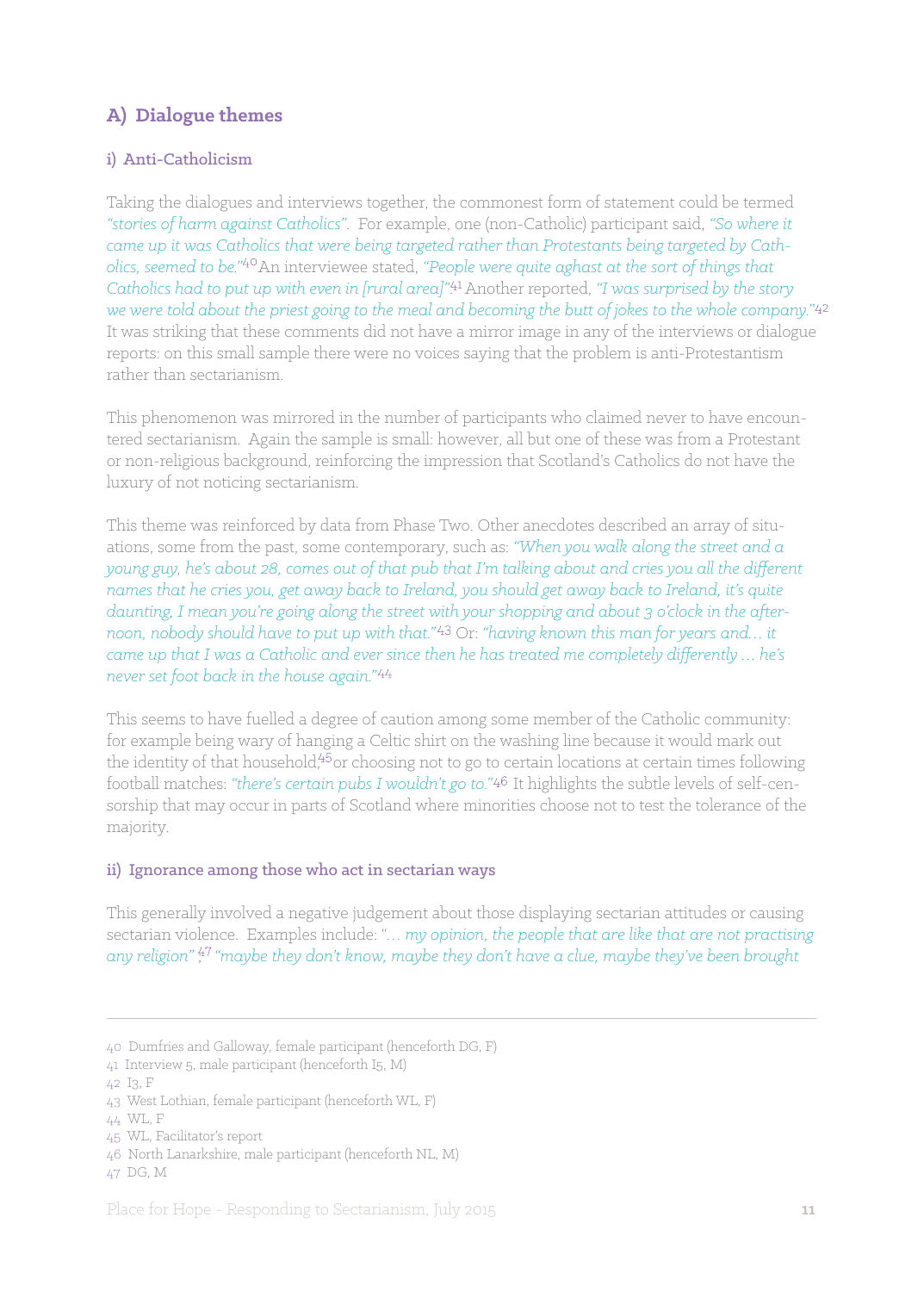## **A) Dialogue themes**

## i) Anti-Catholicism

Taking the dialogues and interviews together, the commonest form of statement could be termed *"stories of harm against Catholics"*. For example, one (non-Catholic) participant said, *"So where it came up it was Catholics that were being targeted rather than Protestants being targeted by Catholics, seemed to be.*"<sup>40</sup>An interviewee stated, "People were quite aghast at the sort of things that *Catholics had to put up with even in [rural area]*<sup>".41</sup> Another reported, "I was surprised by the story *we were told about the priest going to the meal and becoming the butt of jokes to the whole company."* It was striking that these comments did not have a mirror image in any of the interviews or dialogue reports: on this small sample there were no voices saying that the problem is anti-Protestantism rather than sectarianism.

This phenomenon was mirrored in the number of participants who claimed never to have encountered sectarianism. Again the sample is small: however, all but one of these was from a Protestant or non-religious background, reinforcing the impression that Scotland's Catholics do not have the luxury of not noticing sectarianism.

This theme was reinforced by data from Phase Two. Other anecdotes described an array of situations, some from the past, some contemporary, such as: *"When you walk along the street and a young guy, he's about 28, comes out of that pub that I'm talking about and cries you all the different names that he cries you, get away back to Ireland, you should get away back to Ireland, it's quite daunting, I mean you're going along the street with your shopping and about 3 o'clock in the afternoon, nobody should have to put up with that."* Or: *"having known this man for years and… it came up that I was a Catholic and ever since then he has treated me completely differently … he's never set foot back in the house again."* 

This seems to have fuelled a degree of caution among some member of the Catholic community: for example being wary of hanging a Celtic shirt on the washing line because it would mark out the identity of that household,  $45$  or choosing not to go to certain locations at certain times following football matches: *"there's certain pubs I wouldn't go to."* It highlights the subtle levels of self-censorship that may occur in parts of Scotland where minorities choose not to test the tolerance of the majority.

#### ii) Ignorance among those who act in sectarian ways

This generally involved a negative judgement about those displaying sectarian attitudes or causing sectarian violence. Examples include: "*… my opinion, the people that are like that are not practising*  any religion"<sup>47</sup> "maybe they don't know, maybe they don't have a clue, maybe they've been brought

<sup>40</sup> Dumfries and Galloway, female participant (henceforth DG, F)

<sup>41</sup> Interview 5, male participant (henceforth I5, M)

<sup>42</sup> I3, F

<sup>43</sup> West Lothian, female participant (henceforth WL, F)

<sup>44</sup> WL, F

<sup>45</sup> WL, Facilitator's report

<sup>46</sup> North Lanarkshire, male participant (henceforth NL, M)

<sup>47</sup> DG, M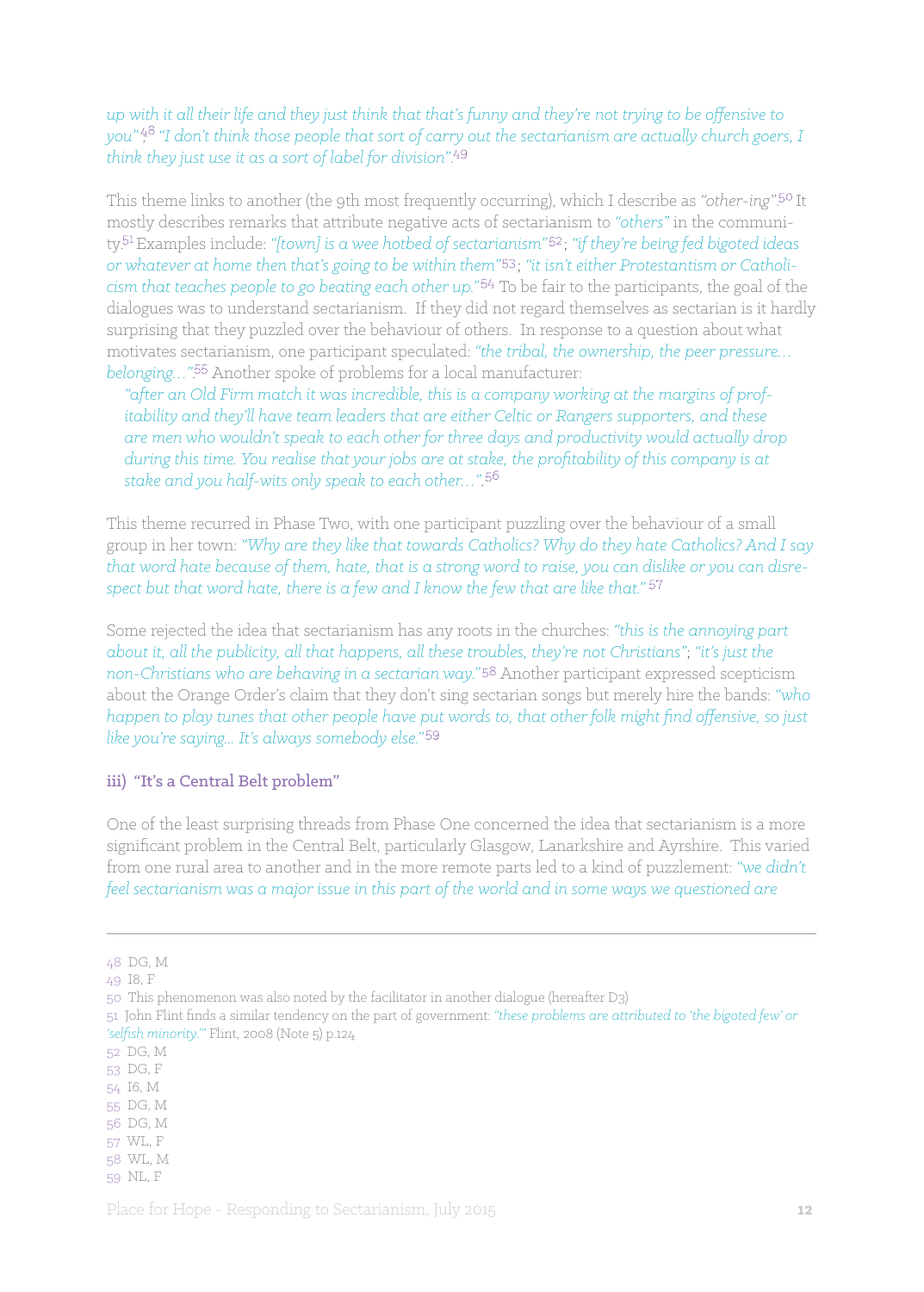### *up with it all their life and they just think that that's funny and they're not trying to be offensive to you"*  $\frac{48}{1}$  "I don't think those people that sort of carry out the sectarianism are actually church goers, I *think they just use it as a sort of label for division"*.

This theme links to another (the 9th most frequently occurring), which I describe as "other-ing".<sup>50</sup> It mostly describes remarks that attribute negative acts of sectarianism to *"others"* in the community.<sup>51</sup> Examples include: "[town] is a wee hotbed of sectarianism"<sup>52</sup>; "if they're being fed bigoted ideas or whatever at home then that's going to be within them"<sup>53</sup>; "it isn't either Protestantism or Catholi*cism that teaches people to go beating each other up."* To be fair to the participants, the goal of the dialogues was to understand sectarianism. If they did not regard themselves as sectarian is it hardly surprising that they puzzled over the behaviour of others. In response to a question about what motivates sectarianism, one participant speculated: *"the tribal, the ownership, the peer pressure… belonging...*"<sup>55</sup> Another spoke of problems for a local manufacturer:

*"after an Old Firm match it was incredible, this is a company working at the margins of profitability and they'll have team leaders that are either Celtic or Rangers supporters, and these are men who wouldn't speak to each other for three days and productivity would actually drop during this time. You realise that your jobs are at stake, the profitability of this company is at stake and you half-wits only speak to each other…"*.

This theme recurred in Phase Two, with one participant puzzling over the behaviour of a small group in her town: *"Why are they like that towards Catholics? Why do they hate Catholics? And I say that word hate because of them, hate, that is a strong word to raise, you can dislike or you can disrespect but that word hate, there is a few and I know the few that are like that."* 

Some rejected the idea that sectarianism has any roots in the churches: *"this is the annoying part about it, all the publicity, all that happens, all these troubles, they're not Christians"*; *"it's just the*  non-Christians who are behaving in a sectarian way."<sup>58</sup> Another participant expressed scepticism about the Orange Order's claim that they don't sing sectarian songs but merely hire the bands: *"who happen to play tunes that other people have put words to, that other folk might find offensive, so just like you're saying... It's always somebody else."*

#### iii) "It's a Central Belt problem"

One of the least surprising threads from Phase One concerned the idea that sectarianism is a more significant problem in the Central Belt, particularly Glasgow, Lanarkshire and Ayrshire. This varied from one rural area to another and in the more remote parts led to a kind of puzzlement: *"we didn't feel sectarianism was a major issue in this part of the world and in some ways we questioned are* 

<sup>48</sup> DG, M

<sup>49</sup> I8, F

<sup>50</sup> This phenomenon was also noted by the facilitator in another dialogue (hereafter D3)

<sup>51</sup> John Flint finds a similar tendency on the part of government: *"these problems are attributed to 'the bigoted few' or 'selfish minority.'"* Flint, 2008 (Note 5) p.124

<sup>52</sup> DG, M

<sup>53</sup> DG, F

<sup>54</sup> I6, M

<sup>55</sup> DG, M

<sup>56</sup> DG, M 57 WL, F

<sup>58</sup> WL, M

<sup>59</sup> NL, F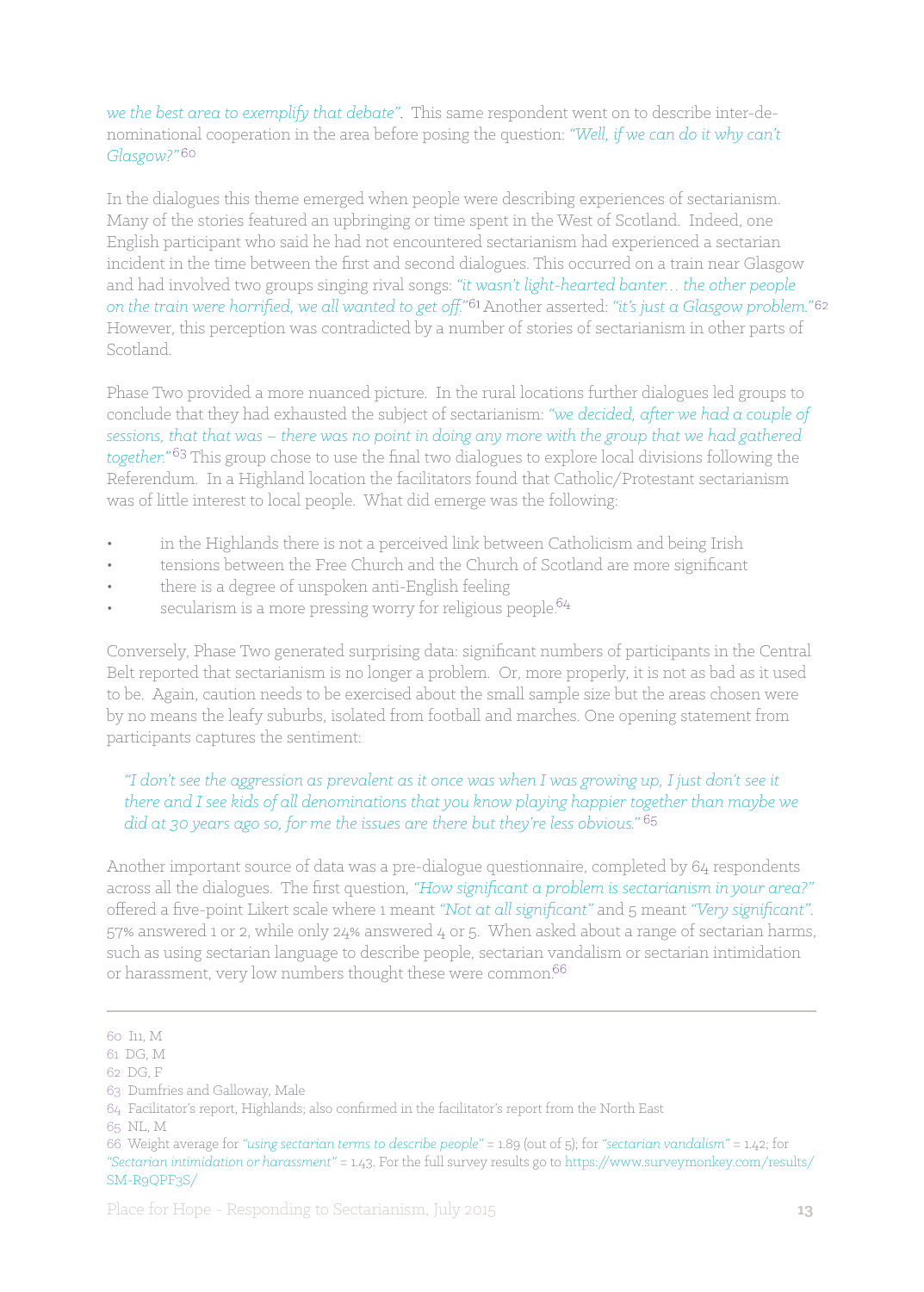*we the best area to exemplify that debate"*. This same respondent went on to describe inter-denominational cooperation in the area before posing the question: *"Well, if we can do it why can't Glasgow?"* 

In the dialogues this theme emerged when people were describing experiences of sectarianism. Many of the stories featured an upbringing or time spent in the West of Scotland. Indeed, one English participant who said he had not encountered sectarianism had experienced a sectarian incident in the time between the first and second dialogues. This occurred on a train near Glasgow and had involved two groups singing rival songs: *"it wasn't light-hearted banter… the other people on the train were horrified, we all wanted to get off."* Another asserted: *"it's just a Glasgow problem."*  However, this perception was contradicted by a number of stories of sectarianism in other parts of Scotland.

Phase Two provided a more nuanced picture. In the rural locations further dialogues led groups to conclude that they had exhausted the subject of sectarianism: *"we decided, after we had a couple of sessions, that that was – there was no point in doing any more with the group that we had gathered*  together."<sup>63</sup> This group chose to use the final two dialogues to explore local divisions following the Referendum. In a Highland location the facilitators found that Catholic/Protestant sectarianism was of little interest to local people. What did emerge was the following:

- in the Highlands there is not a perceived link between Catholicism and being Irish
- tensions between the Free Church and the Church of Scotland are more significant
- there is a degree of unspoken anti-English feeling
- secularism is a more pressing worry for religious people. $64$

Conversely, Phase Two generated surprising data: significant numbers of participants in the Central Belt reported that sectarianism is no longer a problem. Or, more properly, it is not as bad as it used to be. Again, caution needs to be exercised about the small sample size but the areas chosen were by no means the leafy suburbs, isolated from football and marches. One opening statement from participants captures the sentiment:

*"I don't see the aggression as prevalent as it once was when I was growing up, I just don't see it there and I see kids of all denominations that you know playing happier together than maybe we did at 30 years ago so, for me the issues are there but they're less obvious."* 

Another important source of data was a pre-dialogue questionnaire, completed by 64 respondents across all the dialogues. The first question, *"How significant a problem is sectarianism in your area?"*  offered a five-point Likert scale where 1 meant *"Not at all significant"* and 5 meant *"Very significant"*. 57% answered 1 or 2, while only 24% answered 4 or 5. When asked about a range of sectarian harms, such as using sectarian language to describe people, sectarian vandalism or sectarian intimidation or harassment, very low numbers thought these were common.<sup>66</sup>

<sup>60</sup> I11, M

<sup>61</sup> DG, M

<sup>62</sup> DG, F

<sup>63</sup> Dumfries and Galloway, Male

<sup>64</sup> Facilitator's report, Highlands; also confirmed in the facilitator's report from the North East

<sup>65</sup> NL, M

<sup>66</sup> Weight average for *"using sectarian terms to describe people"* = 1.89 (out of 5); for *"sectarian vandalism"* = 1.42; for *"Sectarian intimidation or harassment"* = 1.43. For the full survey results go to https://www.surveymonkey.com/results/ SM-R9QPF3S/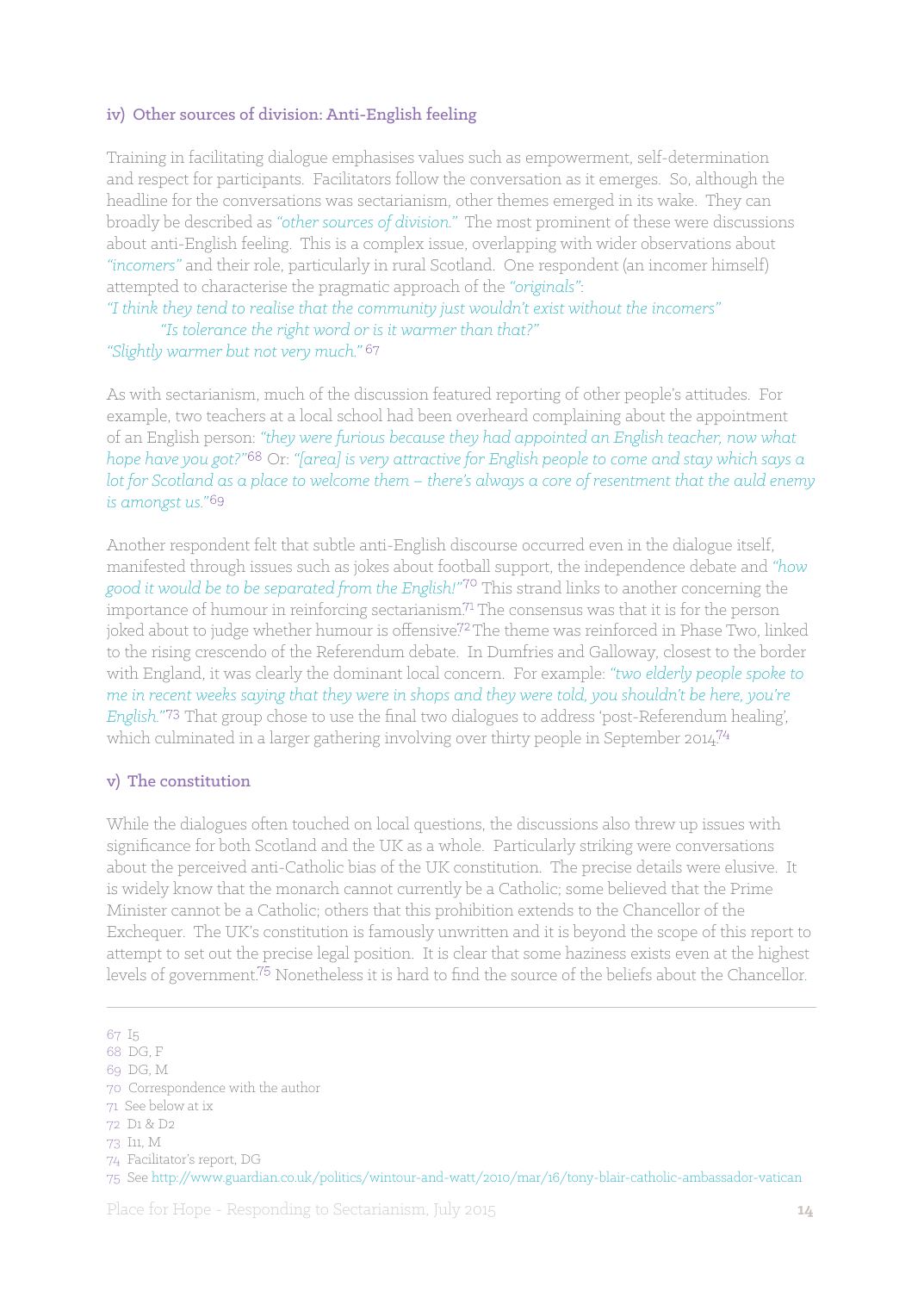#### iv) Other sources of division: Anti-English feeling

Training in facilitating dialogue emphasises values such as empowerment, self-determination and respect for participants. Facilitators follow the conversation as it emerges. So, although the headline for the conversations was sectarianism, other themes emerged in its wake. They can broadly be described as *"other sources of division."* The most prominent of these were discussions about anti-English feeling. This is a complex issue, overlapping with wider observations about *"incomers"* and their role, particularly in rural Scotland. One respondent (an incomer himself) attempted to characterise the pragmatic approach of the *"originals"*:

*"I think they tend to realise that the community just wouldn't exist without the incomers" "Is tolerance the right word or is it warmer than that?"*

#### *"Slightly warmer but not very much."*

As with sectarianism, much of the discussion featured reporting of other people's attitudes. For example, two teachers at a local school had been overheard complaining about the appointment of an English person: *"they were furious because they had appointed an English teacher, now what hope have you got?"* Or: *"[area] is very attractive for English people to come and stay which says a lot for Scotland as a place to welcome them – there's always a core of resentment that the auld enemy is amongst us."*

Another respondent felt that subtle anti-English discourse occurred even in the dialogue itself, manifested through issues such as jokes about football support, the independence debate and *"how good it would be to be separated from the English!"* This strand links to another concerning the importance of humour in reinforcing sectarianism.<sup> $71$ </sup> The consensus was that it is for the person joked about to judge whether humour is offensive.<sup>72</sup> The theme was reinforced in Phase Two, linked to the rising crescendo of the Referendum debate. In Dumfries and Galloway, closest to the border with England, it was clearly the dominant local concern. For example: *"two elderly people spoke to me in recent weeks saying that they were in shops and they were told, you shouldn't be here, you're English.*"<sup>73</sup> That group chose to use the final two dialogues to address 'post-Referendum healing', which culminated in a larger gathering involving over thirty people in September 2014.<sup>74</sup>

#### v) The constitution

While the dialogues often touched on local questions, the discussions also threw up issues with significance for both Scotland and the UK as a whole. Particularly striking were conversations about the perceived anti-Catholic bias of the UK constitution. The precise details were elusive. It is widely know that the monarch cannot currently be a Catholic; some believed that the Prime Minister cannot be a Catholic; others that this prohibition extends to the Chancellor of the Exchequer. The UK's constitution is famously unwritten and it is beyond the scope of this report to attempt to set out the precise legal position. It is clear that some haziness exists even at the highest levels of government.<sup>75</sup> Nonetheless it is hard to find the source of the beliefs about the Chancellor.

<sup>67</sup> I5

<sup>68</sup> DG, F

<sup>69</sup> DG, M

<sup>70</sup> Correspondence with the author

<sup>71</sup> See below at ix

<sup>72</sup> D1 & D2

<sup>73</sup> I11, M

<sup>74</sup> Facilitator's report, DG

<sup>75</sup> See http://www.guardian.co.uk/politics/wintour-and-watt/2010/mar/16/tony-blair-catholic-ambassador-vatican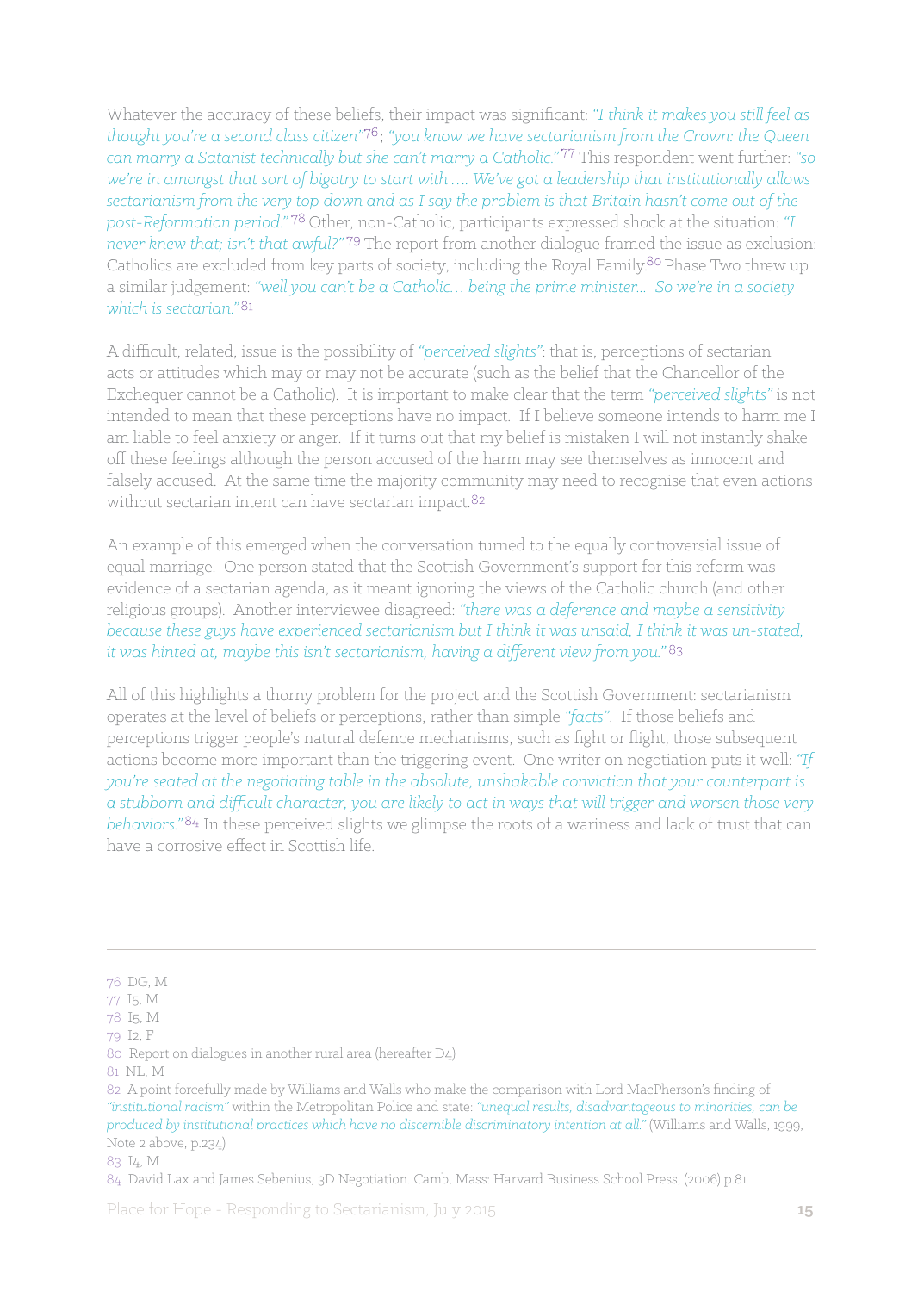Whatever the accuracy of these beliefs, their impact was significant: *"I think it makes you still feel as thought you're a second class citizen"* ; *"you know we have sectarianism from the Crown: the Queen can marry a Satanist technically but she can't marry a Catholic."* This respondent went further: *"so we're in amongst that sort of bigotry to start with …. We've got a leadership that institutionally allows sectarianism from the very top down and as I say the problem is that Britain hasn't come out of the post-Reformation period."* Other, non-Catholic, participants expressed shock at the situation: *"I never knew that; isn't that awful?"* The report from another dialogue framed the issue as exclusion: Catholics are excluded from key parts of society, including the Royal Family.<sup>80</sup> Phase Two threw up a similar judgement: *"well you can't be a Catholic… being the prime minister... So we're in a society*  which is sectarian<sup>"81</sup>

A difficult, related, issue is the possibility of *"perceived slights"*: that is, perceptions of sectarian acts or attitudes which may or may not be accurate (such as the belief that the Chancellor of the Exchequer cannot be a Catholic). It is important to make clear that the term *"perceived slights"* is not intended to mean that these perceptions have no impact. If I believe someone intends to harm me I am liable to feel anxiety or anger. If it turns out that my belief is mistaken I will not instantly shake off these feelings although the person accused of the harm may see themselves as innocent and falsely accused. At the same time the majority community may need to recognise that even actions without sectarian intent can have sectarian impact.<sup>82</sup>

An example of this emerged when the conversation turned to the equally controversial issue of equal marriage. One person stated that the Scottish Government's support for this reform was evidence of a sectarian agenda, as it meant ignoring the views of the Catholic church (and other religious groups). Another interviewee disagreed: *"there was a deference and maybe a sensitivity because these guys have experienced sectarianism but I think it was unsaid, I think it was un-stated, it was hinted at, maybe this isn't sectarianism, having a different view from you."*

All of this highlights a thorny problem for the project and the Scottish Government: sectarianism operates at the level of beliefs or perceptions, rather than simple *"facts"*. If those beliefs and perceptions trigger people's natural defence mechanisms, such as fight or flight, those subsequent actions become more important than the triggering event. One writer on negotiation puts it well: *"If you're seated at the negotiating table in the absolute, unshakable conviction that your counterpart is a stubborn and difficult character, you are likely to act in ways that will trigger and worsen those very*  behaviors."<sup>84</sup> In these perceived slights we glimpse the roots of a wariness and lack of trust that can have a corrosive effect in Scottish life.

<sup>76</sup> DG, M

<sup>77</sup> I5, M

<sup>78</sup> I5, M

<sup>79</sup> I2, F

<sup>80</sup> Report on dialogues in another rural area (hereafter D4)

<sup>81</sup> NL, M

<sup>82</sup> A point forcefully made by Williams and Walls who make the comparison with Lord MacPherson's finding of *"institutional racism"* within the Metropolitan Police and state: *"unequal results, disadvantageous to minorities, can be produced by institutional practices which have no discernible discriminatory intention at all."* (Williams and Walls, 1999, Note 2 above, p.234)

<sup>83</sup> I4, M

<sup>84</sup> David Lax and James Sebenius, 3D Negotiation. Camb, Mass: Harvard Business School Press, (2006) p.81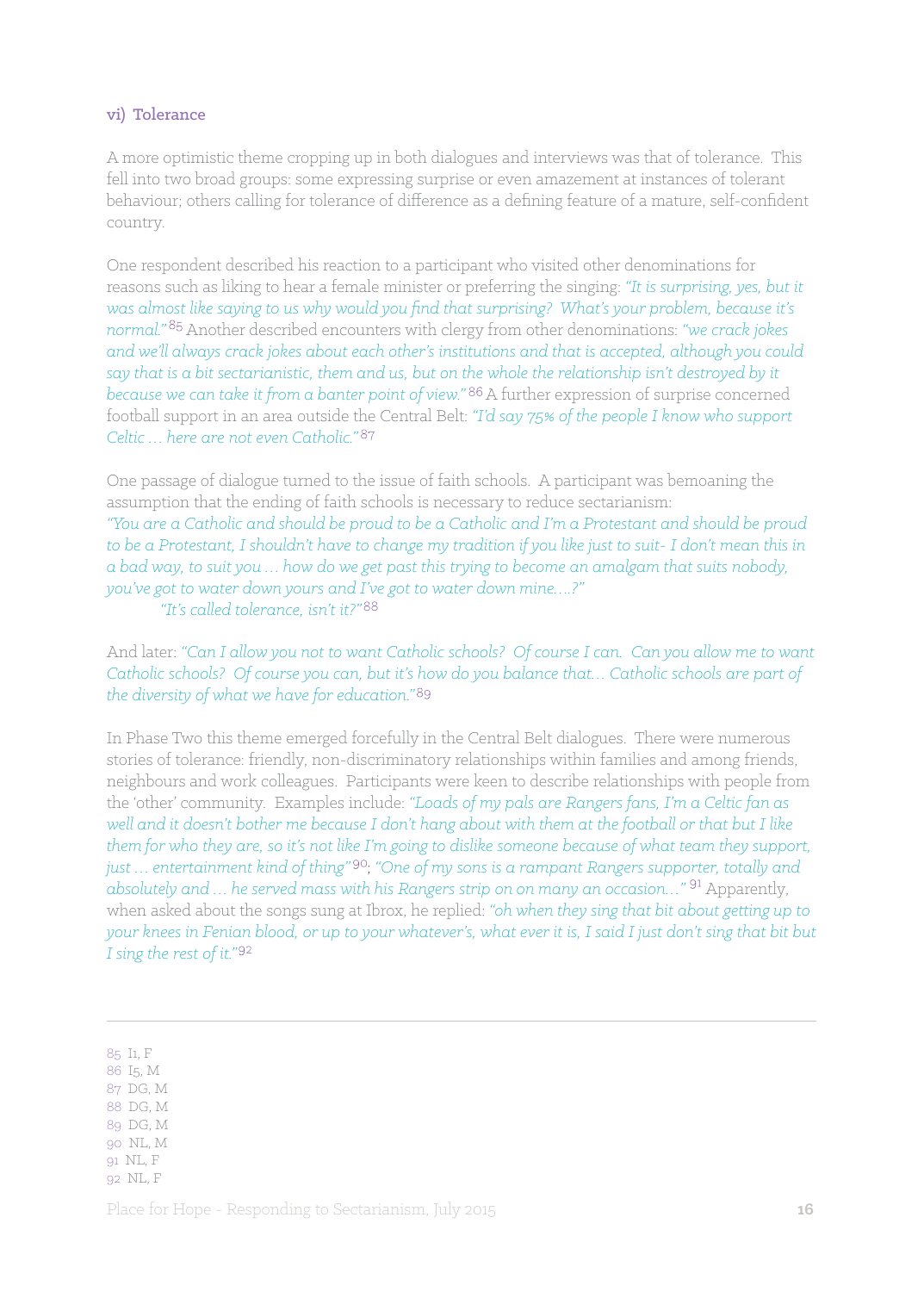#### vi) Tolerance

A more optimistic theme cropping up in both dialogues and interviews was that of tolerance. This fell into two broad groups: some expressing surprise or even amazement at instances of tolerant behaviour; others calling for tolerance of difference as a defining feature of a mature, self-confident country.

One respondent described his reaction to a participant who visited other denominations for reasons such as liking to hear a female minister or preferring the singing: *"It is surprising, yes, but it was almost like saying to us why would you find that surprising? What's your problem, because it's normal.*"<sup>85</sup> Another described encounters with clergy from other denominations: "we crack jokes *and we'll always crack jokes about each other's institutions and that is accepted, although you could say that is a bit sectarianistic, them and us, but on the whole the relationship isn't destroyed by it because we can take it from a banter point of view.*"<sup>86</sup> A further expression of surprise concerned football support in an area outside the Central Belt: *"I'd say 75% of the people I know who support Celtic … here are not even Catholic."* 

One passage of dialogue turned to the issue of faith schools. A participant was bemoaning the assumption that the ending of faith schools is necessary to reduce sectarianism: *"You are a Catholic and should be proud to be a Catholic and I'm a Protestant and should be proud to be a Protestant, I shouldn't have to change my tradition if you like just to suit- I don't mean this in a bad way, to suit you … how do we get past this trying to become an amalgam that suits nobody, you've got to water down yours and I've got to water down mine….?" "It's called tolerance, isn't it?"* 

And later: *"Can I allow you not to want Catholic schools? Of course I can. Can you allow me to want Catholic schools? Of course you can, but it's how do you balance that… Catholic schools are part of the diversity of what we have for education."*

In Phase Two this theme emerged forcefully in the Central Belt dialogues. There were numerous stories of tolerance: friendly, non-discriminatory relationships within families and among friends, neighbours and work colleagues. Participants were keen to describe relationships with people from the 'other' community. Examples include: *"Loads of my pals are Rangers fans, I'm a Celtic fan as well and it doesn't bother me because I don't hang about with them at the football or that but I like them for who they are, so it's not like I'm going to dislike someone because of what team they support, just … entertainment kind of thing"* ; *"One of my sons is a rampant Rangers supporter, totally and*  absolutely and ... he served mass with his Rangers strip on on many an occasion..."<sup>91</sup> Apparently, when asked about the songs sung at Ibrox, he replied: *"oh when they sing that bit about getting up to your knees in Fenian blood, or up to your whatever's, what ever it is, I said I just don't sing that bit but I sing the rest of it."*

- 87 DG, M
- 88 DG, M
- 89 DG, M 90 NL, M
- 91 NL, F
- 92 NL, F

<sup>85</sup> I1, F

<sup>86</sup> I5, M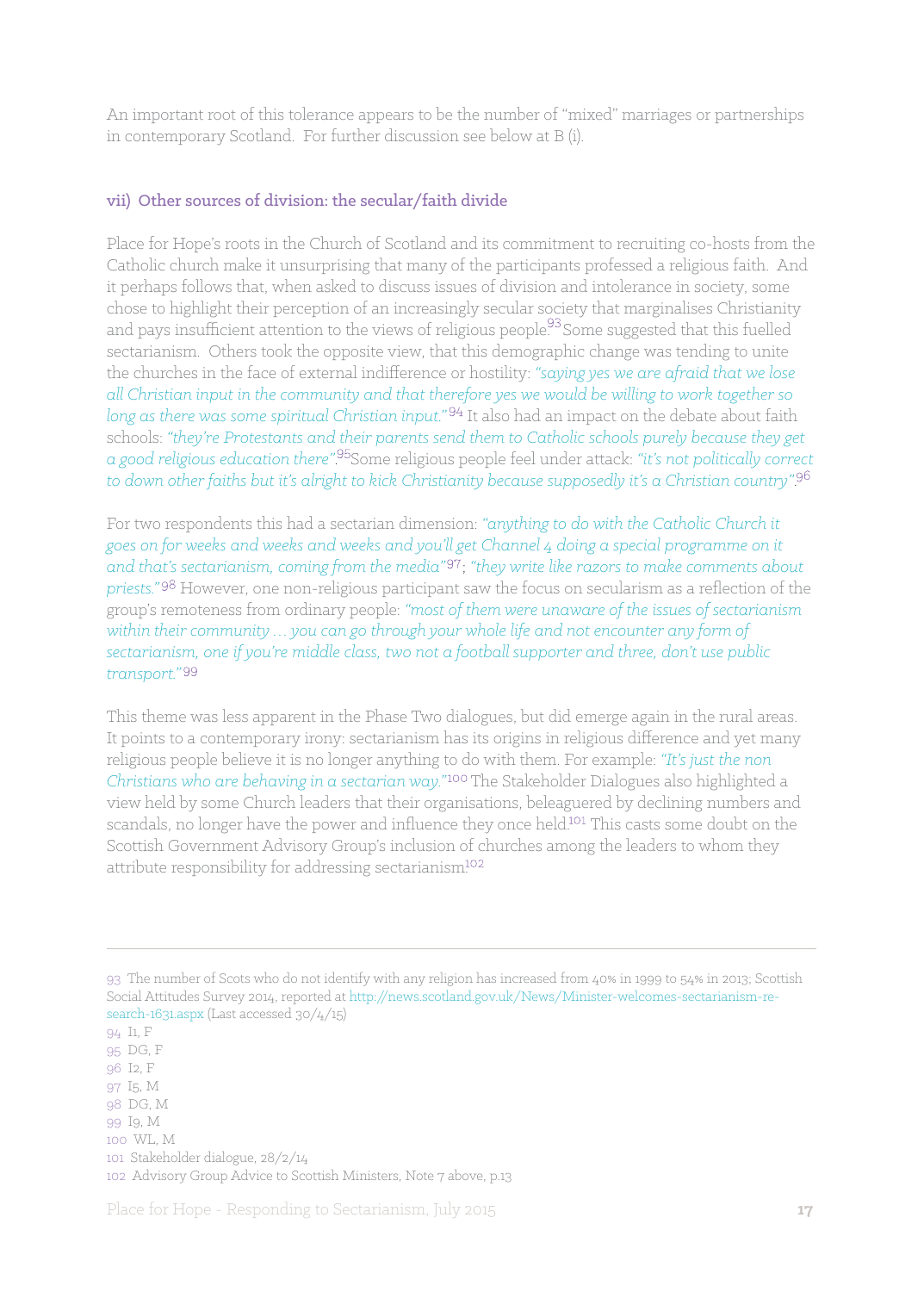An important root of this tolerance appears to be the number of "mixed" marriages or partnerships in contemporary Scotland. For further discussion see below at B (i).

#### vii) Other sources of division: the secular/faith divide

Place for Hope's roots in the Church of Scotland and its commitment to recruiting co-hosts from the Catholic church make it unsurprising that many of the participants professed a religious faith. And it perhaps follows that, when asked to discuss issues of division and intolerance in society, some chose to highlight their perception of an increasingly secular society that marginalises Christianity and pays insufficient attention to the views of religious people.<sup>93</sup> Some suggested that this fuelled sectarianism. Others took the opposite view, that this demographic change was tending to unite the churches in the face of external indifference or hostility: *"saying yes we are afraid that we lose all Christian input in the community and that therefore yes we would be willing to work together so long as there was some spiritual Christian input."* It also had an impact on the debate about faith schools: *"they're Protestants and their parents send them to Catholic schools purely because they get a good religious education there"*. Some religious people feel under attack: *"it's not politically correct to down other faiths but it's alright to kick Christianity because supposedly it's a Christian country"*.

For two respondents this had a sectarian dimension: *"anything to do with the Catholic Church it goes on for weeks and weeks and weeks and you'll get Channel 4 doing a special programme on it*  and that's sectarianism, coming from the media<sup>"97</sup>; "they write like razors to make comments about priests."<sup>98</sup> However, one non-religious participant saw the focus on secularism as a reflection of the group's remoteness from ordinary people: *"most of them were unaware of the issues of sectarianism within their community … you can go through your whole life and not encounter any form of sectarianism, one if you're middle class, two not a football supporter and three, don't use public transport."*

This theme was less apparent in the Phase Two dialogues, but did emerge again in the rural areas. It points to a contemporary irony: sectarianism has its origins in religious difference and yet many religious people believe it is no longer anything to do with them. For example: *"It's just the non Christians who are behaving in a sectarian way."* The Stakeholder Dialogues also highlighted a view held by some Church leaders that their organisations, beleaguered by declining numbers and scandals, no longer have the power and influence they once held.<sup>101</sup> This casts some doubt on the Scottish Government Advisory Group's inclusion of churches among the leaders to whom they attribute responsibility for addressing sectarianism<sup>102</sup>

<sup>93</sup> The number of Scots who do not identify with any religion has increased from 40% in 1999 to 54% in 2013; Scottish Social Attitudes Survey 2014, reported at http://news.scotland.gov.uk/News/Minister-welcomes-sectarianism-research-1631.aspx (Last accessed 30/4/15)

<sup>94</sup> I1, F

<sup>95</sup> DG, F

<sup>96</sup> I2, F

<sup>97</sup> I5, M 98 DG, M

<sup>99</sup> I9, M

<sup>100</sup> WL, M

<sup>101</sup> Stakeholder dialogue, 28/2/14

<sup>102</sup> Advisory Group Advice to Scottish Ministers, Note 7 above, p.13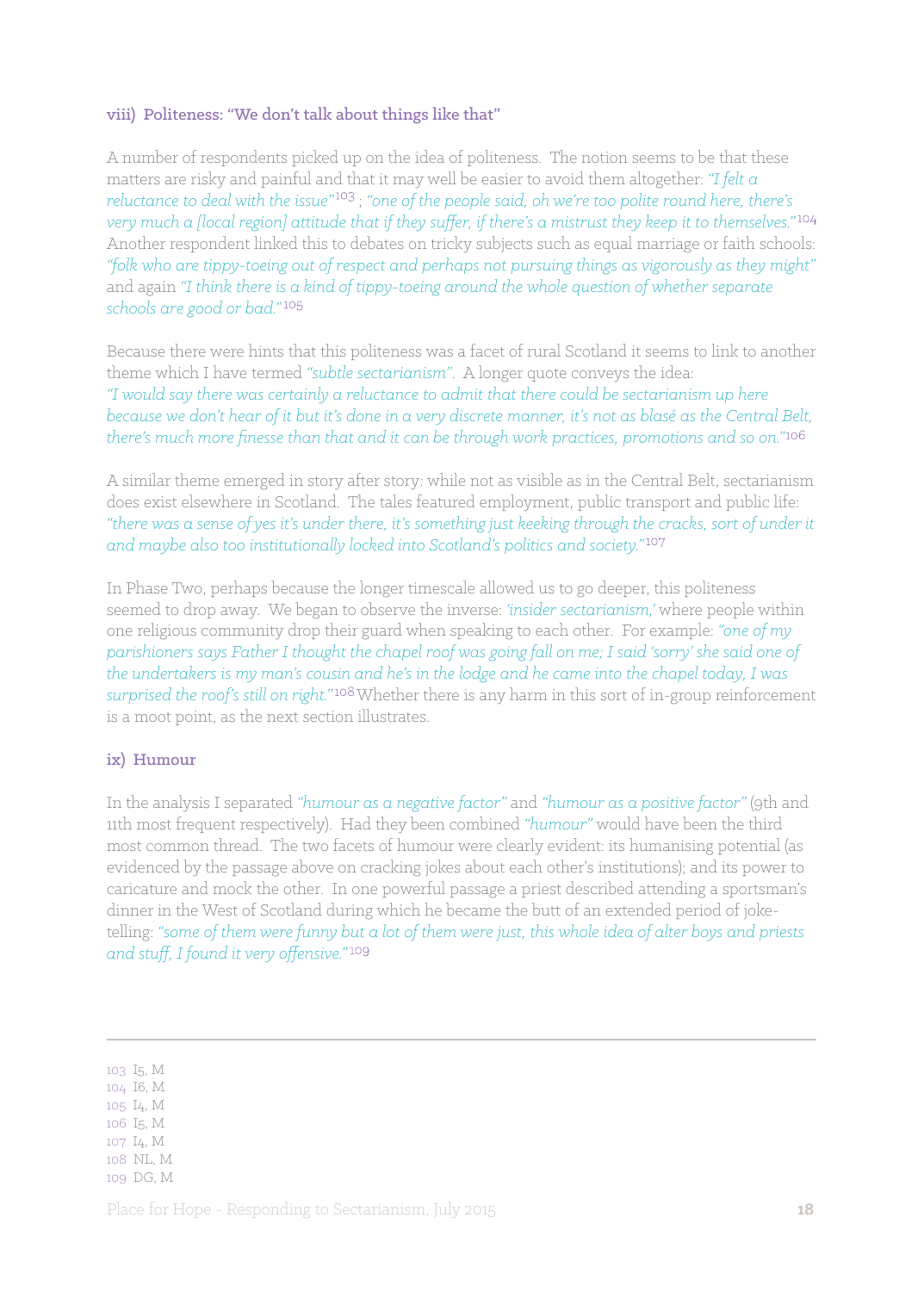#### viii) Politeness: "We don't talk about things like that"

A number of respondents picked up on the idea of politeness. The notion seems to be that these matters are risky and painful and that it may well be easier to avoid them altogether: *"I felt a reluctance to deal with the issue"* ; *"one of the people said, oh we're too polite round here, there's very much a [local region] attitude that if they suffer, if there's a mistrust they keep it to themselves.*"<sup>104</sup> Another respondent linked this to debates on tricky subjects such as equal marriage or faith schools: *"folk who are tippy-toeing out of respect and perhaps not pursuing things as vigorously as they might"* and again *"I think there is a kind of tippy-toeing around the whole question of whether separate schools are good or bad."*

Because there were hints that this politeness was a facet of rural Scotland it seems to link to another theme which I have termed *"subtle sectarianism"*. A longer quote conveys the idea: *"I would say there was certainly a reluctance to admit that there could be sectarianism up here because we don't hear of it but it's done in a very discrete manner, it's not as blasé as the Central Belt, there's much more finesse than that and it can be through work practices, promotions and so on."*

A similar theme emerged in story after story: while not as visible as in the Central Belt, sectarianism does exist elsewhere in Scotland. The tales featured employment, public transport and public life: *"there was a sense of yes it's under there, it's something just keeking through the cracks, sort of under it and maybe also too institutionally locked into Scotland's politics and society."*

In Phase Two, perhaps because the longer timescale allowed us to go deeper, this politeness seemed to drop away. We began to observe the inverse: *'insider sectarianism,'* where people within one religious community drop their guard when speaking to each other. For example: *"one of my parishioners says Father I thought the chapel roof was going fall on me; I said 'sorry' she said one of the undertakers is my man's cousin and he's in the lodge and he came into the chapel today, I was surprised the roof's still on right.*"<sup>108</sup>Whether there is any harm in this sort of in-group reinforcement is a moot point, as the next section illustrates.

#### ix) Humour

In the analysis I separated *"humour as a negative factor"* and *"humour as a positive factor"* (9th and 11th most frequent respectively). Had they been combined *"humour"* would have been the third most common thread. The two facets of humour were clearly evident: its humanising potential (as evidenced by the passage above on cracking jokes about each other's institutions); and its power to caricature and mock the other. In one powerful passage a priest described attending a sportsman's dinner in the West of Scotland during which he became the butt of an extended period of joketelling: *"some of them were funny but a lot of them were just, this whole idea of alter boys and priests and stuff, I found it very offensive."* 

103 I5, M

- 104 I6, M
- 105 I4, M
- 106 I5, M 107 I4, M
- 108 NL, M
- 109 DG, M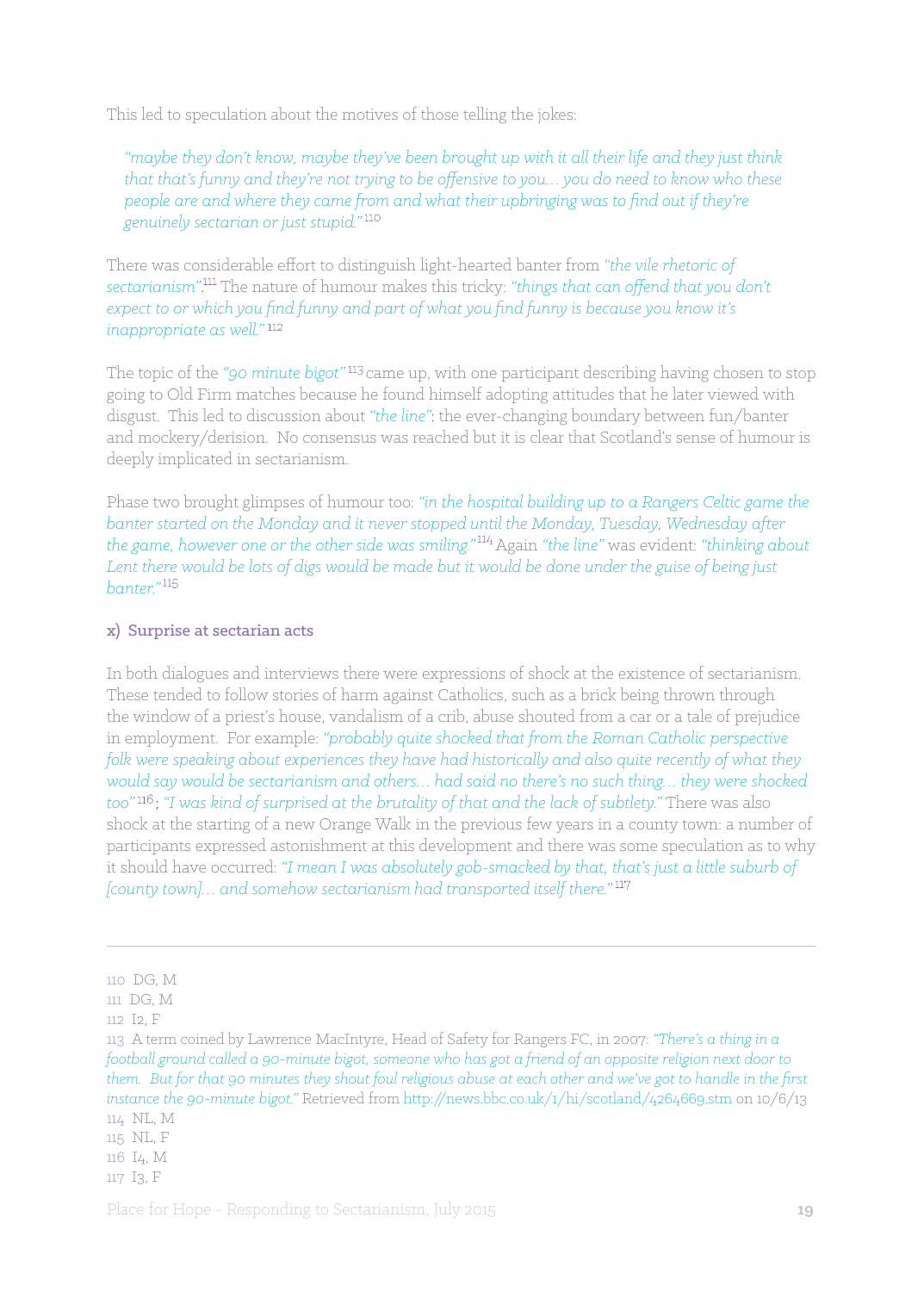This led to speculation about the motives of those telling the jokes:

*"maybe they don't know, maybe they've been brought up with it all their life and they just think that that's funny and they're not trying to be offensive to you… you do need to know who these people are and where they came from and what their upbringing was to find out if they're genuinely sectarian or just stupid."* 

There was considerable effort to distinguish light-hearted banter from *"the vile rhetoric of sectarianism"*. The nature of humour makes this tricky: *"things that can offend that you don't expect to or which you find funny and part of what you find funny is because you know it's inappropriate as well."*

The topic of the "90 minute bigot"<sup>113</sup> came up, with one participant describing having chosen to stop going to Old Firm matches because he found himself adopting attitudes that he later viewed with disgust. This led to discussion about *"the line"*: the ever-changing boundary between fun/banter and mockery/derision. No consensus was reached but it is clear that Scotland's sense of humour is deeply implicated in sectarianism.

Phase two brought glimpses of humour too: *"in the hospital building up to a Rangers Celtic game the banter started on the Monday and it never stopped until the Monday, Tuesday, Wednesday after the game, however one or the other side was smiling."* Again *"the line"* was evident: *"thinking about Lent there would be lots of digs would be made but it would be done under the guise of being just banter."*

#### x) Surprise at sectarian acts

In both dialogues and interviews there were expressions of shock at the existence of sectarianism. These tended to follow stories of harm against Catholics, such as a brick being thrown through the window of a priest's house, vandalism of a crib, abuse shouted from a car or a tale of prejudice in employment. For example: *"probably quite shocked that from the Roman Catholic perspective folk were speaking about experiences they have had historically and also quite recently of what they would say would be sectarianism and others… had said no there's no such thing… they were shocked too"* ; *"I was kind of surprised at the brutality of that and the lack of subtlety."* There was also shock at the starting of a new Orange Walk in the previous few years in a county town: a number of participants expressed astonishment at this development and there was some speculation as to why it should have occurred: *"I mean I was absolutely gob-smacked by that, that's just a little suburb of [county town]… and somehow sectarianism had transported itself there."*

<sup>110</sup> DG, M

<sup>111</sup> DG, M

<sup>112</sup> I2, F

<sup>113</sup> A term coined by Lawrence MacIntyre, Head of Safety for Rangers FC, in 2007: *"There's a thing in a football ground called a 90-minute bigot, someone who has got a friend of an opposite religion next door to them. But for that 90 minutes they shout foul religious abuse at each other and we've got to handle in the first instance the 90-minute bigot."* Retrieved from http://news.bbc.co.uk/1/hi/scotland/4264669.stm on 10/6/13 114 NL, M

<sup>115</sup> NL, F

<sup>116</sup> I4, M

<sup>117</sup> I3, F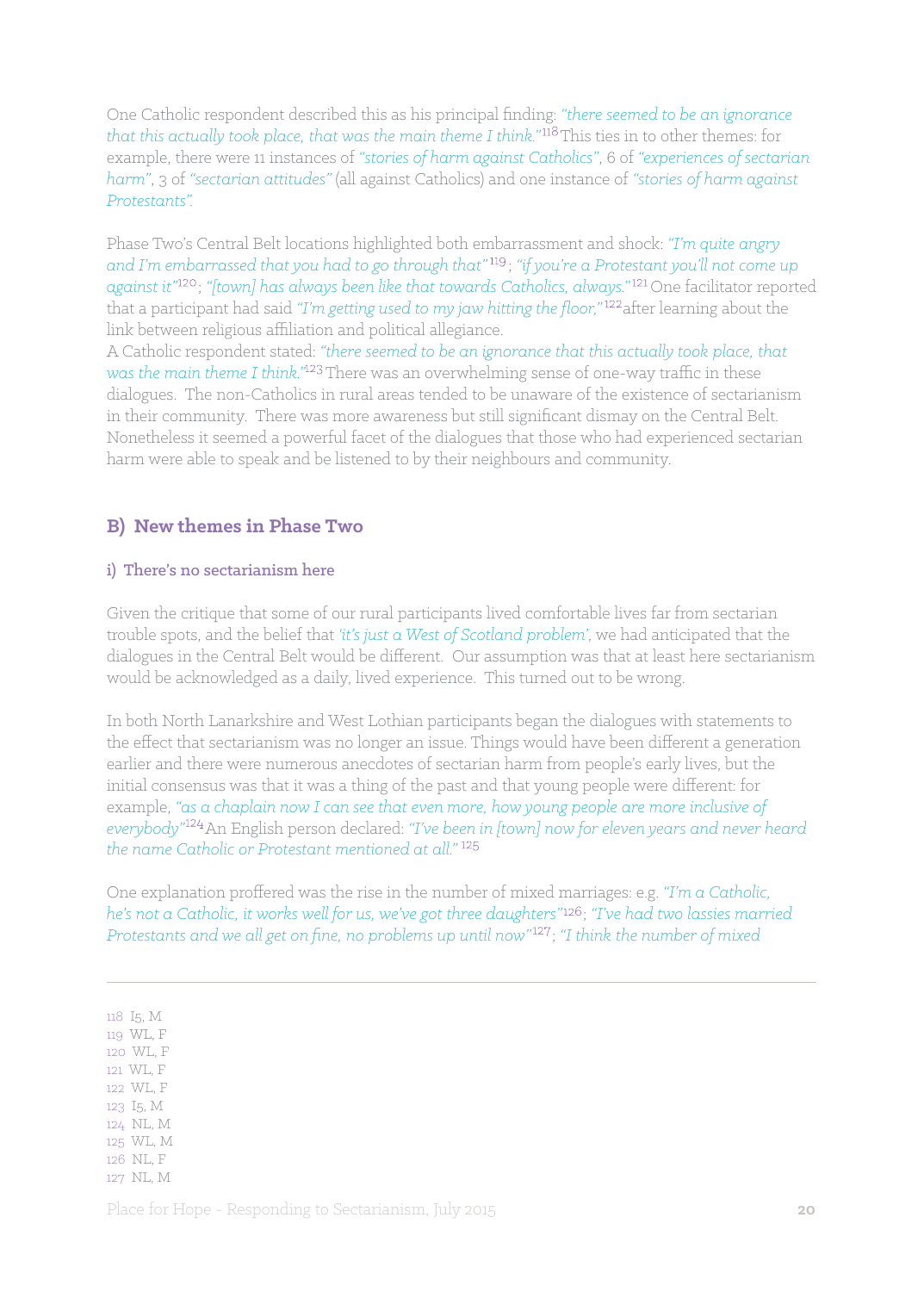One Catholic respondent described this as his principal finding: *"there seemed to be an ignorance that this actually took place, that was the main theme I think."<sup>118</sup>This ties in to other themes: for* example, there were 11 instances of *"stories of harm against Catholics"*, 6 of *"experiences of sectarian harm"*, 3 of *"sectarian attitudes"* (all against Catholics) and one instance of *"stories of harm against Protestants".*

Phase Two's Central Belt locations highlighted both embarrassment and shock: *"I'm quite angry and I'm embarrassed that you had to go through that"* ; *"if you're a Protestant you'll not come up*  against it<sup>"120</sup>; "[town] has always been like that towards Catholics, always."<sup>121</sup> One facilitator reported that a participant had said "I'm getting used to my jaw hitting the floor,"<sup>122</sup> after learning about the link between religious affiliation and political allegiance.

A Catholic respondent stated: *"there seemed to be an ignorance that this actually took place, that was the main theme I think.*"<sup>123</sup> There was an overwhelming sense of one-way traffic in these dialogues. The non-Catholics in rural areas tended to be unaware of the existence of sectarianism in their community. There was more awareness but still significant dismay on the Central Belt. Nonetheless it seemed a powerful facet of the dialogues that those who had experienced sectarian harm were able to speak and be listened to by their neighbours and community.

## **B) New themes in Phase Two**

#### i) There's no sectarianism here

Given the critique that some of our rural participants lived comfortable lives far from sectarian trouble spots, and the belief that *'it's just a West of Scotland problem'*, we had anticipated that the dialogues in the Central Belt would be different. Our assumption was that at least here sectarianism would be acknowledged as a daily, lived experience. This turned out to be wrong.

In both North Lanarkshire and West Lothian participants began the dialogues with statements to the effect that sectarianism was no longer an issue. Things would have been different a generation earlier and there were numerous anecdotes of sectarian harm from people's early lives, but the initial consensus was that it was a thing of the past and that young people were different: for example, *"as a chaplain now I can see that even more, how young people are more inclusive of*  everybody"<sup>124</sup> An English person declared: "*I've been in [town] now for eleven years and never heard the name Catholic or Protestant mentioned at all*<sup>"125</sup>

One explanation proffered was the rise in the number of mixed marriages: e.g. *"I'm a Catholic, he's not a Catholic, it works well for us, we've got three daughters"* ; *"I've had two lassies married Protestants and we all get on fine, no problems up until now*<sup>27</sup>; "I think the number of mixed

119 WL, F 120 WL, F 121 WL, F 122 WL, F

118 I5, M

123 I5, M

124 NL, M

125 WL, M

126 NL, F

127 NL, M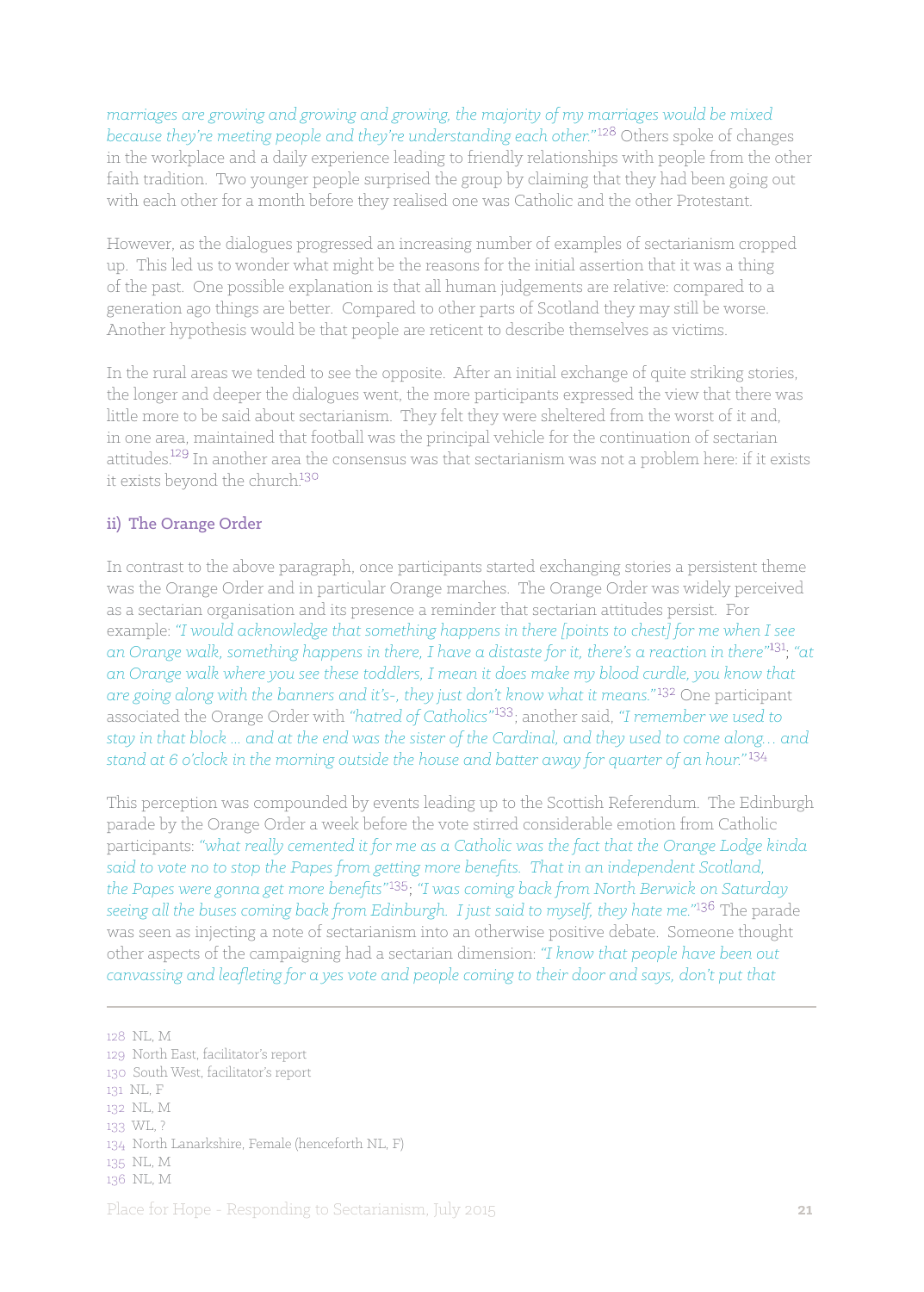*marriages are growing and growing and growing, the majority of my marriages would be mixed because they're meeting people and they're understanding each other.*"<sup>128</sup> Others spoke of changes in the workplace and a daily experience leading to friendly relationships with people from the other faith tradition. Two younger people surprised the group by claiming that they had been going out with each other for a month before they realised one was Catholic and the other Protestant.

However, as the dialogues progressed an increasing number of examples of sectarianism cropped up. This led us to wonder what might be the reasons for the initial assertion that it was a thing of the past. One possible explanation is that all human judgements are relative: compared to a generation ago things are better. Compared to other parts of Scotland they may still be worse. Another hypothesis would be that people are reticent to describe themselves as victims.

In the rural areas we tended to see the opposite. After an initial exchange of quite striking stories, the longer and deeper the dialogues went, the more participants expressed the view that there was little more to be said about sectarianism. They felt they were sheltered from the worst of it and, in one area, maintained that football was the principal vehicle for the continuation of sectarian attitudes.<sup>129</sup> In another area the consensus was that sectarianism was not a problem here: if it exists it exists beyond the church.

#### ii) The Orange Order

In contrast to the above paragraph, once participants started exchanging stories a persistent theme was the Orange Order and in particular Orange marches. The Orange Order was widely perceived as a sectarian organisation and its presence a reminder that sectarian attitudes persist. For example: *"I would acknowledge that something happens in there [points to chest] for me when I see*  an Orange walk, something happens in there, I have a distaste for it, there's a reaction in there"<sup>131</sup>; "at *an Orange walk where you see these toddlers, I mean it does make my blood curdle, you know that are going along with the banners and it's-, they just don't know what it means."* One participant associated the Orange Order with "hatred of Catholics"<sup>133</sup>; another said, "I remember we used to *stay in that block ... and at the end was the sister of the Cardinal, and they used to come along… and stand at 6 o'clock in the morning outside the house and batter away for quarter of an hour."*

This perception was compounded by events leading up to the Scottish Referendum. The Edinburgh parade by the Orange Order a week before the vote stirred considerable emotion from Catholic participants: *"what really cemented it for me as a Catholic was the fact that the Orange Lodge kinda said to vote no to stop the Papes from getting more benefits. That in an independent Scotland, the Papes were gonna get more benefits"* ; *"I was coming back from North Berwick on Saturday*  seeing all the buses coming back from Edinburgh. I just said to myself, they hate me."<sup>136</sup> The parade was seen as injecting a note of sectarianism into an otherwise positive debate. Someone thought other aspects of the campaigning had a sectarian dimension: *"I know that people have been out canvassing and leafleting for a yes vote and people coming to their door and says, don't put that*

128 NL, M 129 North East, facilitator's report 130 South West, facilitator's report 131 NL, F 132 NL, M 133 WL, ? 134 North Lanarkshire, Female (henceforth NL, F) 135 NL, M 136 NL, M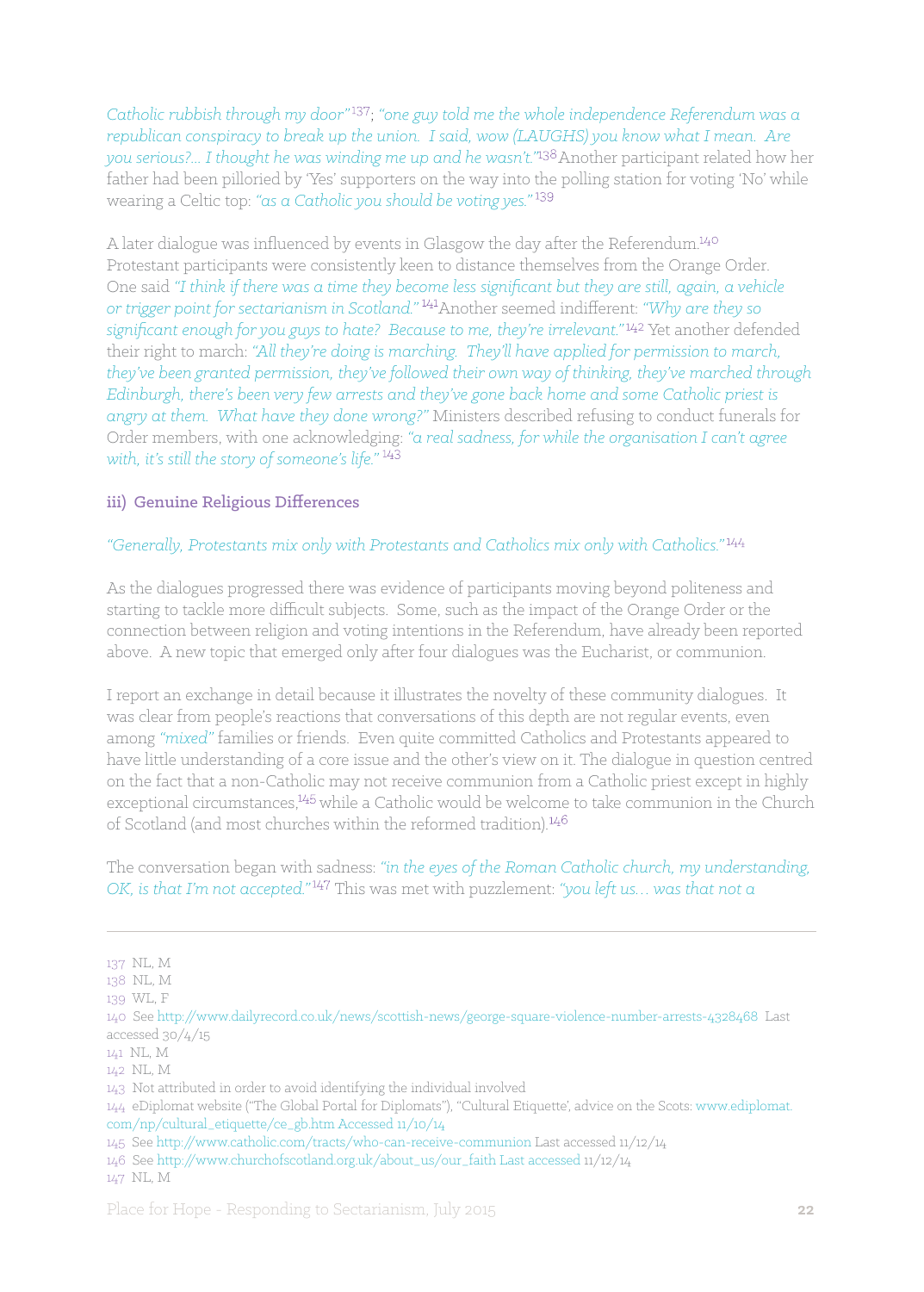*Catholic rubbish through my door*<sup>"137</sup>; "one guy told me the whole independence Referendum was a *republican conspiracy to break up the union. I said, wow (LAUGHS) you know what I mean. Are you serious?... I thought he was winding me up and he wasn't."<sup>138</sup> Another participant related how her* father had been pilloried by 'Yes' supporters on the way into the polling station for voting 'No' while wearing a Celtic top: *"as a Catholic you should be voting yes."*

A later dialogue was influenced by events in Glasgow the day after the Referendum. Protestant participants were consistently keen to distance themselves from the Orange Order. One said *"I think if there was a time they become less significant but they are still, again, a vehicle or trigger point for sectarianism in Scotland."* <sup>141</sup> Another seemed indifferent: "Why are they so significant enough for you guys to hate? Because to me, they're irrelevant."<sup>142</sup> Yet another defended their right to march: *"All they're doing is marching. They'll have applied for permission to march, they've been granted permission, they've followed their own way of thinking, they've marched through Edinburgh, there's been very few arrests and they've gone back home and some Catholic priest is angry at them. What have they done wrong?"* Ministers described refusing to conduct funerals for Order members, with one acknowledging: *"a real sadness, for while the organisation I can't agree with, it's still the story of someone's life."*

#### iii) Genuine Religious Differences

#### *"Generally, Protestants mix only with Protestants and Catholics mix only with Catholics."*

As the dialogues progressed there was evidence of participants moving beyond politeness and starting to tackle more difficult subjects. Some, such as the impact of the Orange Order or the connection between religion and voting intentions in the Referendum, have already been reported above. A new topic that emerged only after four dialogues was the Eucharist, or communion.

I report an exchange in detail because it illustrates the novelty of these community dialogues. It was clear from people's reactions that conversations of this depth are not regular events, even among *"mixed"* families or friends. Even quite committed Catholics and Protestants appeared to have little understanding of a core issue and the other's view on it. The dialogue in question centred on the fact that a non-Catholic may not receive communion from a Catholic priest except in highly exceptional circumstances, $445$  while a Catholic would be welcome to take communion in the Church of Scotland (and most churches within the reformed tradition).

The conversation began with sadness: *"in the eyes of the Roman Catholic church, my understanding, OK, is that I'm not accepted."* This was met with puzzlement: *"you left us… was that not a*

137 NL, M

<sup>138</sup> NL, M

<sup>139</sup> WL, F

<sup>140</sup> See http://www.dailyrecord.co.uk/news/scottish-news/george-square-violence-number-arrests-4328468 Last accessed 30/4/15

<sup>141</sup> NL, M

<sup>142</sup> NL, M

<sup>143</sup> Not attributed in order to avoid identifying the individual involved

<sup>144</sup> eDiplomat website ("The Global Portal for Diplomats"), "Cultural Etiquette', advice on the Scots: www.ediplomat. com/np/cultural\_etiquette/ce\_gb.htm Accessed 11/10/14

<sup>145</sup> See http://www.catholic.com/tracts/who-can-receive-communion Last accessed 11/12/14

<sup>146</sup> See http://www.churchofscotland.org.uk/about\_us/our\_faith Last accessed 11/12/14

<sup>147</sup> NL, M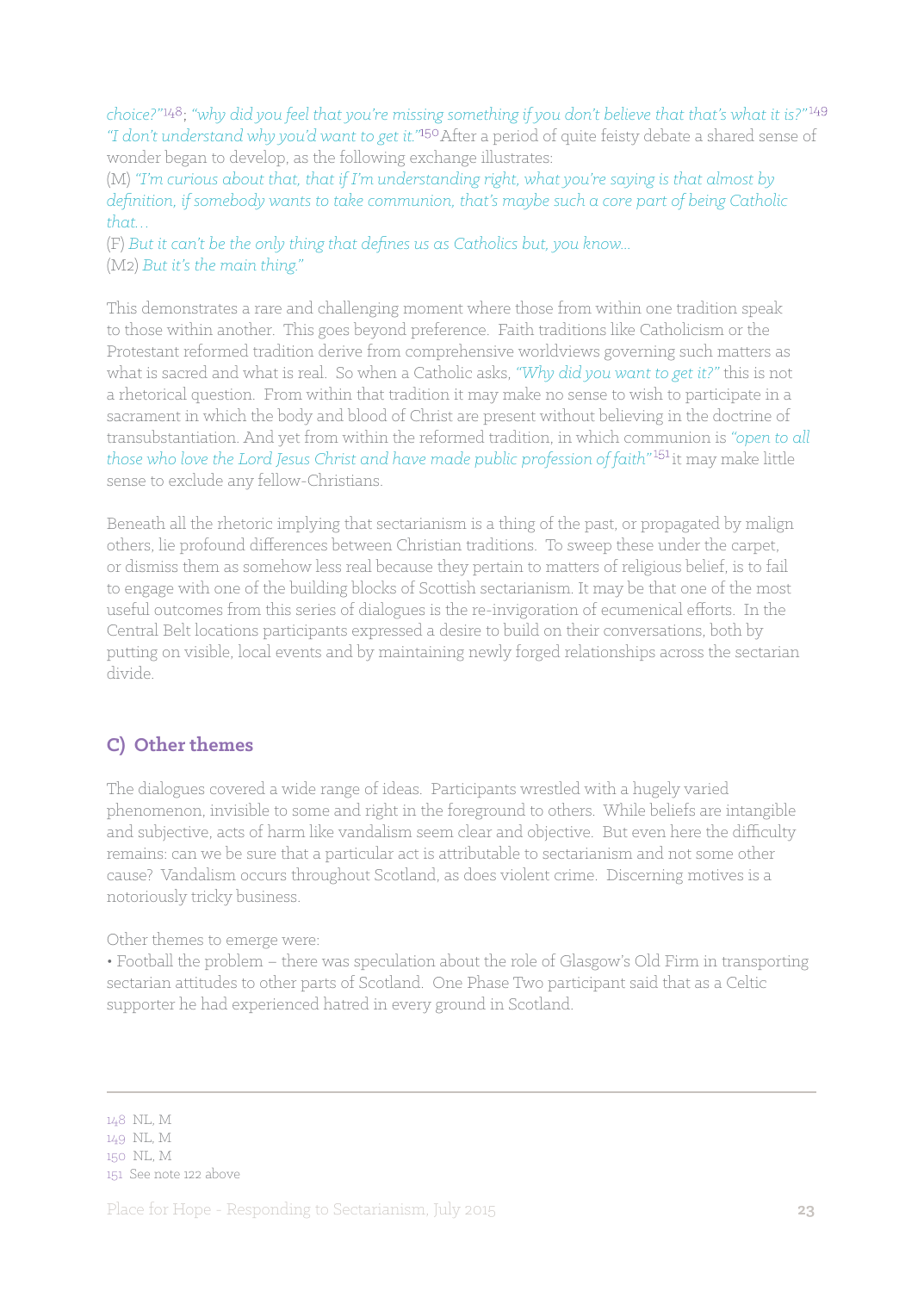*choice?"* ; *"why did you feel that you're missing something if you don't believe that that's what it is?"* "I don't understand why you'd want to get it."<sup>150</sup> After a period of quite feisty debate a shared sense of wonder began to develop, as the following exchange illustrates:

(M) *"I'm curious about that, that if I'm understanding right, what you're saying is that almost by definition, if somebody wants to take communion, that's maybe such a core part of being Catholic that…* 

(F) *But it can't be the only thing that defines us as Catholics but, you know...* (M2) *But it's the main thing."*

This demonstrates a rare and challenging moment where those from within one tradition speak to those within another. This goes beyond preference. Faith traditions like Catholicism or the Protestant reformed tradition derive from comprehensive worldviews governing such matters as what is sacred and what is real. So when a Catholic asks, *"Why did you want to get it?"* this is not a rhetorical question. From within that tradition it may make no sense to wish to participate in a sacrament in which the body and blood of Christ are present without believing in the doctrine of transubstantiation. And yet from within the reformed tradition, in which communion is *"open to all those who love the Lord Jesus Christ and have made public profession of faith"* it may make little sense to exclude any fellow-Christians.

Beneath all the rhetoric implying that sectarianism is a thing of the past, or propagated by malign others, lie profound differences between Christian traditions. To sweep these under the carpet, or dismiss them as somehow less real because they pertain to matters of religious belief, is to fail to engage with one of the building blocks of Scottish sectarianism. It may be that one of the most useful outcomes from this series of dialogues is the re-invigoration of ecumenical efforts. In the Central Belt locations participants expressed a desire to build on their conversations, both by putting on visible, local events and by maintaining newly forged relationships across the sectarian divide.

## **C) Other themes**

The dialogues covered a wide range of ideas. Participants wrestled with a hugely varied phenomenon, invisible to some and right in the foreground to others. While beliefs are intangible and subjective, acts of harm like vandalism seem clear and objective. But even here the difficulty remains: can we be sure that a particular act is attributable to sectarianism and not some other cause? Vandalism occurs throughout Scotland, as does violent crime. Discerning motives is a notoriously tricky business.

Other themes to emerge were:

• Football the problem – there was speculation about the role of Glasgow's Old Firm in transporting sectarian attitudes to other parts of Scotland. One Phase Two participant said that as a Celtic supporter he had experienced hatred in every ground in Scotland.

148 NL, M 149 NL, M 150 NL, M 151 See note 122 above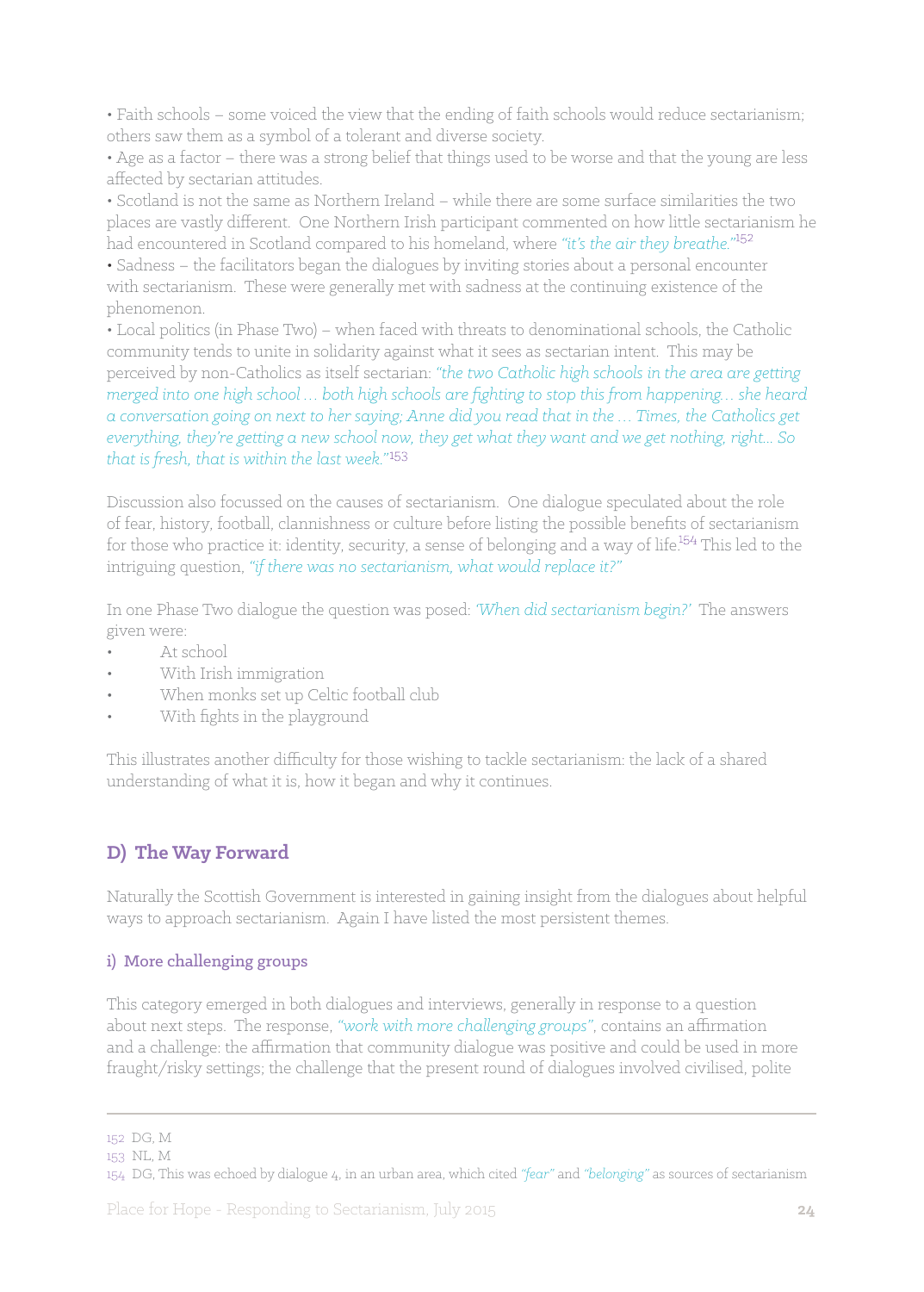• Faith schools – some voiced the view that the ending of faith schools would reduce sectarianism; others saw them as a symbol of a tolerant and diverse society.

• Age as a factor – there was a strong belief that things used to be worse and that the young are less affected by sectarian attitudes.

• Scotland is not the same as Northern Ireland – while there are some surface similarities the two places are vastly different. One Northern Irish participant commented on how little sectarianism he had encountered in Scotland compared to his homeland, where *"it's the air they breathe."*

• Sadness – the facilitators began the dialogues by inviting stories about a personal encounter with sectarianism. These were generally met with sadness at the continuing existence of the phenomenon.

• Local politics (in Phase Two) – when faced with threats to denominational schools, the Catholic community tends to unite in solidarity against what it sees as sectarian intent. This may be perceived by non-Catholics as itself sectarian: *"the two Catholic high schools in the area are getting merged into one high school … both high schools are fighting to stop this from happening… she heard a conversation going on next to her saying; Anne did you read that in the … Times, the Catholics get everything, they're getting a new school now, they get what they want and we get nothing, right... So that is fresh, that is within the last week."*

Discussion also focussed on the causes of sectarianism. One dialogue speculated about the role of fear, history, football, clannishness or culture before listing the possible benefits of sectarianism for those who practice it: identity, security, a sense of belonging and a way of life.<sup>154</sup> This led to the intriguing question, *"if there was no sectarianism, what would replace it?"* 

In one Phase Two dialogue the question was posed: *'When did sectarianism begin?'* The answers given were:

- At school
- With Irish immigration
- When monks set up Celtic football club
- With fights in the playground

This illustrates another difficulty for those wishing to tackle sectarianism: the lack of a shared understanding of what it is, how it began and why it continues.

## **D) The Way Forward**

Naturally the Scottish Government is interested in gaining insight from the dialogues about helpful ways to approach sectarianism. Again I have listed the most persistent themes.

## i) More challenging groups

This category emerged in both dialogues and interviews, generally in response to a question about next steps. The response, *"work with more challenging groups"*, contains an affirmation and a challenge: the affirmation that community dialogue was positive and could be used in more fraught/risky settings; the challenge that the present round of dialogues involved civilised, polite

<sup>152</sup> DG, M

<sup>153</sup> NL, M

<sup>154</sup> DG, This was echoed by dialogue 4, in an urban area, which cited *"fear"* and *"belonging"* as sources of sectarianism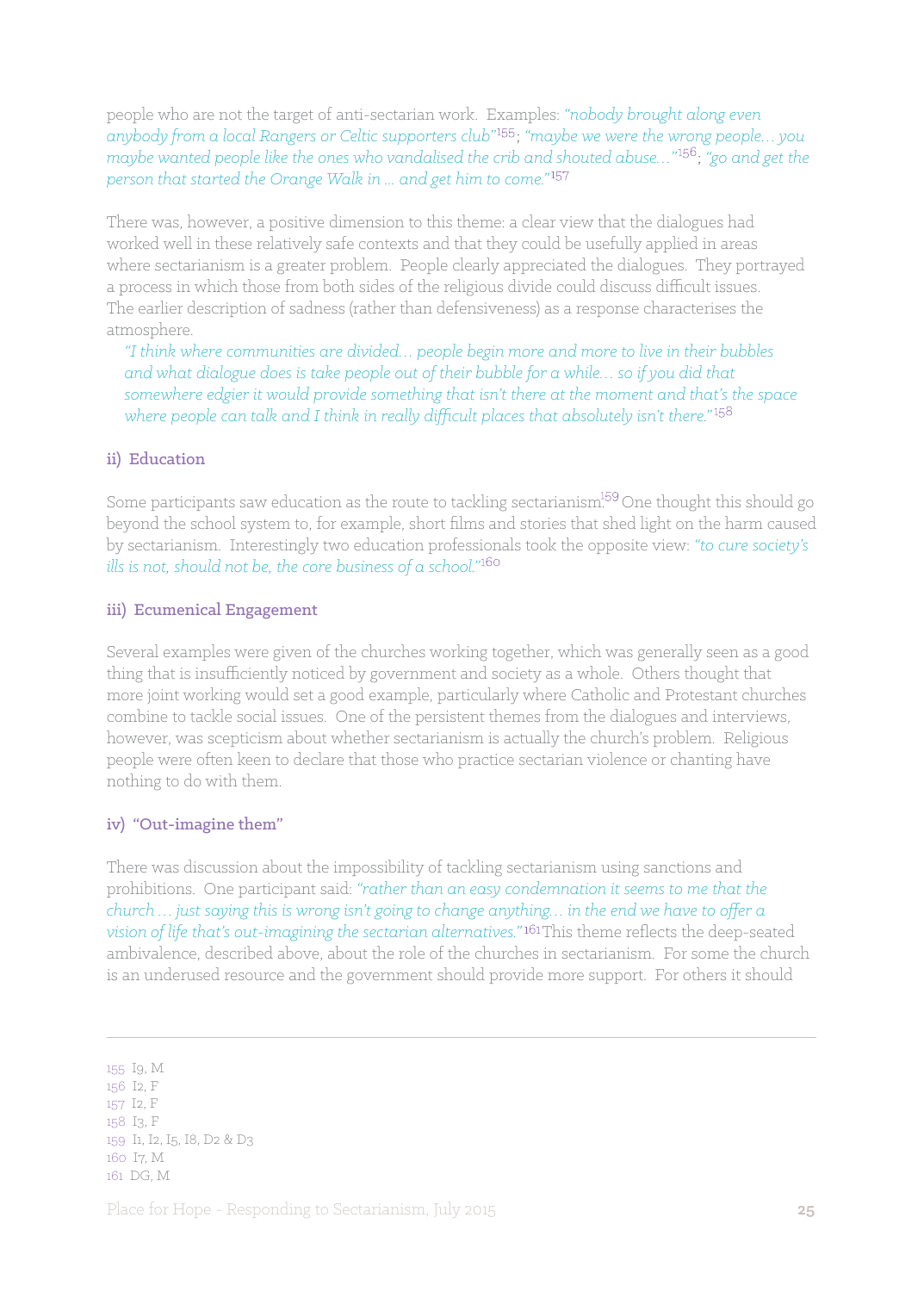people who are not the target of anti-sectarian work. Examples: *"nobody brought along even anybody from a local Rangers or Celtic supporters club"* ; *"maybe we were the wrong people… you maybe wanted people like the ones who vandalised the crib and shouted abuse...*"<sup>156</sup>; "go and get the *person that started the Orange Walk in ... and get him to come."*

There was, however, a positive dimension to this theme: a clear view that the dialogues had worked well in these relatively safe contexts and that they could be usefully applied in areas where sectarianism is a greater problem. People clearly appreciated the dialogues. They portrayed a process in which those from both sides of the religious divide could discuss difficult issues. The earlier description of sadness (rather than defensiveness) as a response characterises the atmosphere.

*"I think where communities are divided… people begin more and more to live in their bubbles and what dialogue does is take people out of their bubble for a while… so if you did that somewhere edgier it would provide something that isn't there at the moment and that's the space where people can talk and I think in really difficult places that absolutely isn't there."*

#### ii) Education

Some participants saw education as the route to tackling sectarianism.<sup>159</sup> One thought this should go beyond the school system to, for example, short films and stories that shed light on the harm caused by sectarianism. Interestingly two education professionals took the opposite view: *"to cure society's ills is not, should not be, the core business of a school."*

#### iii) Ecumenical Engagement

Several examples were given of the churches working together, which was generally seen as a good thing that is insufficiently noticed by government and society as a whole. Others thought that more joint working would set a good example, particularly where Catholic and Protestant churches combine to tackle social issues. One of the persistent themes from the dialogues and interviews, however, was scepticism about whether sectarianism is actually the church's problem. Religious people were often keen to declare that those who practice sectarian violence or chanting have nothing to do with them.

## iv) "Out-imagine them"

There was discussion about the impossibility of tackling sectarianism using sanctions and prohibitions. One participant said: *"rather than an easy condemnation it seems to me that the church … just saying this is wrong isn't going to change anything… in the end we have to offer a*  vision of life that's out-imagining the sectarian alternatives."<sup>161</sup>This theme reflects the deep-seated ambivalence, described above, about the role of the churches in sectarianism. For some the church is an underused resource and the government should provide more support. For others it should

155 I9, M

156 I2, F 157 I2, F 158 I3, F 159 I1, I2, I5, I8, D2 & D3 160 I7, M 161 DG, M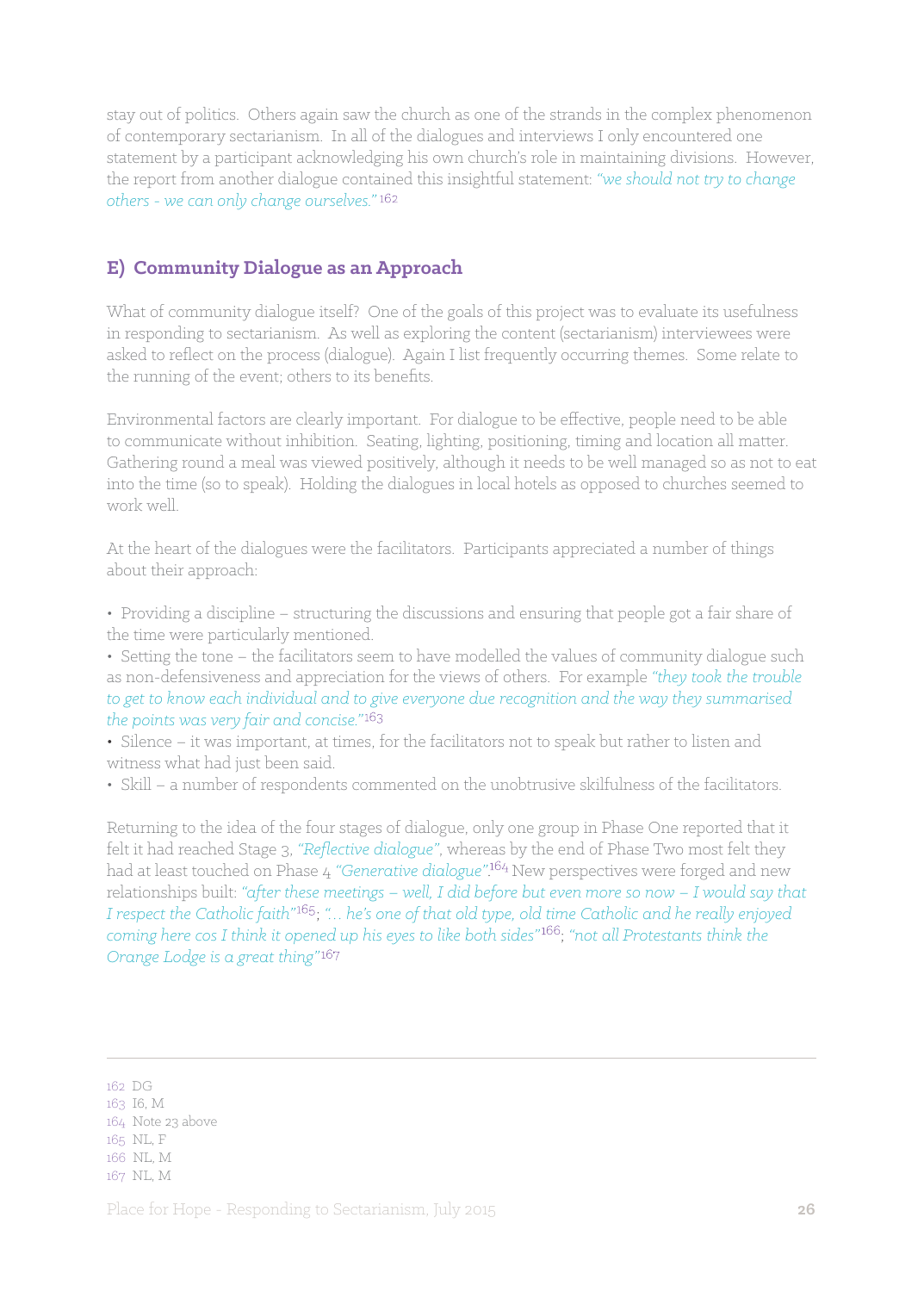stay out of politics. Others again saw the church as one of the strands in the complex phenomenon of contemporary sectarianism. In all of the dialogues and interviews I only encountered one statement by a participant acknowledging his own church's role in maintaining divisions. However, the report from another dialogue contained this insightful statement: *"we should not try to change others - we can only change ourselves."*

## **E) Community Dialogue as an Approach**

What of community dialogue itself? One of the goals of this project was to evaluate its usefulness in responding to sectarianism. As well as exploring the content (sectarianism) interviewees were asked to reflect on the process (dialogue). Again I list frequently occurring themes. Some relate to the running of the event; others to its benefits.

Environmental factors are clearly important. For dialogue to be effective, people need to be able to communicate without inhibition. Seating, lighting, positioning, timing and location all matter. Gathering round a meal was viewed positively, although it needs to be well managed so as not to eat into the time (so to speak). Holding the dialogues in local hotels as opposed to churches seemed to work well.

At the heart of the dialogues were the facilitators. Participants appreciated a number of things about their approach:

• Providing a discipline – structuring the discussions and ensuring that people got a fair share of the time were particularly mentioned.

• Setting the tone – the facilitators seem to have modelled the values of community dialogue such as non-defensiveness and appreciation for the views of others. For example *"they took the trouble to get to know each individual and to give everyone due recognition and the way they summarised the points was very fair and concise."* 

• Silence – it was important, at times, for the facilitators not to speak but rather to listen and witness what had just been said.

• Skill – a number of respondents commented on the unobtrusive skilfulness of the facilitators.

Returning to the idea of the four stages of dialogue, only one group in Phase One reported that it felt it had reached Stage 3, *"Reflective dialogue"*, whereas by the end of Phase Two most felt they had at least touched on Phase 4 *"Generative dialogue"*. New perspectives were forged and new relationships built: *"after these meetings – well, I did before but even more so now – I would say that I* respect the Catholic faith"<sup>165</sup>; "... he's one of that old type, old time Catholic and he really enjoyed *coming here cos I think it opened up his eyes to like both sides"* ; *"not all Protestants think the Orange Lodge is a great thing"*

- 162 DG
- 163 I6, M
- 164 Note 23 above
- 165 NL, F
- 166 NL, M 167 NL, M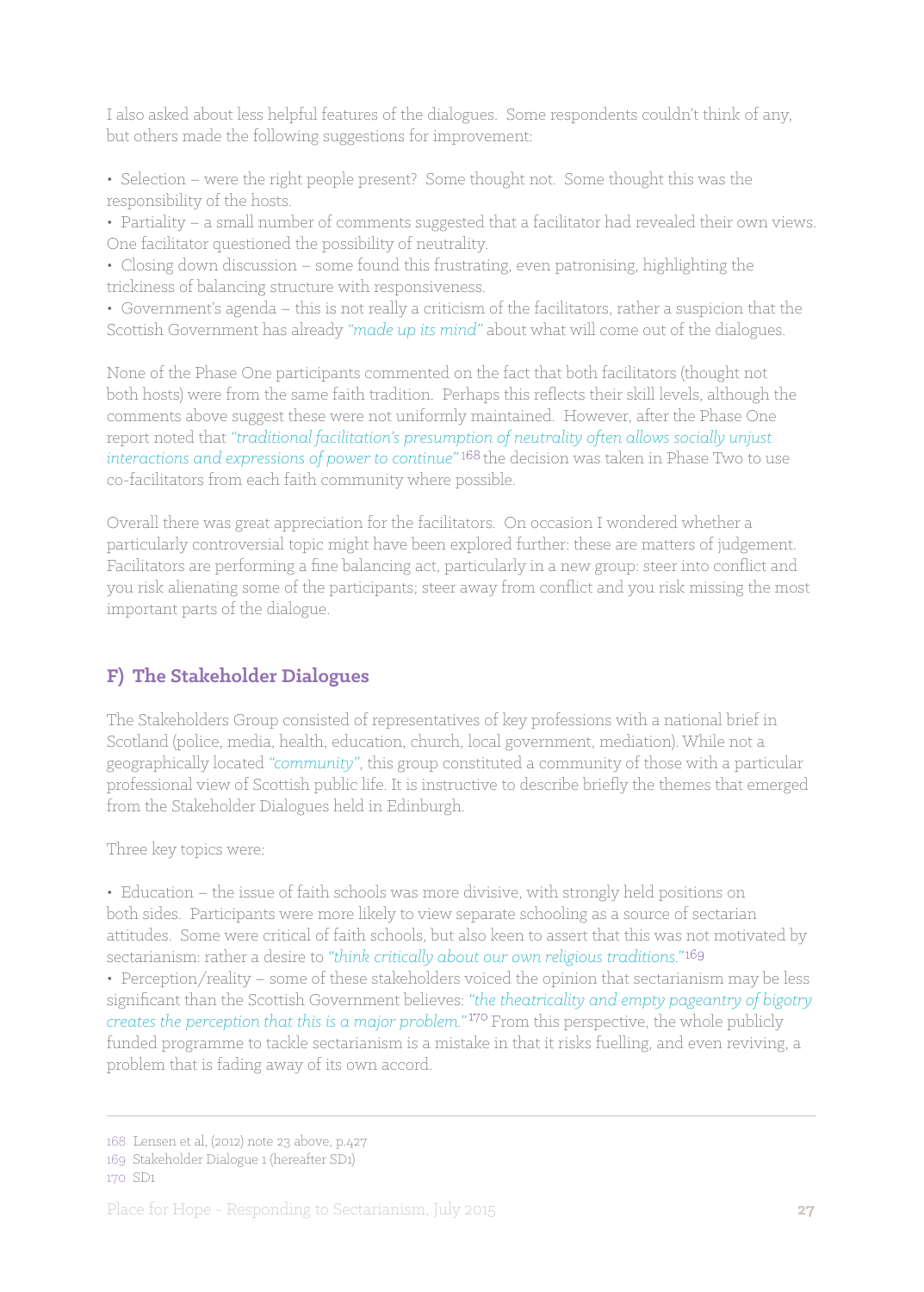I also asked about less helpful features of the dialogues. Some respondents couldn't think of any, but others made the following suggestions for improvement:

• Selection – were the right people present? Some thought not. Some thought this was the responsibility of the hosts.

• Partiality – a small number of comments suggested that a facilitator had revealed their own views. One facilitator questioned the possibility of neutrality.

• Closing down discussion – some found this frustrating, even patronising, highlighting the trickiness of balancing structure with responsiveness.

• Government's agenda – this is not really a criticism of the facilitators, rather a suspicion that the Scottish Government has already *"made up its mind"* about what will come out of the dialogues.

None of the Phase One participants commented on the fact that both facilitators (thought not both hosts) were from the same faith tradition. Perhaps this reflects their skill levels, although the comments above suggest these were not uniformly maintained. However, after the Phase One report noted that *"traditional facilitation's presumption of neutrality often allows socially unjust interactions and expressions of power to continue"* the decision was taken in Phase Two to use co-facilitators from each faith community where possible.

Overall there was great appreciation for the facilitators. On occasion I wondered whether a particularly controversial topic might have been explored further: these are matters of judgement. Facilitators are performing a fine balancing act, particularly in a new group: steer into conflict and you risk alienating some of the participants; steer away from conflict and you risk missing the most important parts of the dialogue.

## **F) The Stakeholder Dialogues**

The Stakeholders Group consisted of representatives of key professions with a national brief in Scotland (police, media, health, education, church, local government, mediation). While not a geographically located *"community"*, this group constituted a community of those with a particular professional view of Scottish public life. It is instructive to describe briefly the themes that emerged from the Stakeholder Dialogues held in Edinburgh.

Three key topics were:

• Education – the issue of faith schools was more divisive, with strongly held positions on both sides. Participants were more likely to view separate schooling as a source of sectarian attitudes. Some were critical of faith schools, but also keen to assert that this was not motivated by sectarianism: rather a desire to *"think critically about our own religious traditions."*

• Perception/reality – some of these stakeholders voiced the opinion that sectarianism may be less significant than the Scottish Government believes: *"the theatricality and empty pageantry of bigotry creates the perception that this is a major problem."* From this perspective, the whole publicly funded programme to tackle sectarianism is a mistake in that it risks fuelling, and even reviving, a problem that is fading away of its own accord.

<sup>168</sup> Lensen et al, (2012) note 23 above, p.427

<sup>169</sup> Stakeholder Dialogue 1 (hereafter SD1)

<sup>170</sup> SD1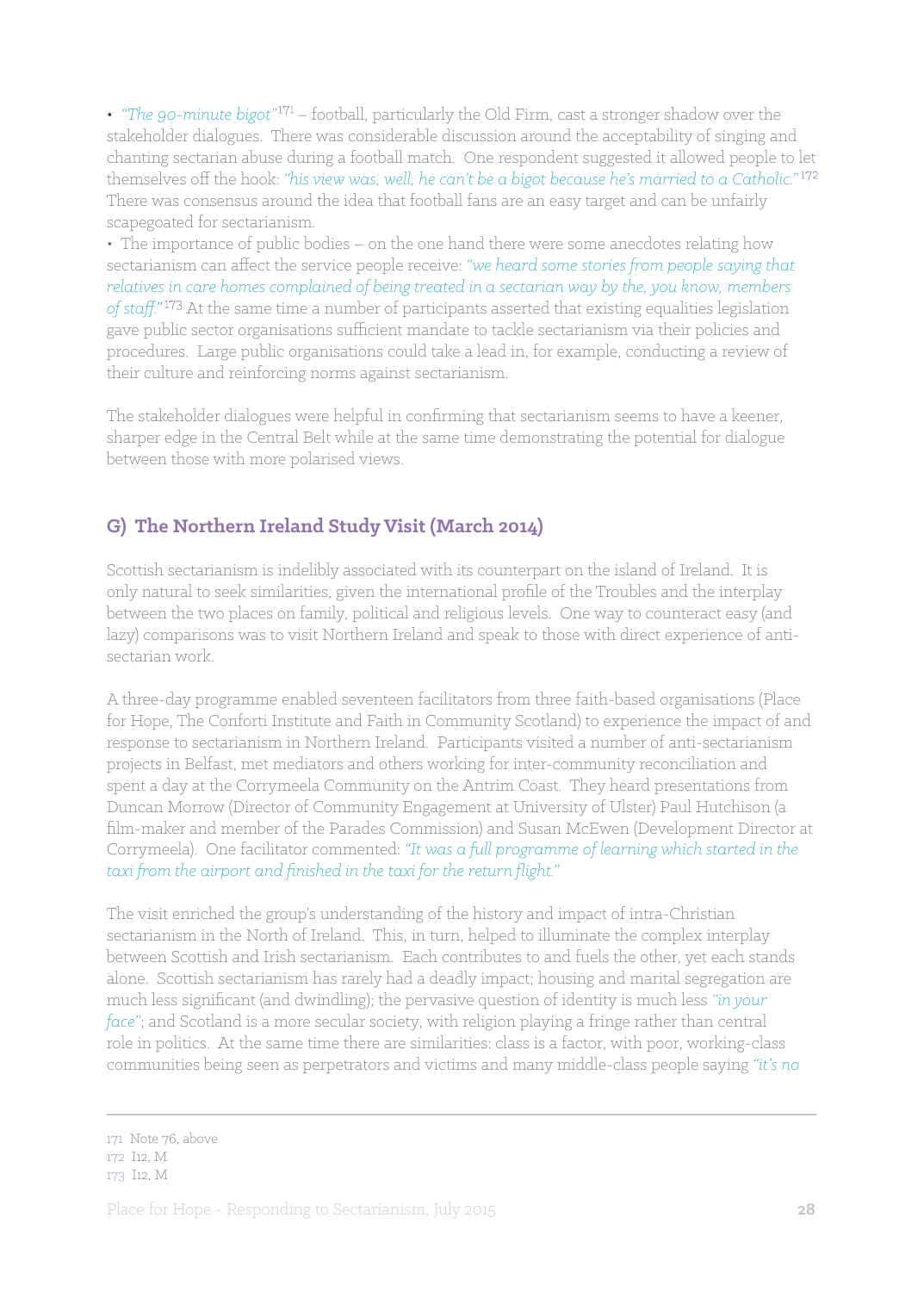• *"The 90-minute bigot"* – football, particularly the Old Firm, cast a stronger shadow over the stakeholder dialogues. There was considerable discussion around the acceptability of singing and chanting sectarian abuse during a football match. One respondent suggested it allowed people to let themselves off the hook: *"his view was, well, he can't be a bigot because he's married to a Catholic."*  There was consensus around the idea that football fans are an easy target and can be unfairly scapegoated for sectarianism.

• The importance of public bodies – on the one hand there were some anecdotes relating how sectarianism can affect the service people receive: *"we heard some stories from people saying that relatives in care homes complained of being treated in a sectarian way by the, you know, members*  of staff."<sup>173</sup> At the same time a number of participants asserted that existing equalities legislation gave public sector organisations sufficient mandate to tackle sectarianism via their policies and procedures. Large public organisations could take a lead in, for example, conducting a review of their culture and reinforcing norms against sectarianism.

The stakeholder dialogues were helpful in confirming that sectarianism seems to have a keener, sharper edge in the Central Belt while at the same time demonstrating the potential for dialogue between those with more polarised views.

## **G) The Northern Ireland Study Visit (March 2014)**

Scottish sectarianism is indelibly associated with its counterpart on the island of Ireland. It is only natural to seek similarities, given the international profile of the Troubles and the interplay between the two places on family, political and religious levels. One way to counteract easy (and lazy) comparisons was to visit Northern Ireland and speak to those with direct experience of antisectarian work.

A three-day programme enabled seventeen facilitators from three faith-based organisations (Place for Hope, The Conforti Institute and Faith in Community Scotland) to experience the impact of and response to sectarianism in Northern Ireland. Participants visited a number of anti-sectarianism projects in Belfast, met mediators and others working for inter-community reconciliation and spent a day at the Corrymeela Community on the Antrim Coast. They heard presentations from Duncan Morrow (Director of Community Engagement at University of Ulster) Paul Hutchison (a film-maker and member of the Parades Commission) and Susan McEwen (Development Director at Corrymeela). One facilitator commented: *"It was a full programme of learning which started in the taxi from the airport and finished in the taxi for the return flight."*

The visit enriched the group's understanding of the history and impact of intra-Christian sectarianism in the North of Ireland. This, in turn, helped to illuminate the complex interplay between Scottish and Irish sectarianism. Each contributes to and fuels the other, yet each stands alone. Scottish sectarianism has rarely had a deadly impact; housing and marital segregation are much less significant (and dwindling); the pervasive question of identity is much less *"in your face"*; and Scotland is a more secular society, with religion playing a fringe rather than central role in politics. At the same time there are similarities: class is a factor, with poor, working-class communities being seen as perpetrators and victims and many middle-class people saying *"it's no* 

<sup>171</sup> Note 76, above

<sup>172</sup> I12, M

<sup>173</sup> I12, M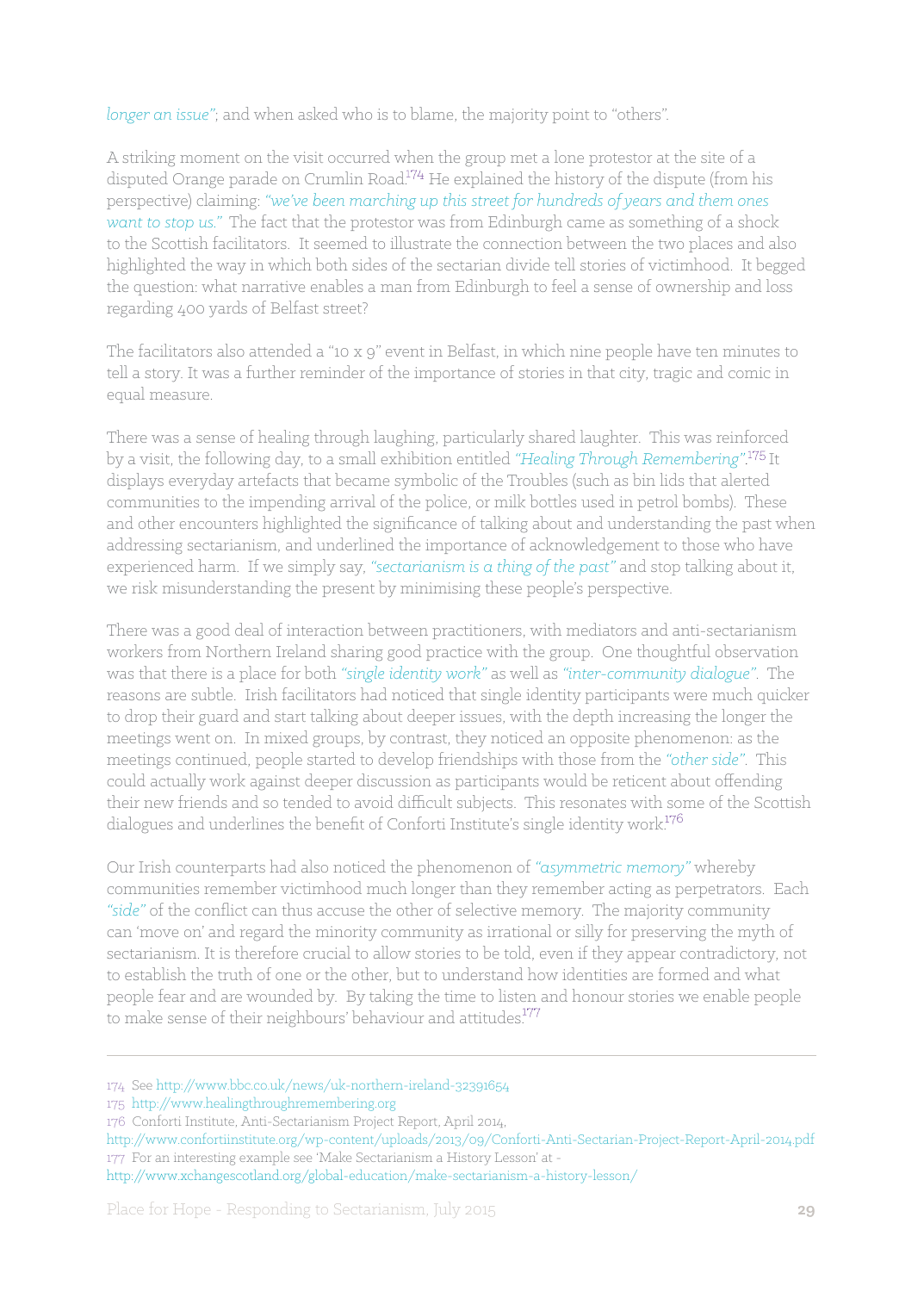*longer an issue"*; and when asked who is to blame, the majority point to "others".

A striking moment on the visit occurred when the group met a lone protestor at the site of a disputed Orange parade on Crumlin Road. $174$  He explained the history of the dispute (from his perspective) claiming: *"we've been marching up this street for hundreds of years and them ones want to stop us."* The fact that the protestor was from Edinburgh came as something of a shock to the Scottish facilitators. It seemed to illustrate the connection between the two places and also highlighted the way in which both sides of the sectarian divide tell stories of victimhood. It begged the question: what narrative enables a man from Edinburgh to feel a sense of ownership and loss regarding 400 yards of Belfast street?

The facilitators also attended a "10 x 9" event in Belfast, in which nine people have ten minutes to tell a story. It was a further reminder of the importance of stories in that city, tragic and comic in equal measure.

There was a sense of healing through laughing, particularly shared laughter. This was reinforced by a visit, the following day, to a small exhibition entitled *"Healing Through Remembering"*. It displays everyday artefacts that became symbolic of the Troubles (such as bin lids that alerted communities to the impending arrival of the police, or milk bottles used in petrol bombs). These and other encounters highlighted the significance of talking about and understanding the past when addressing sectarianism, and underlined the importance of acknowledgement to those who have experienced harm. If we simply say, *"sectarianism is a thing of the past"* and stop talking about it, we risk misunderstanding the present by minimising these people's perspective.

There was a good deal of interaction between practitioners, with mediators and anti-sectarianism workers from Northern Ireland sharing good practice with the group. One thoughtful observation was that there is a place for both *"single identity work"* as well as *"inter-community dialogue"*. The reasons are subtle. Irish facilitators had noticed that single identity participants were much quicker to drop their guard and start talking about deeper issues, with the depth increasing the longer the meetings went on. In mixed groups, by contrast, they noticed an opposite phenomenon: as the meetings continued, people started to develop friendships with those from the *"other side"*. This could actually work against deeper discussion as participants would be reticent about offending their new friends and so tended to avoid difficult subjects. This resonates with some of the Scottish dialogues and underlines the benefit of Conforti Institute's single identity work.<sup>176</sup>

Our Irish counterparts had also noticed the phenomenon of *"asymmetric memory"* whereby communities remember victimhood much longer than they remember acting as perpetrators. Each *"side"* of the conflict can thus accuse the other of selective memory. The majority community can 'move on' and regard the minority community as irrational or silly for preserving the myth of sectarianism. It is therefore crucial to allow stories to be told, even if they appear contradictory, not to establish the truth of one or the other, but to understand how identities are formed and what people fear and are wounded by. By taking the time to listen and honour stories we enable people to make sense of their neighbours' behaviour and attitudes.<sup>177</sup>

<sup>174</sup> See http://www.bbc.co.uk/news/uk-northern-ireland-32391654

<sup>175</sup> http://www.healingthroughremembering.org

<sup>176</sup> Conforti Institute, Anti-Sectarianism Project Report, April 2014,

http://www.confortiinstitute.org/wp-content/uploads/2013/09/Conforti-Anti-Sectarian-Project-Report-April-2014.pdf 177 For an interesting example see 'Make Sectarianism a History Lesson' at -

http://www.xchangescotland.org/global-education/make-sectarianism-a-history-lesson/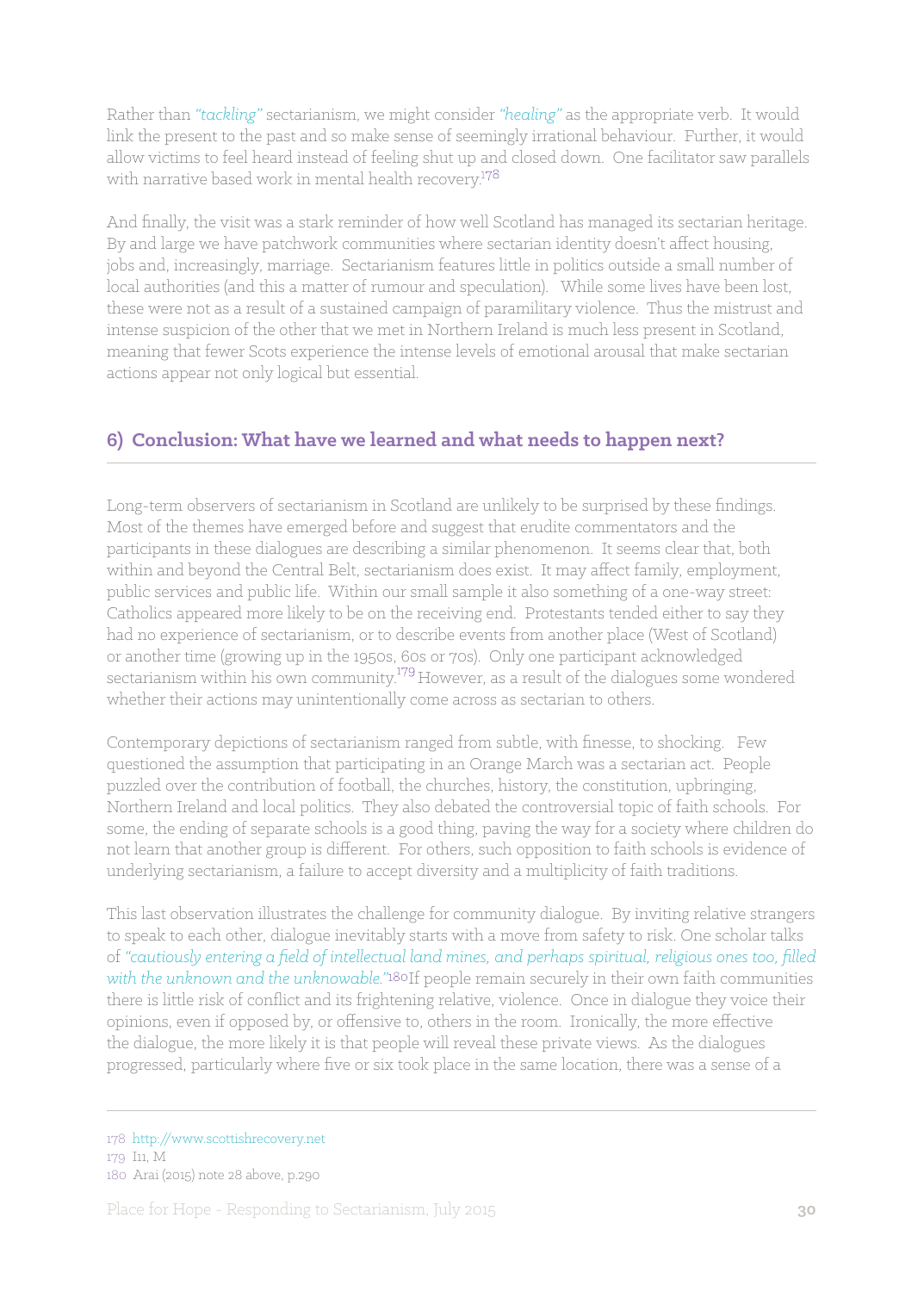Rather than *"tackling"* sectarianism, we might consider *"healing"* as the appropriate verb. It would link the present to the past and so make sense of seemingly irrational behaviour. Further, it would allow victims to feel heard instead of feeling shut up and closed down. One facilitator saw parallels with narrative based work in mental health recovery.<sup>178</sup>

And finally, the visit was a stark reminder of how well Scotland has managed its sectarian heritage. By and large we have patchwork communities where sectarian identity doesn't affect housing, jobs and, increasingly, marriage. Sectarianism features little in politics outside a small number of local authorities (and this a matter of rumour and speculation). While some lives have been lost, these were not as a result of a sustained campaign of paramilitary violence. Thus the mistrust and intense suspicion of the other that we met in Northern Ireland is much less present in Scotland, meaning that fewer Scots experience the intense levels of emotional arousal that make sectarian actions appear not only logical but essential.

## **6) Conclusion: What have we learned and what needs to happen next?**

Long-term observers of sectarianism in Scotland are unlikely to be surprised by these findings. Most of the themes have emerged before and suggest that erudite commentators and the participants in these dialogues are describing a similar phenomenon. It seems clear that, both within and beyond the Central Belt, sectarianism does exist. It may affect family, employment, public services and public life. Within our small sample it also something of a one-way street: Catholics appeared more likely to be on the receiving end. Protestants tended either to say they had no experience of sectarianism, or to describe events from another place (West of Scotland) or another time (growing up in the 1950s, 60s or 70s). Only one participant acknowledged sectarianism within his own community.<sup>179</sup> However, as a result of the dialogues some wondered whether their actions may unintentionally come across as sectarian to others.

Contemporary depictions of sectarianism ranged from subtle, with finesse, to shocking. Few questioned the assumption that participating in an Orange March was a sectarian act. People puzzled over the contribution of football, the churches, history, the constitution, upbringing, Northern Ireland and local politics. They also debated the controversial topic of faith schools. For some, the ending of separate schools is a good thing, paving the way for a society where children do not learn that another group is different. For others, such opposition to faith schools is evidence of underlying sectarianism, a failure to accept diversity and a multiplicity of faith traditions.

This last observation illustrates the challenge for community dialogue. By inviting relative strangers to speak to each other, dialogue inevitably starts with a move from safety to risk. One scholar talks of *"cautiously entering a field of intellectual land mines, and perhaps spiritual, religious ones too, filled*  with the unknown and the unknowable."<sup>180</sup>If people remain securely in their own faith communities there is little risk of conflict and its frightening relative, violence. Once in dialogue they voice their opinions, even if opposed by, or offensive to, others in the room. Ironically, the more effective the dialogue, the more likely it is that people will reveal these private views. As the dialogues progressed, particularly where five or six took place in the same location, there was a sense of a

<sup>178</sup> http://www.scottishrecovery.net 179 I11, M 180 Arai (2015) note 28 above, p.290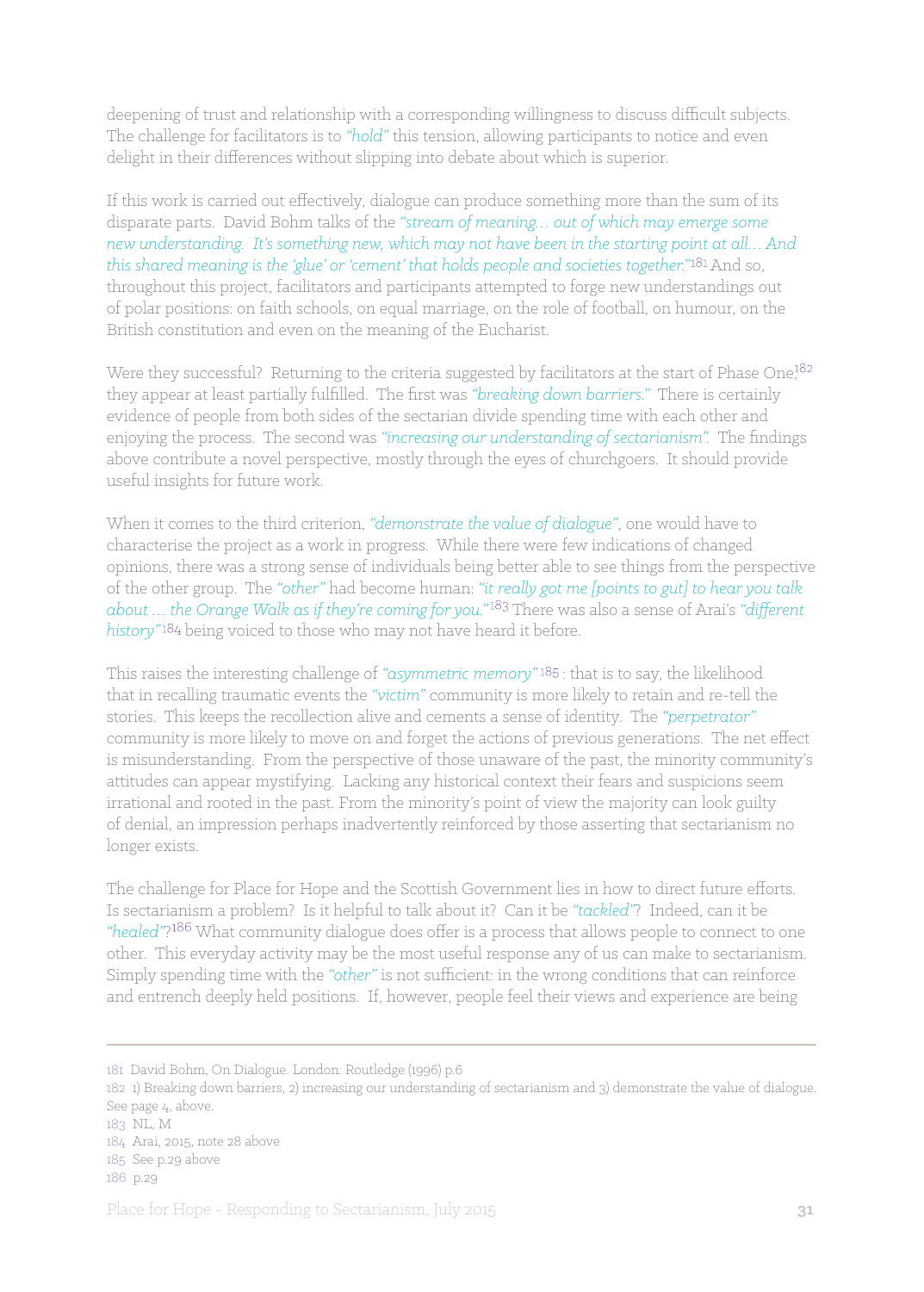deepening of trust and relationship with a corresponding willingness to discuss difficult subjects. The challenge for facilitators is to *"hold"* this tension, allowing participants to notice and even delight in their differences without slipping into debate about which is superior.

If this work is carried out effectively, dialogue can produce something more than the sum of its disparate parts. David Bohm talks of the *"stream of meaning… out of which may emerge some new understanding. It's something new, which may not have been in the starting point at all… And this shared meaning is the 'glue' or 'cement' that holds people and societies together."<sup>181</sup> And so,* throughout this project, facilitators and participants attempted to forge new understandings out of polar positions: on faith schools, on equal marriage, on the role of football, on humour, on the British constitution and even on the meaning of the Eucharist.

Were they successful? Returning to the criteria suggested by facilitators at the start of Phase One,<sup>182</sup> they appear at least partially fulfilled. The first was *"breaking down barriers."* There is certainly evidence of people from both sides of the sectarian divide spending time with each other and enjoying the process. The second was *"increasing our understanding of sectarianism".* The findings above contribute a novel perspective, mostly through the eyes of churchgoers. It should provide useful insights for future work.

When it comes to the third criterion, *"demonstrate the value of dialogue"*, one would have to characterise the project as a work in progress. While there were few indications of changed opinions, there was a strong sense of individuals being better able to see things from the perspective of the other group. The *"other"* had become human: *"it really got me [points to gut] to hear you talk about … the Orange Walk as if they're coming for you."* There was also a sense of Arai's *"different*  history"<sup>184</sup> being voiced to those who may not have heard it before.

This raises the interesting challenge of "asymmetric memory"<sup>185</sup>: that is to say, the likelihood that in recalling traumatic events the *"victim"* community is more likely to retain and re-tell the stories. This keeps the recollection alive and cements a sense of identity. The *"perpetrator"* community is more likely to move on and forget the actions of previous generations. The net effect is misunderstanding. From the perspective of those unaware of the past, the minority community's attitudes can appear mystifying. Lacking any historical context their fears and suspicions seem irrational and rooted in the past. From the minority's point of view the majority can look guilty of denial, an impression perhaps inadvertently reinforced by those asserting that sectarianism no longer exists.

The challenge for Place for Hope and the Scottish Government lies in how to direct future efforts. Is sectarianism a problem? Is it helpful to talk about it? Can it be *"tackled"*? Indeed, can it be *"healed"*? What community dialogue does offer is a process that allows people to connect to one other. This everyday activity may be the most useful response any of us can make to sectarianism. Simply spending time with the *"other"* is not sufficient: in the wrong conditions that can reinforce and entrench deeply held positions. If, however, people feel their views and experience are being

<sup>181</sup> David Bohm, On Dialogue. London: Routledge (1996) p.6

<sup>182 1)</sup> Breaking down barriers, 2) increasing our understanding of sectarianism and 3) demonstrate the value of dialogue. See page 4, above.

<sup>183</sup> NL, M

<sup>184</sup> Arai, 2015, note 28 above

<sup>185</sup> See p.29 above

<sup>186</sup> p.29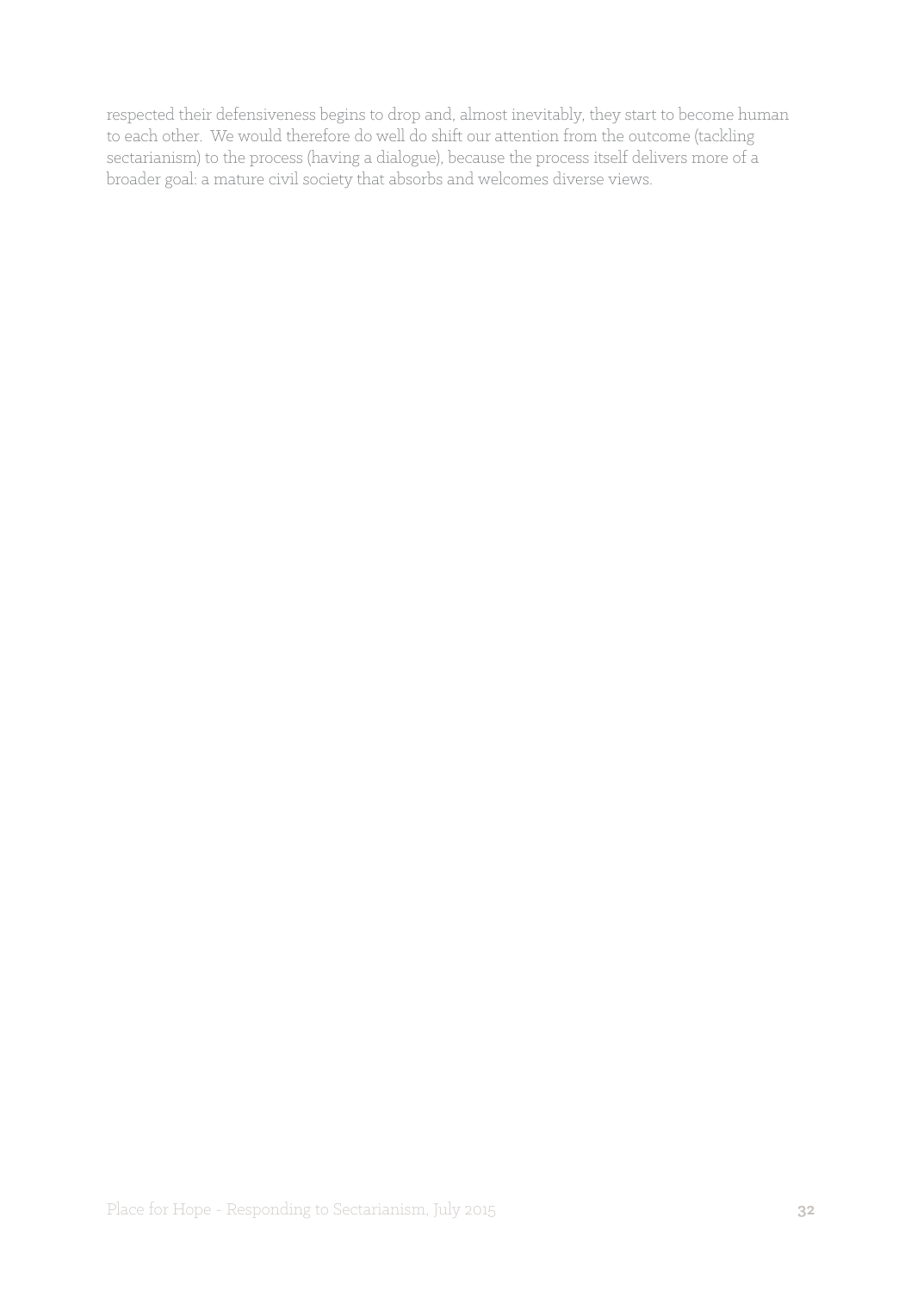respected their defensiveness begins to drop and, almost inevitably, they start to become human to each other. We would therefore do well do shift our attention from the outcome (tackling sectarianism) to the process (having a dialogue), because the process itself delivers more of a broader goal: a mature civil society that absorbs and welcomes diverse views.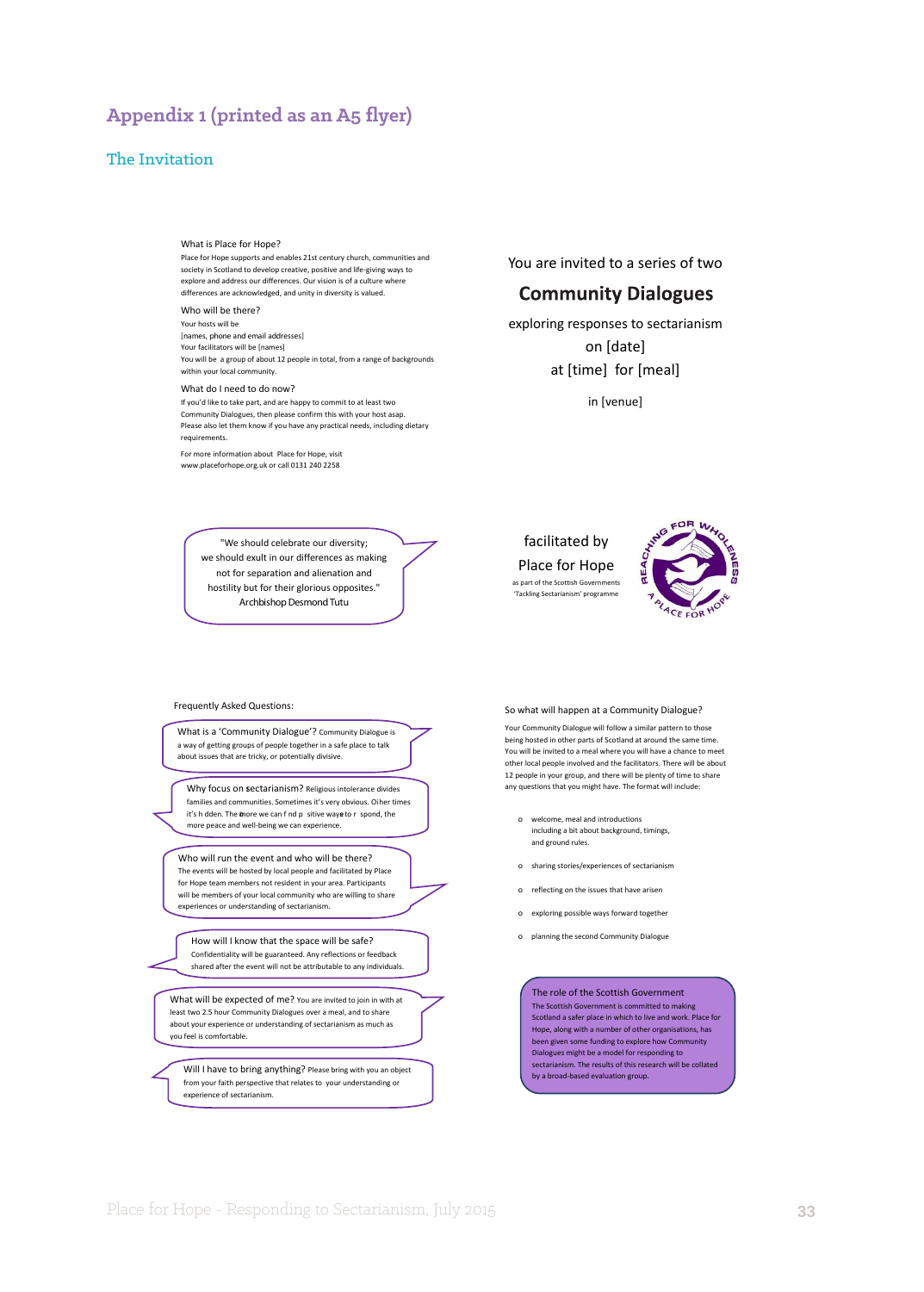## **Appendix 1 (printed as an A5 flyer)**

#### The Invitation

#### What is Place for Hope?

Place for Hope supports and enables 21st century church, communities and society in Scotland to develop creative, positive and life-giving ways to explore and address our differences. Our vision is of a culture where differences are acknowledged, and unity in diversity is valued.

#### Who will be there?

Your hosts will be **[names, phone and email addresses]** Your facilitators will be [names] You will be a group of about 12 people in total, from a range of backgrounds within your local community.

#### What do I need to do now?

If you'd like to take part, and are happy to commit to at least two Community Dialogues, then please confirm this with your host asap. Please also let them know if you have any practical needs, including dietary requirements.

For more information about Place for Hope, visit www.placeforhope.org.uk or call 0131 240 2258

> We should celebrate our diversity; we should exult in our differences as making not for separation and alienation and hostility but for their glorious opposites." *ArchbishopDesmond Tutu*

What is a 'Community Dialogue'? Community Dialogue is a way of getting groups of people together in a safe place to talk about issues that are tricky, or potentially divisive.

Why focus on sectarianism? Religious intolerance divides families and communities. Sometimes it's very obvious. Oi her times it's h dden. The inore we can f nd p sitive waye to r spond, the more peace and well-being we can experience.

Who will run the event and who will be there? The events will be hosted by local people and facilitated by Place for Hope team members not resident in your area. Participants will be members of your local community who are willing to share experiences or understanding of sectarianism.

How will I know that the space will be safe? Confidentiality will be guaranteed. Any reflections or feedback shared after the event will not be attributable to any individuals.

What will be expected of me? You are invited to join in with at least two 2.5 hour Community Dialogues over a meal, and to share about your experience or understanding of sectarianism as much as you feel is comfortable.

Will I have to bring anything? Please bring with you an object from your faith perspective that relates to your understanding or experience of sectarianism.

You are invited to a series of two

#### **Community Dialogues**

exploring responses to sectarianism on [date] at [time] for [meal] in [venue]



as part of the Scottish Govern 'Tackling Sectarianism' progran



#### Frequently Asked Questions: So what will happen at a Community Dialogue?

Your Community Dialogue will follow a similar pattern to those being hosted in other parts of Scotland at around the same time. You will be invited to a meal where you will have a chance to meet other local people involved and the facilitators. There will be about 12 people in your group, and there will be plenty of time to share any questions that you might have. The format will include:

- o welcome, meal and introductions including a bit about background, timings, and ground rules.
- o sharing stories/experiences of sectarianism
- o reflecting on the issues that have arisen
- o exploring possible ways forward together
- o planning the second Community Dialogue

The role of the Scottish Government The Scottish Government is committed to making Scotland a safer place in which to live and work. Place for Hope, along with a number of other organisations, has been given some funding to explore how Community Dialogues might be a model for responding to sectarianism. The results of this research will be collated by a broad-based evaluation group.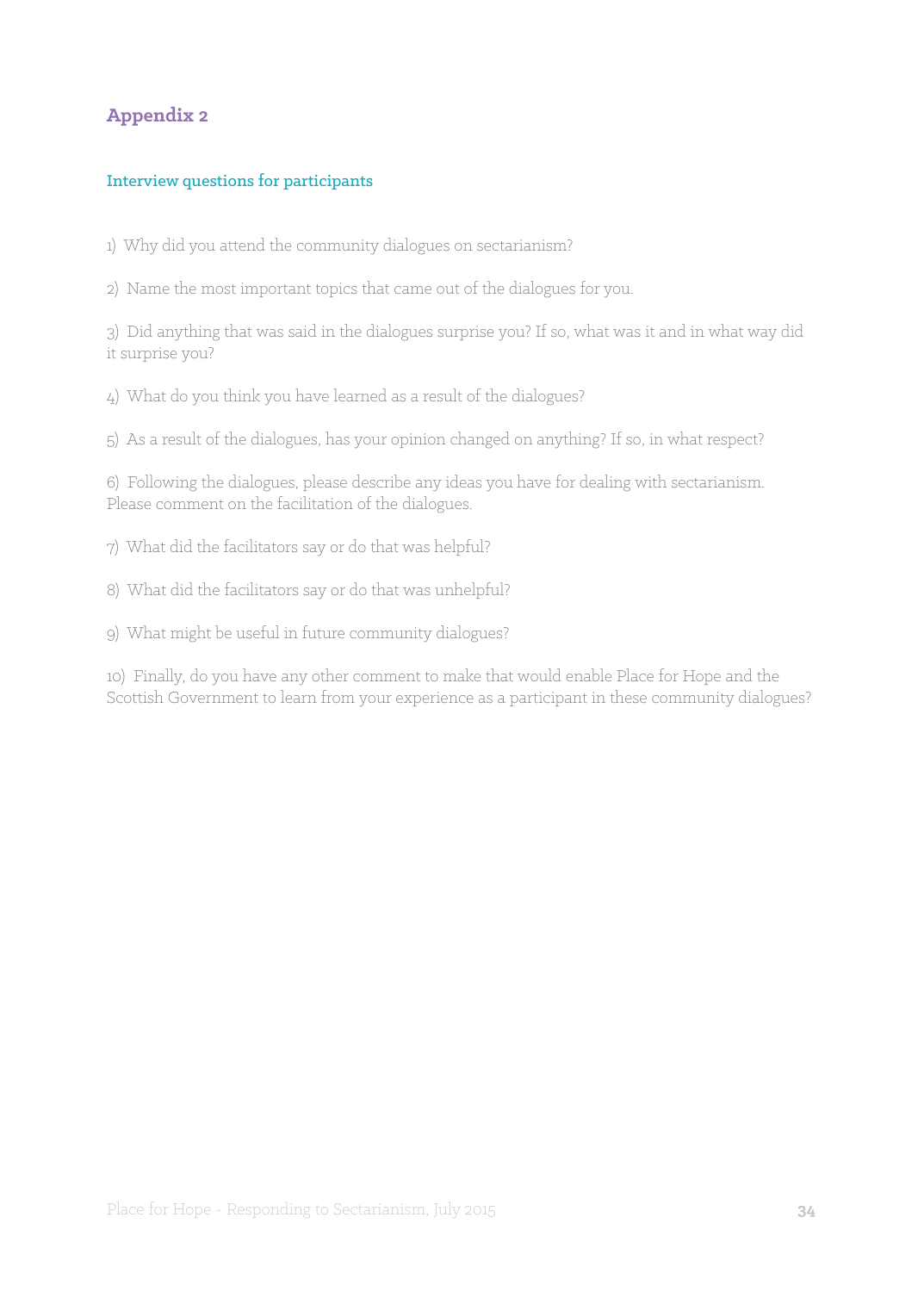## **Appendix 2**

#### Interview questions for participants

1) Why did you attend the community dialogues on sectarianism?

2) Name the most important topics that came out of the dialogues for you.

3) Did anything that was said in the dialogues surprise you? If so, what was it and in what way did it surprise you?

4) What do you think you have learned as a result of the dialogues?

5) As a result of the dialogues, has your opinion changed on anything? If so, in what respect?

6) Following the dialogues, please describe any ideas you have for dealing with sectarianism. Please comment on the facilitation of the dialogues.

7) What did the facilitators say or do that was helpful?

8) What did the facilitators say or do that was unhelpful?

9) What might be useful in future community dialogues?

10) Finally, do you have any other comment to make that would enable Place for Hope and the Scottish Government to learn from your experience as a participant in these community dialogues?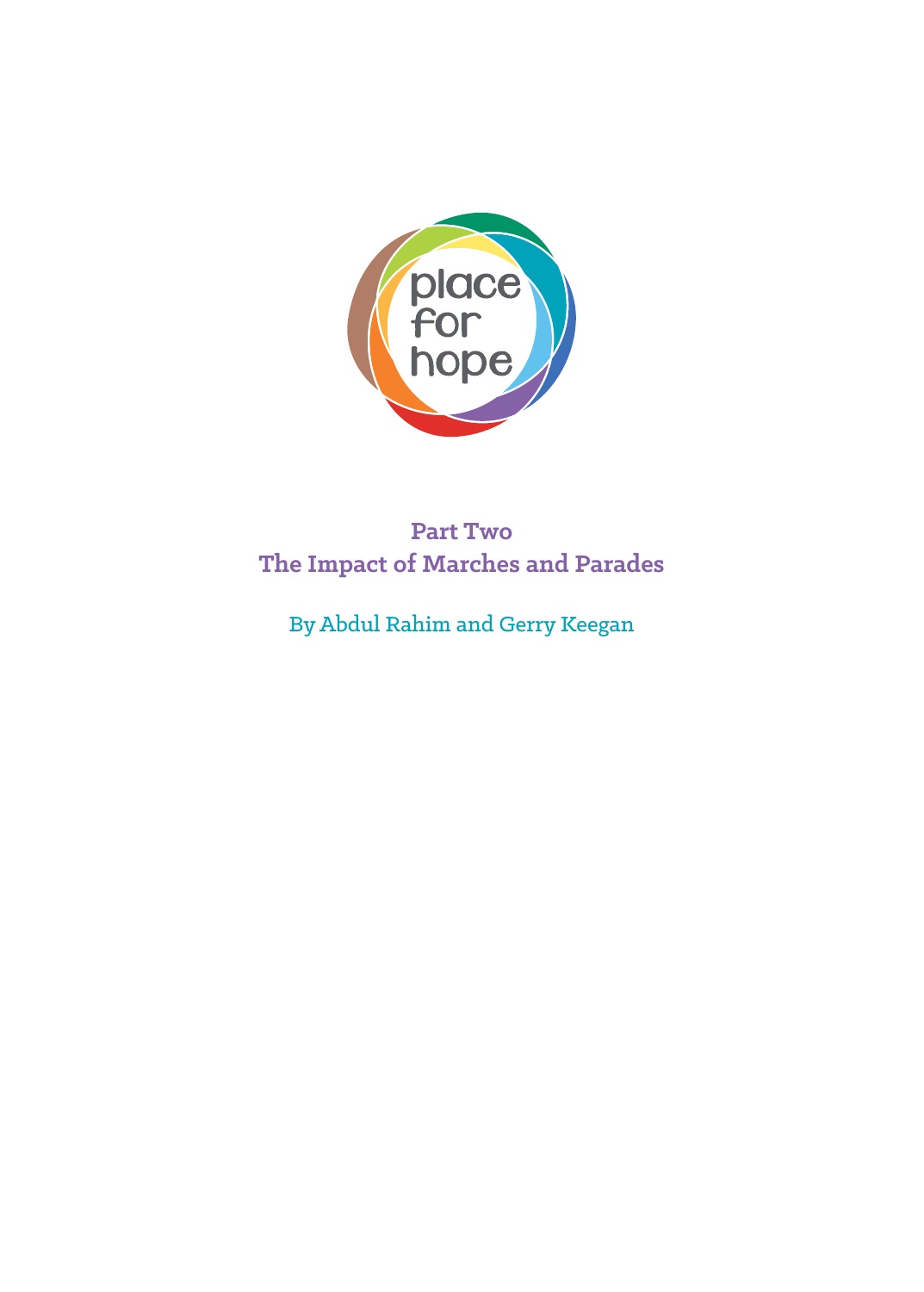

# **Part Two The Impact of Marches and Parades**

By Abdul Rahim and Gerry Keegan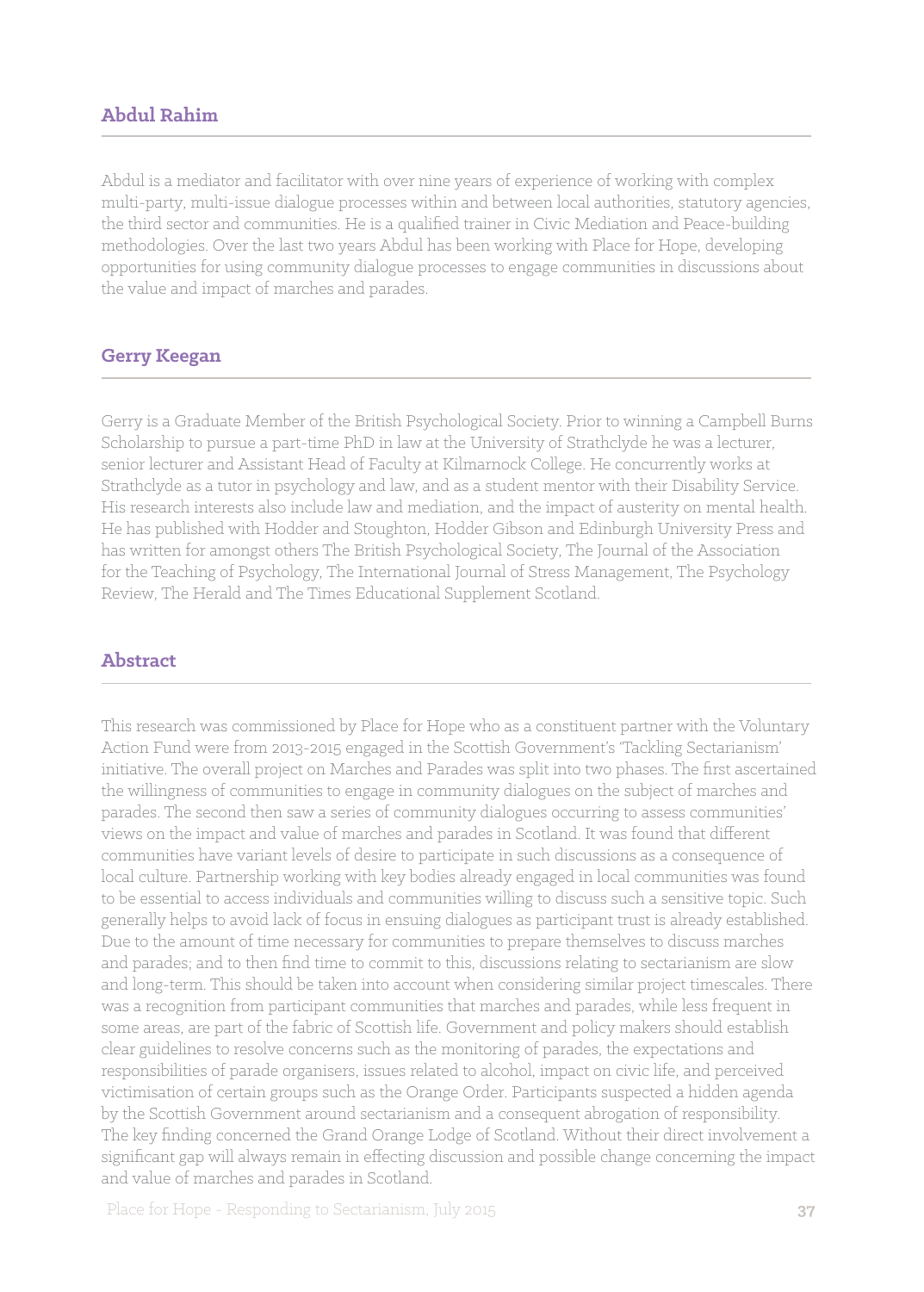## **Abdul Rahim**

Abdul is a mediator and facilitator with over nine years of experience of working with complex multi-party, multi-issue dialogue processes within and between local authorities, statutory agencies, the third sector and communities. He is a qualified trainer in Civic Mediation and Peace-building methodologies. Over the last two years Abdul has been working with Place for Hope, developing opportunities for using community dialogue processes to engage communities in discussions about the value and impact of marches and parades.

#### **Gerry Keegan**

Gerry is a Graduate Member of the British Psychological Society. Prior to winning a Campbell Burns Scholarship to pursue a part-time PhD in law at the University of Strathclyde he was a lecturer, senior lecturer and Assistant Head of Faculty at Kilmarnock College. He concurrently works at Strathclyde as a tutor in psychology and law, and as a student mentor with their Disability Service. His research interests also include law and mediation, and the impact of austerity on mental health. He has published with Hodder and Stoughton, Hodder Gibson and Edinburgh University Press and has written for amongst others The British Psychological Society, The Journal of the Association for the Teaching of Psychology, The International Journal of Stress Management, The Psychology Review, The Herald and The Times Educational Supplement Scotland.

## **Abstract**

This research was commissioned by Place for Hope who as a constituent partner with the Voluntary Action Fund were from 2013-2015 engaged in the Scottish Government's 'Tackling Sectarianism' initiative. The overall project on Marches and Parades was split into two phases. The first ascertained the willingness of communities to engage in community dialogues on the subject of marches and parades. The second then saw a series of community dialogues occurring to assess communities' views on the impact and value of marches and parades in Scotland. It was found that different communities have variant levels of desire to participate in such discussions as a consequence of local culture. Partnership working with key bodies already engaged in local communities was found to be essential to access individuals and communities willing to discuss such a sensitive topic. Such generally helps to avoid lack of focus in ensuing dialogues as participant trust is already established. Due to the amount of time necessary for communities to prepare themselves to discuss marches and parades; and to then find time to commit to this, discussions relating to sectarianism are slow and long-term. This should be taken into account when considering similar project timescales. There was a recognition from participant communities that marches and parades, while less frequent in some areas, are part of the fabric of Scottish life. Government and policy makers should establish clear guidelines to resolve concerns such as the monitoring of parades, the expectations and responsibilities of parade organisers, issues related to alcohol, impact on civic life, and perceived victimisation of certain groups such as the Orange Order. Participants suspected a hidden agenda by the Scottish Government around sectarianism and a consequent abrogation of responsibility. The key finding concerned the Grand Orange Lodge of Scotland. Without their direct involvement a significant gap will always remain in effecting discussion and possible change concerning the impact and value of marches and parades in Scotland.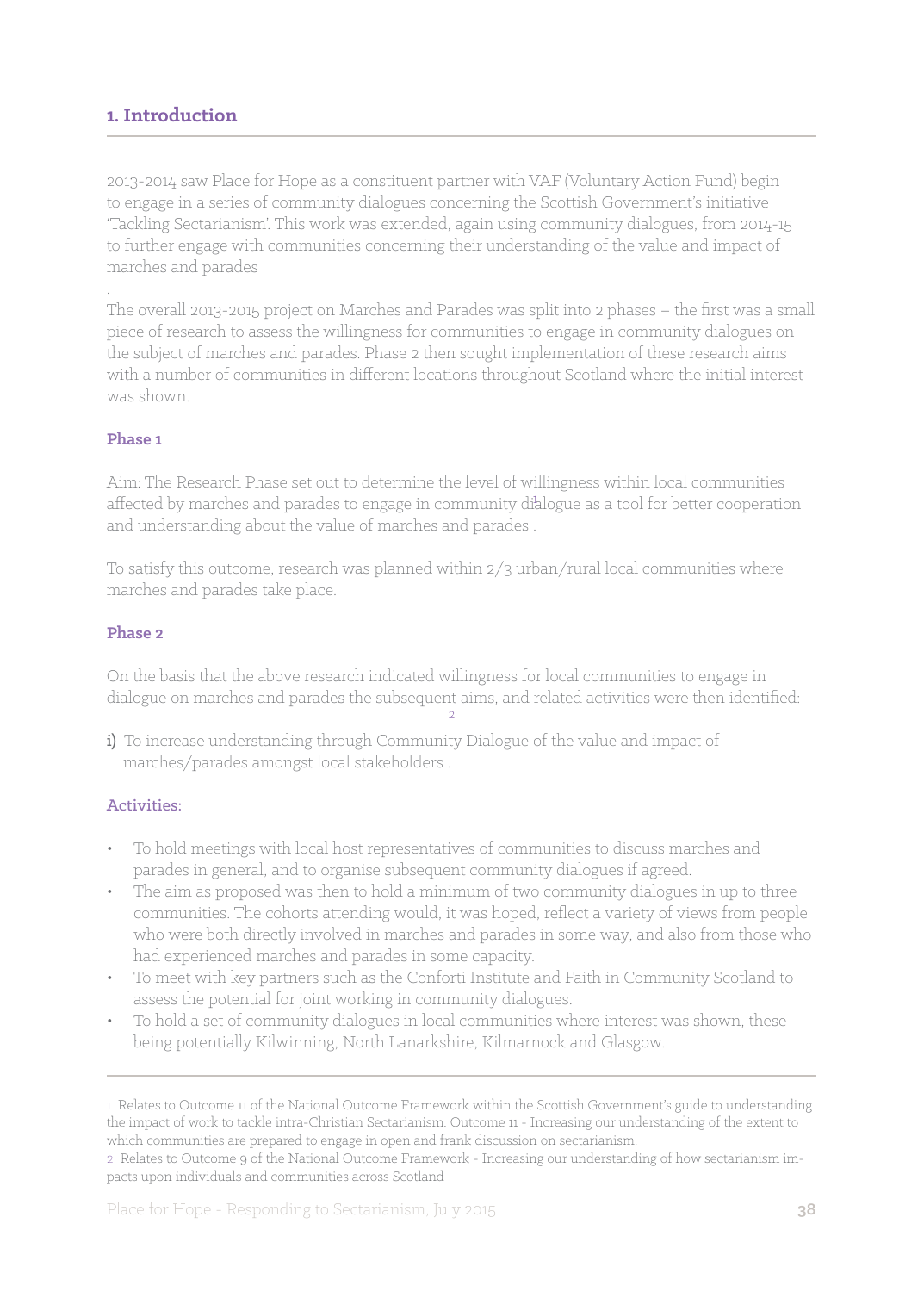## **1. Introduction**

2013-2014 saw Place for Hope as a constituent partner with VAF (Voluntary Action Fund) begin to engage in a series of community dialogues concerning the Scottish Government's initiative 'Tackling Sectarianism'. This work was extended, again using community dialogues, from 2014-15 to further engage with communities concerning their understanding of the value and impact of marches and parades

The overall 2013-2015 project on Marches and Parades was split into 2 phases – the first was a small piece of research to assess the willingness for communities to engage in community dialogues on the subject of marches and parades. Phase 2 then sought implementation of these research aims with a number of communities in different locations throughout Scotland where the initial interest was shown.

#### **Phase 1**

.

Aim: The Research Phase set out to determine the level of willingness within local communities affected by marches and parades to engage in community dialogue as a tool for better cooperation and understanding about the value of marches and parades .

To satisfy this outcome, research was planned within 2/3 urban/rural local communities where marches and parades take place.

#### **Phase 2**

On the basis that the above research indicated willingness for local communities to engage in dialogue on marches and parades the subsequent aims, and related activities were then identified:

i) To increase understanding through Community Dialogue of the value and impact of marches/parades amongst local stakeholders .

#### Activities:

- To hold meetings with local host representatives of communities to discuss marches and parades in general, and to organise subsequent community dialogues if agreed.
- The aim as proposed was then to hold a minimum of two community dialogues in up to three communities. The cohorts attending would, it was hoped, reflect a variety of views from people who were both directly involved in marches and parades in some way, and also from those who had experienced marches and parades in some capacity.
- To meet with key partners such as the Conforti Institute and Faith in Community Scotland to assess the potential for joint working in community dialogues.
- To hold a set of community dialogues in local communities where interest was shown, these being potentially Kilwinning, North Lanarkshire, Kilmarnock and Glasgow.

2 Relates to Outcome 9 of the National Outcome Framework - Increasing our understanding of how sectarianism impacts upon individuals and communities across Scotland

<sup>1</sup> Relates to Outcome 11 of the National Outcome Framework within the Scottish Government's guide to understanding the impact of work to tackle intra-Christian Sectarianism. Outcome 11 - Increasing our understanding of the extent to which communities are prepared to engage in open and frank discussion on sectarianism.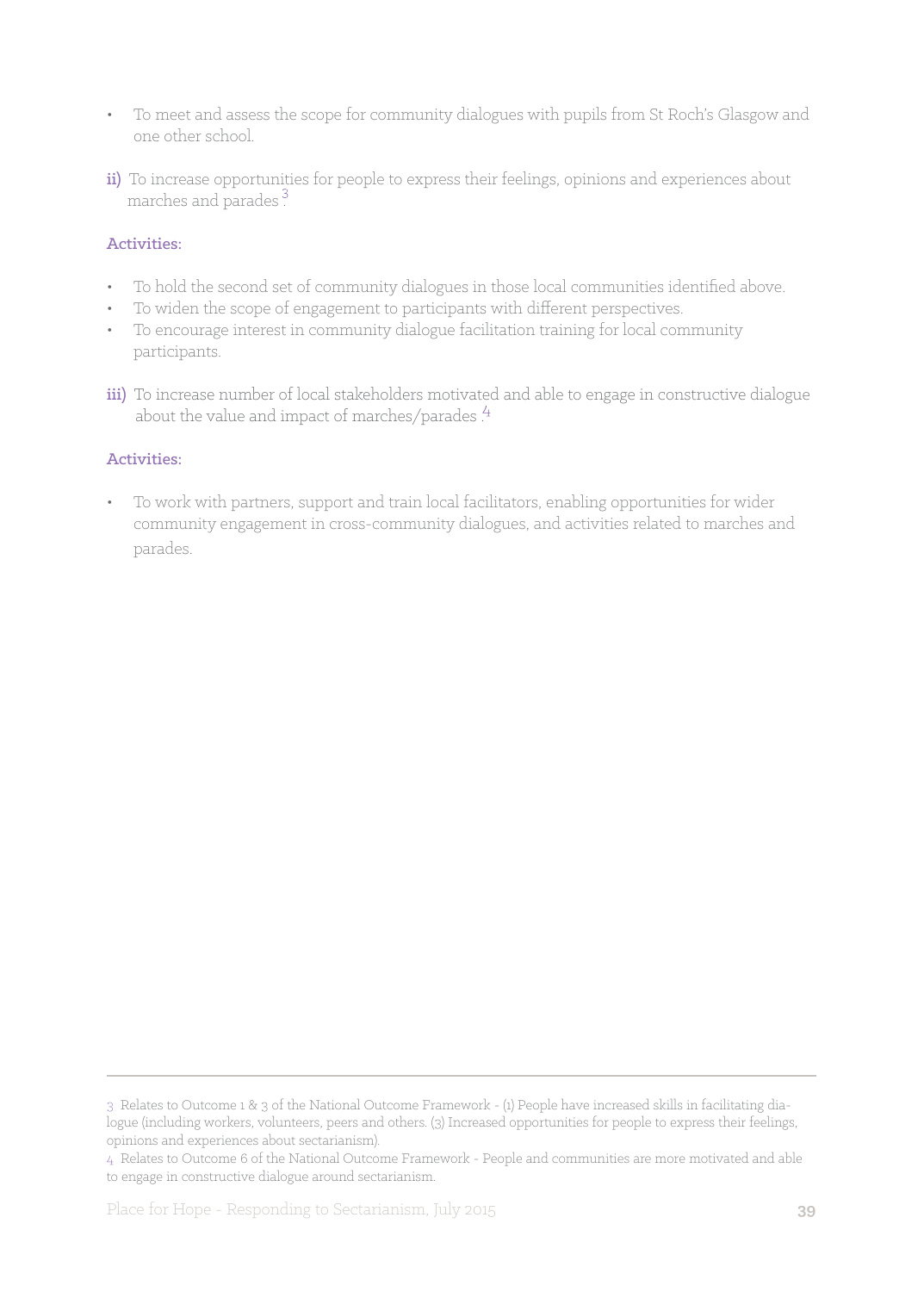- To meet and assess the scope for community dialogues with pupils from St Roch's Glasgow and one other school.
- ii) To increase opportunities for people to express their feelings, opinions and experiences about marches and parades .

## Activities:

- To hold the second set of community dialogues in those local communities identified above.
- To widen the scope of engagement to participants with different perspectives.
- To encourage interest in community dialogue facilitation training for local community participants.
- iii) To increase number of local stakeholders motivated and able to engage in constructive dialogue about the value and impact of marches/parades. $\frac{4}{3}$

#### Activities:

To work with partners, support and train local facilitators, enabling opportunities for wider community engagement in cross-community dialogues, and activities related to marches and parades.

<sup>3</sup> Relates to Outcome 1 & 3 of the National Outcome Framework - (1) People have increased skills in facilitating dialogue (including workers, volunteers, peers and others. (3) Increased opportunities for people to express their feelings, opinions and experiences about sectarianism).

<sup>4</sup> Relates to Outcome 6 of the National Outcome Framework - People and communities are more motivated and able to engage in constructive dialogue around sectarianism.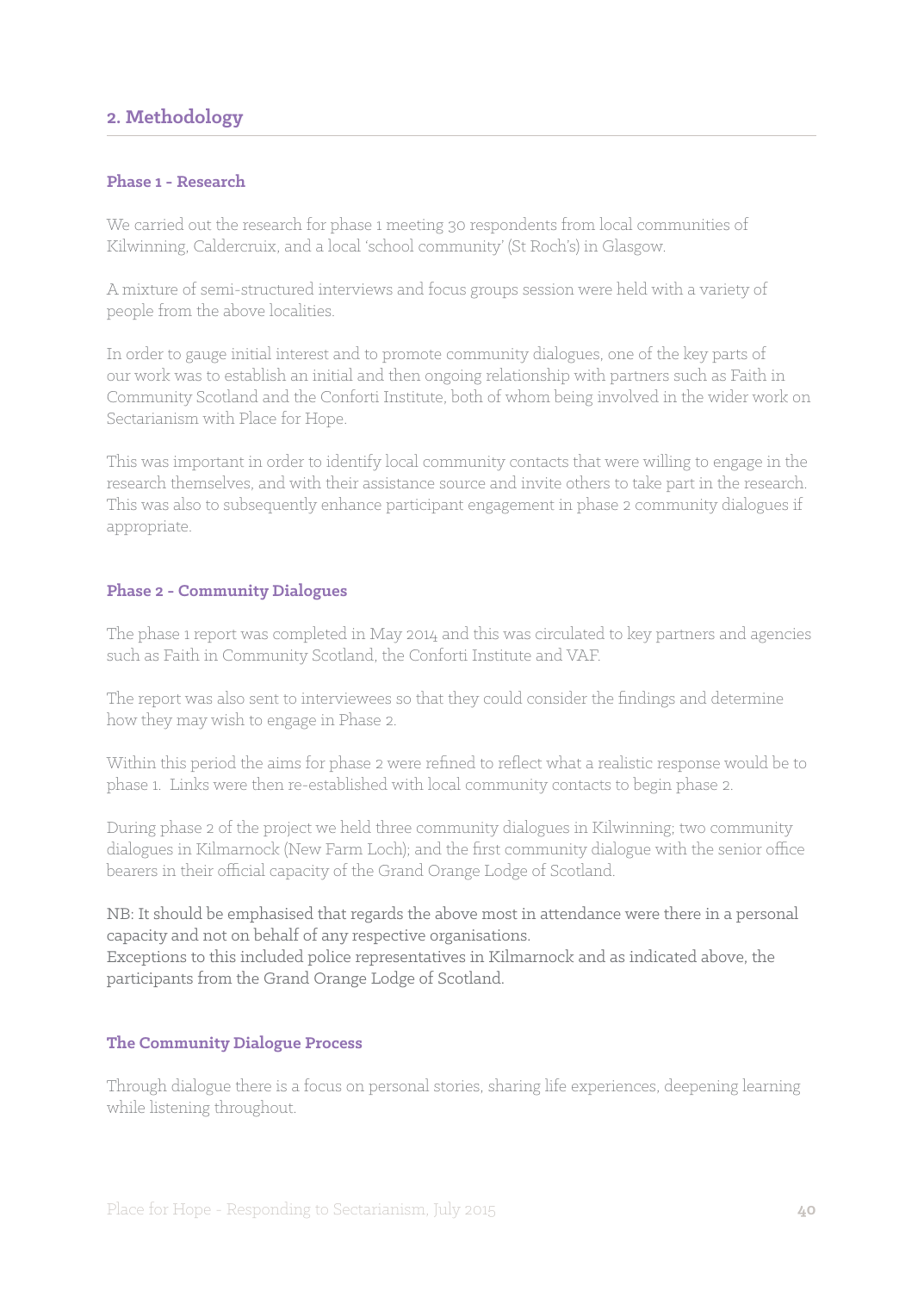## **2. Methodology**

#### **Phase 1 - Research**

We carried out the research for phase 1 meeting 30 respondents from local communities of Kilwinning, Caldercruix, and a local 'school community' (St Roch's) in Glasgow.

A mixture of semi-structured interviews and focus groups session were held with a variety of people from the above localities.

In order to gauge initial interest and to promote community dialogues, one of the key parts of our work was to establish an initial and then ongoing relationship with partners such as Faith in Community Scotland and the Conforti Institute, both of whom being involved in the wider work on Sectarianism with Place for Hope.

This was important in order to identify local community contacts that were willing to engage in the research themselves, and with their assistance source and invite others to take part in the research. This was also to subsequently enhance participant engagement in phase 2 community dialogues if appropriate.

#### **Phase 2 - Community Dialogues**

The phase 1 report was completed in May 2014 and this was circulated to key partners and agencies such as Faith in Community Scotland, the Conforti Institute and VAF.

The report was also sent to interviewees so that they could consider the findings and determine how they may wish to engage in Phase 2.

Within this period the aims for phase 2 were refined to reflect what a realistic response would be to phase 1. Links were then re-established with local community contacts to begin phase 2.

During phase 2 of the project we held three community dialogues in Kilwinning; two community dialogues in Kilmarnock (New Farm Loch); and the first community dialogue with the senior office bearers in their official capacity of the Grand Orange Lodge of Scotland.

NB: It should be emphasised that regards the above most in attendance were there in a personal capacity and not on behalf of any respective organisations. Exceptions to this included police representatives in Kilmarnock and as indicated above, the participants from the Grand Orange Lodge of Scotland.

#### **The Community Dialogue Process**

Through dialogue there is a focus on personal stories, sharing life experiences, deepening learning while listening throughout.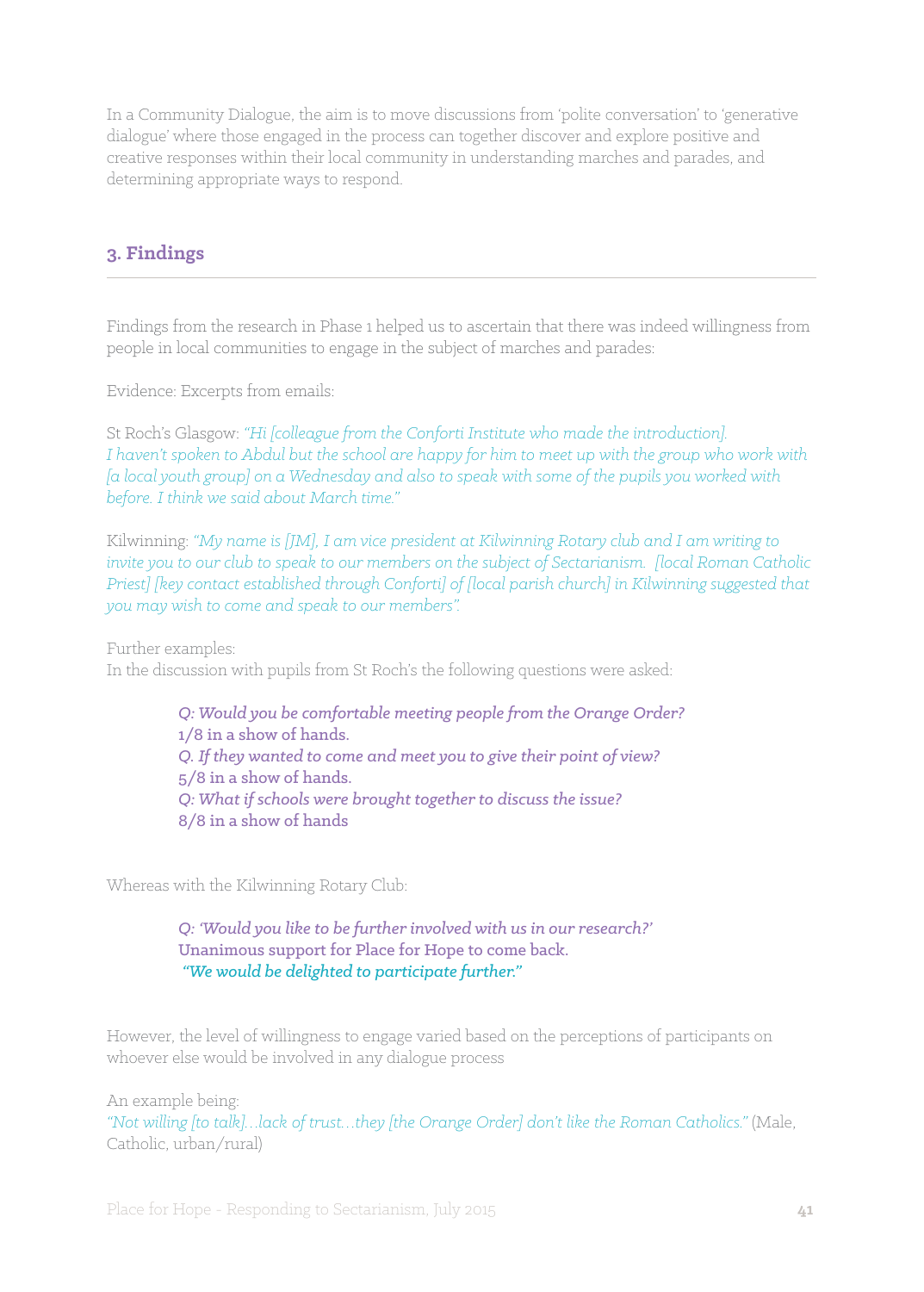In a Community Dialogue, the aim is to move discussions from 'polite conversation' to 'generative dialogue' where those engaged in the process can together discover and explore positive and creative responses within their local community in understanding marches and parades, and determining appropriate ways to respond.

## **3. Findings**

Findings from the research in Phase 1 helped us to ascertain that there was indeed willingness from people in local communities to engage in the subject of marches and parades:

Evidence: Excerpts from emails:

St Roch's Glasgow: *"Hi [colleague from the Conforti Institute who made the introduction]. I haven't spoken to Abdul but the school are happy for him to meet up with the group who work with [a local youth group] on a Wednesday and also to speak with some of the pupils you worked with before. I think we said about March time."*

Kilwinning: *"My name is [JM], I am vice president at Kilwinning Rotary club and I am writing to invite you to our club to speak to our members on the subject of Sectarianism. [local Roman Catholic Priest] [key contact established through Conforti] of [local parish church] in Kilwinning suggested that you may wish to come and speak to our members".*

Further examples: In the discussion with pupils from St Roch's the following questions were asked:

> *Q: Would you be comfortable meeting people from the Orange Order?* 1/8 in a show of hands. *Q. If they wanted to come and meet you to give their point of view?* 5/8 in a show of hands. *Q: What if schools were brought together to discuss the issue?* 8/8 in a show of hands

Whereas with the Kilwinning Rotary Club:

*Q: 'Would you like to be further involved with us in our research?'* Unanimous support for Place for Hope to come back. *"We would be delighted to participate further."*

However, the level of willingness to engage varied based on the perceptions of participants on whoever else would be involved in any dialogue process

An example being:

*"Not willing [to talk]…lack of trust…they [the Orange Order] don't like the Roman Catholics."* (Male, Catholic, urban/rural)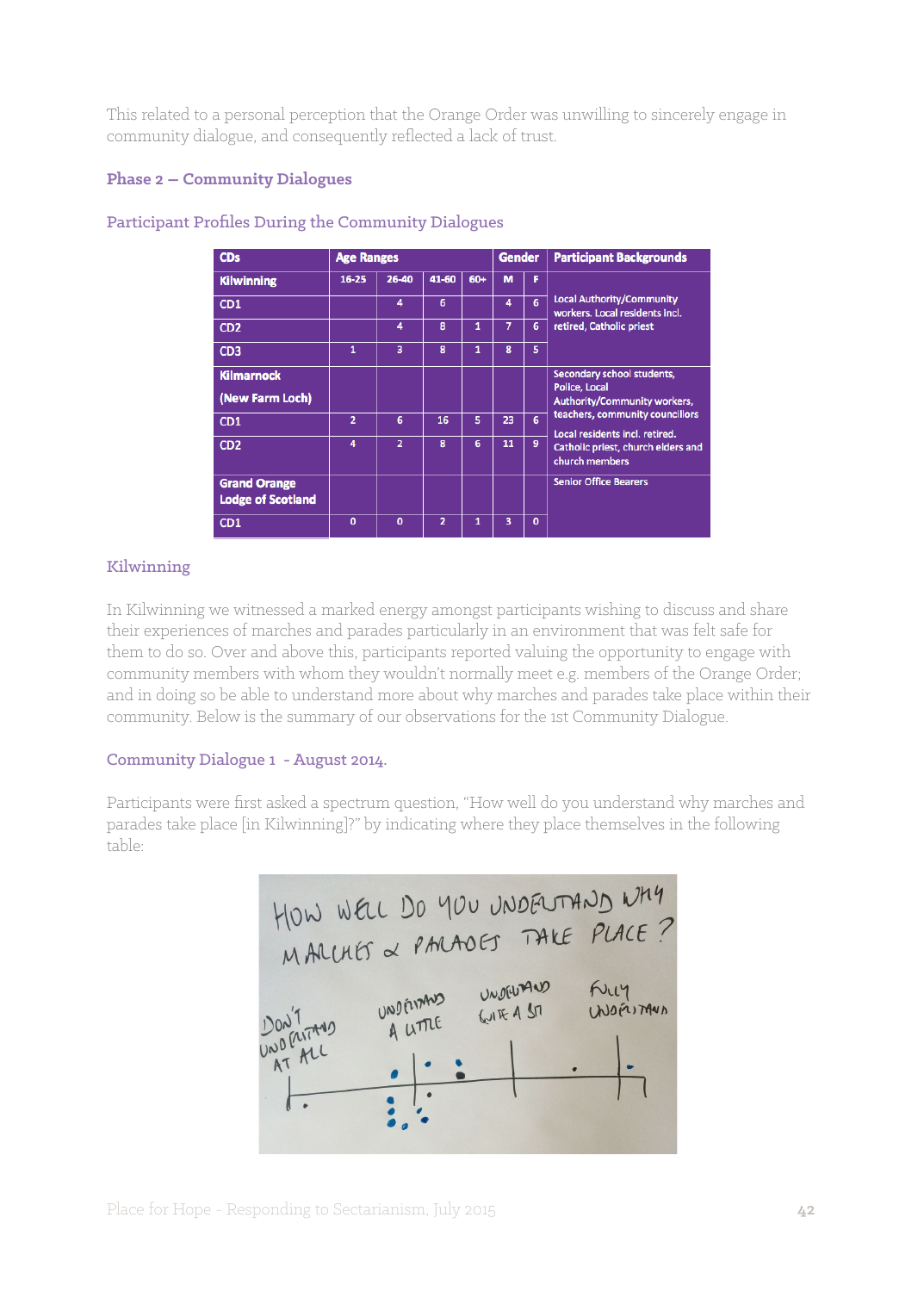This related to a personal perception that the Orange Order was unwilling to sincerely engage in community dialogue, and consequently reflected a lack of trust.

## **Phase 2 – Community Dialogues**

| <b>CDs</b>                                      | <b>Age Ranges</b> |                |                |     | <b>Gender</b> |              | <b>Participant Backgrounds</b>                                     |  |
|-------------------------------------------------|-------------------|----------------|----------------|-----|---------------|--------------|--------------------------------------------------------------------|--|
| <b>Kilwinning</b>                               | $16 - 25$         | 26-40          | 41-60          | 60+ | M             | F            |                                                                    |  |
| CD <sub>1</sub>                                 |                   | 4              | 6              |     | 4             | 6            | <b>Local Authority/Community</b><br>workers. Local residents incl. |  |
| CD <sub>2</sub>                                 |                   | 4              | 8              | 1   | 7             | 6            | retired, Catholic priest                                           |  |
| CD <sub>3</sub>                                 | $\mathbf{1}$      | 3              | 8              | 1   | 8             | 5            |                                                                    |  |
| <b>Kilmarnock</b>                               |                   |                |                |     |               |              | Secondary school students,<br>Police, Local                        |  |
| (New Farm Loch)                                 |                   |                |                |     |               |              | <b>Authority/Community workers,</b>                                |  |
| CD <sub>1</sub>                                 | $\overline{2}$    | 6              | 16             | 5   | 23            | 6            | teachers, community councillors<br>Local residents incl. retired.  |  |
| CD <sub>2</sub>                                 | 4                 | $\overline{a}$ | 8              | 6   | 11            | 9            | Catholic priest, church elders and<br>church members               |  |
| <b>Grand Orange</b><br><b>Lodge of Scotland</b> |                   |                |                |     |               |              | <b>Senior Office Bearers</b>                                       |  |
| CD1                                             | $\mathbf{0}$      | $\mathbf{0}$   | $\overline{2}$ | 1   | 3             | $\mathbf{0}$ |                                                                    |  |

#### Participant Profiles During the Community Dialogues

#### Kilwinning

In Kilwinning we witnessed a marked energy amongst participants wishing to discuss and share their experiences of marches and parades particularly in an environment that was felt safe for them to do so. Over and above this, participants reported valuing the opportunity to engage with community members with whom they wouldn't normally meet e.g. members of the Orange Order; and in doing so be able to understand more about why marches and parades take place within their community. Below is the summary of our observations for the 1st Community Dialogue.

#### Community Dialogue 1 - August 2014.

Participants were first asked a spectrum question, "How well do you understand why marches and parades take place [in Kilwinning]?" by indicating where they place themselves in the following table:

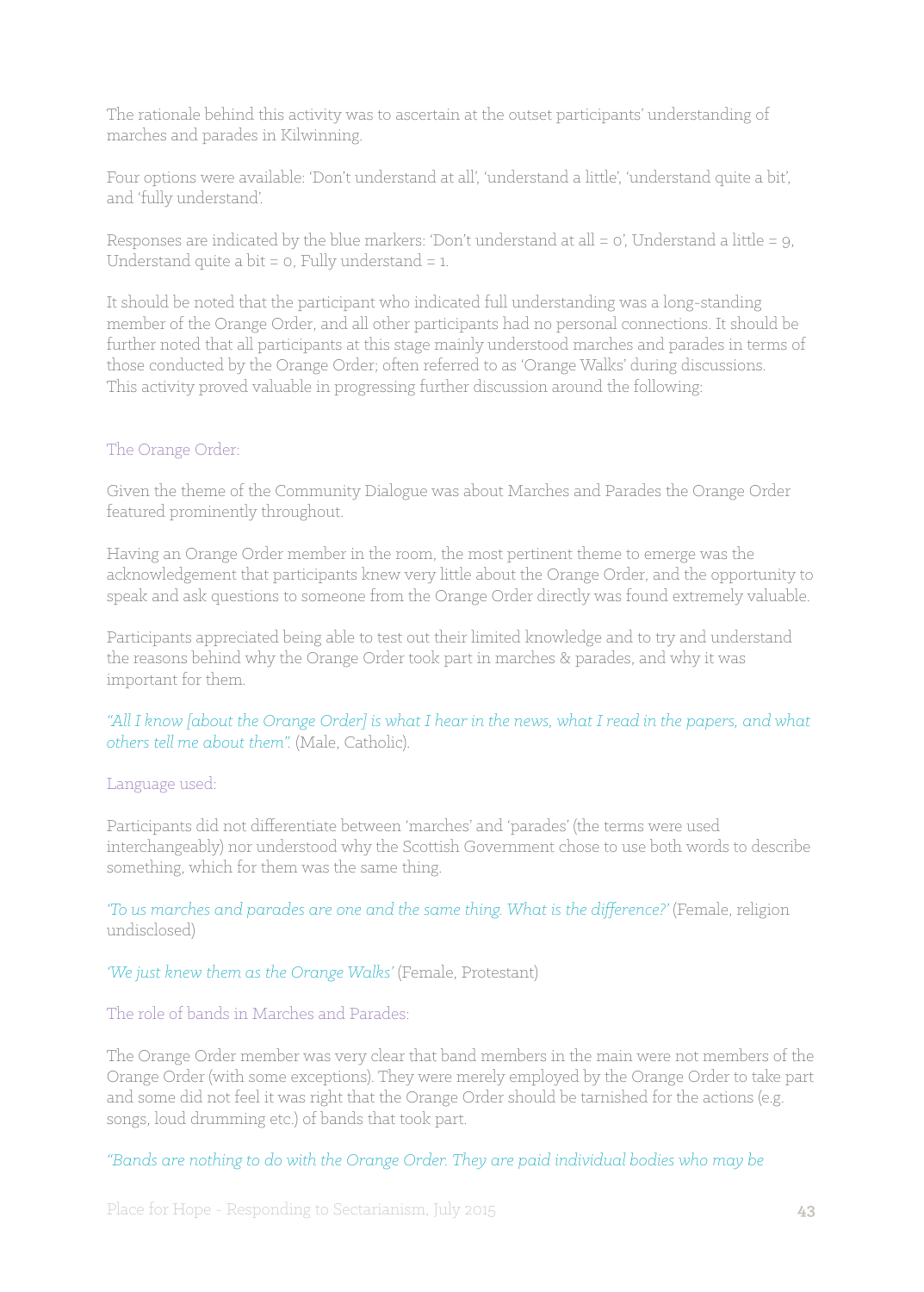The rationale behind this activity was to ascertain at the outset participants' understanding of marches and parades in Kilwinning.

Four options were available: 'Don't understand at all', 'understand a little', 'understand quite a bit', and 'fully understand'.

Responses are indicated by the blue markers: 'Don't understand at all = 0', Understand a little = 9, Understand quite a bit  $= 0$ , Fully understand  $= 1$ .

It should be noted that the participant who indicated full understanding was a long-standing member of the Orange Order, and all other participants had no personal connections. It should be further noted that all participants at this stage mainly understood marches and parades in terms of those conducted by the Orange Order; often referred to as 'Orange Walks' during discussions. This activity proved valuable in progressing further discussion around the following:

## The Orange Order:

Given the theme of the Community Dialogue was about Marches and Parades the Orange Order featured prominently throughout.

Having an Orange Order member in the room, the most pertinent theme to emerge was the acknowledgement that participants knew very little about the Orange Order, and the opportunity to speak and ask questions to someone from the Orange Order directly was found extremely valuable.

Participants appreciated being able to test out their limited knowledge and to try and understand the reasons behind why the Orange Order took part in marches & parades, and why it was important for them.

*"All I know [about the Orange Order] is what I hear in the news, what I read in the papers, and what others tell me about them".* (Male, Catholic).

## Language used:

Participants did not differentiate between 'marches' and 'parades' (the terms were used interchangeably) nor understood why the Scottish Government chose to use both words to describe something, which for them was the same thing.

*'To us marches and parades are one and the same thing. What is the difference?'* (Female, religion undisclosed)

#### *'We just knew them as the Orange Walks'* (Female, Protestant)

#### The role of bands in Marches and Parades:

The Orange Order member was very clear that band members in the main were not members of the Orange Order (with some exceptions). They were merely employed by the Orange Order to take part and some did not feel it was right that the Orange Order should be tarnished for the actions (e.g. songs, loud drumming etc.) of bands that took part.

*"Bands are nothing to do with the Orange Order. They are paid individual bodies who may be*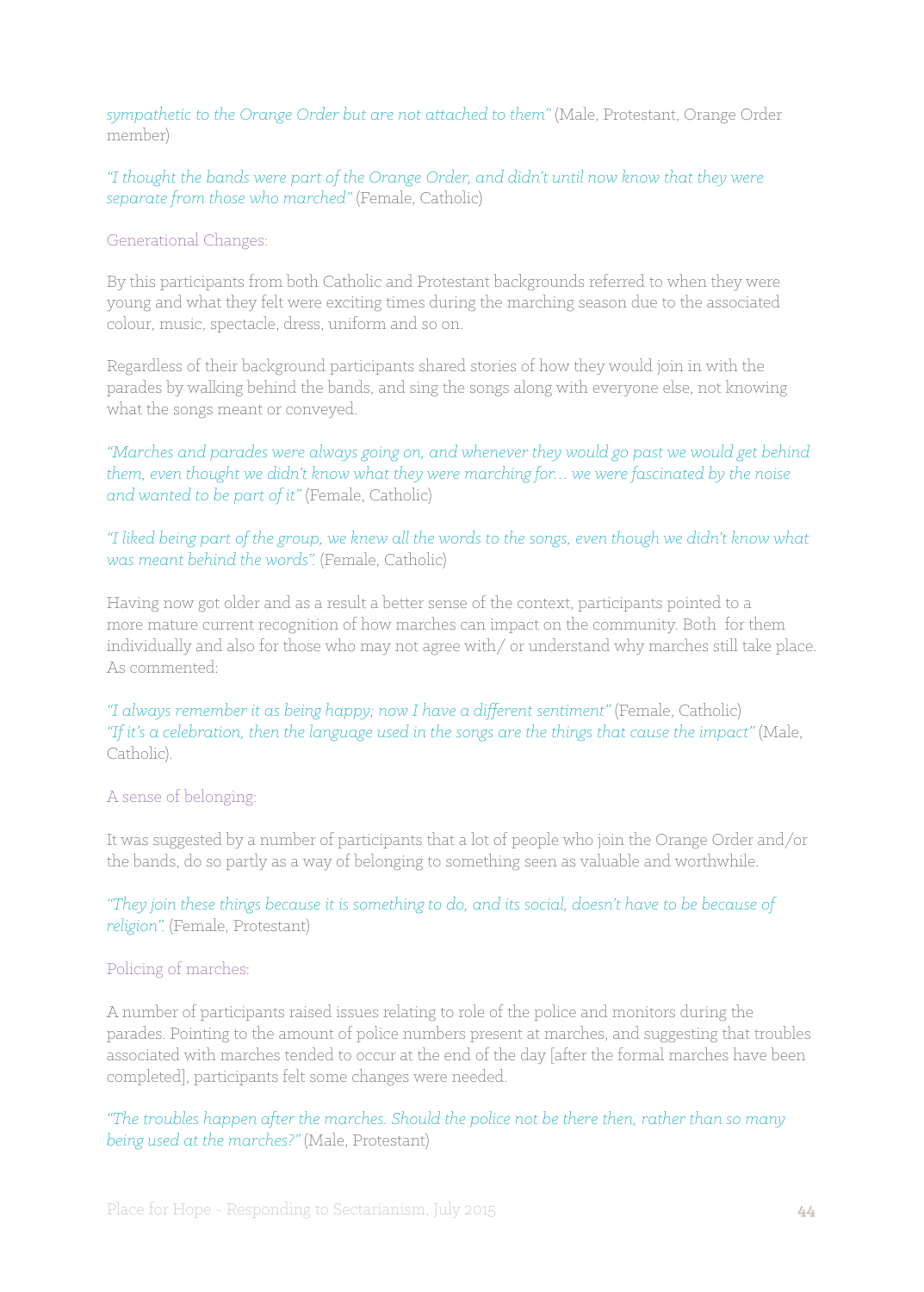*sympathetic to the Orange Order but are not attached to them"* (Male, Protestant, Orange Order member)

*"I thought the bands were part of the Orange Order, and didn't until now know that they were separate from those who marched"* (Female, Catholic)

#### Generational Changes:

By this participants from both Catholic and Protestant backgrounds referred to when they were young and what they felt were exciting times during the marching season due to the associated colour, music, spectacle, dress, uniform and so on.

Regardless of their background participants shared stories of how they would join in with the parades by walking behind the bands, and sing the songs along with everyone else, not knowing what the songs meant or conveyed.

*"Marches and parades were always going on, and whenever they would go past we would get behind them, even thought we didn't know what they were marching for… we were fascinated by the noise and wanted to be part of it"* (Female, Catholic)

*"I liked being part of the group, we knew all the words to the songs, even though we didn't know what was meant behind the words".* (Female, Catholic)

Having now got older and as a result a better sense of the context, participants pointed to a more mature current recognition of how marches can impact on the community. Both for them individually and also for those who may not agree with/ or understand why marches still take place. As commented:

*"I always remember it as being happy; now I have a different sentiment"* (Female, Catholic) *"If it's a celebration, then the language used in the songs are the things that cause the impact"* (Male, Catholic).

#### A sense of belonging:

It was suggested by a number of participants that a lot of people who join the Orange Order and/or the bands, do so partly as a way of belonging to something seen as valuable and worthwhile.

*"They join these things because it is something to do, and its social, doesn't have to be because of religion".* (Female, Protestant)

#### Policing of marches:

A number of participants raised issues relating to role of the police and monitors during the parades. Pointing to the amount of police numbers present at marches, and suggesting that troubles associated with marches tended to occur at the end of the day [after the formal marches have been completed], participants felt some changes were needed.

*"The troubles happen after the marches. Should the police not be there then, rather than so many being used at the marches?"* (Male, Protestant)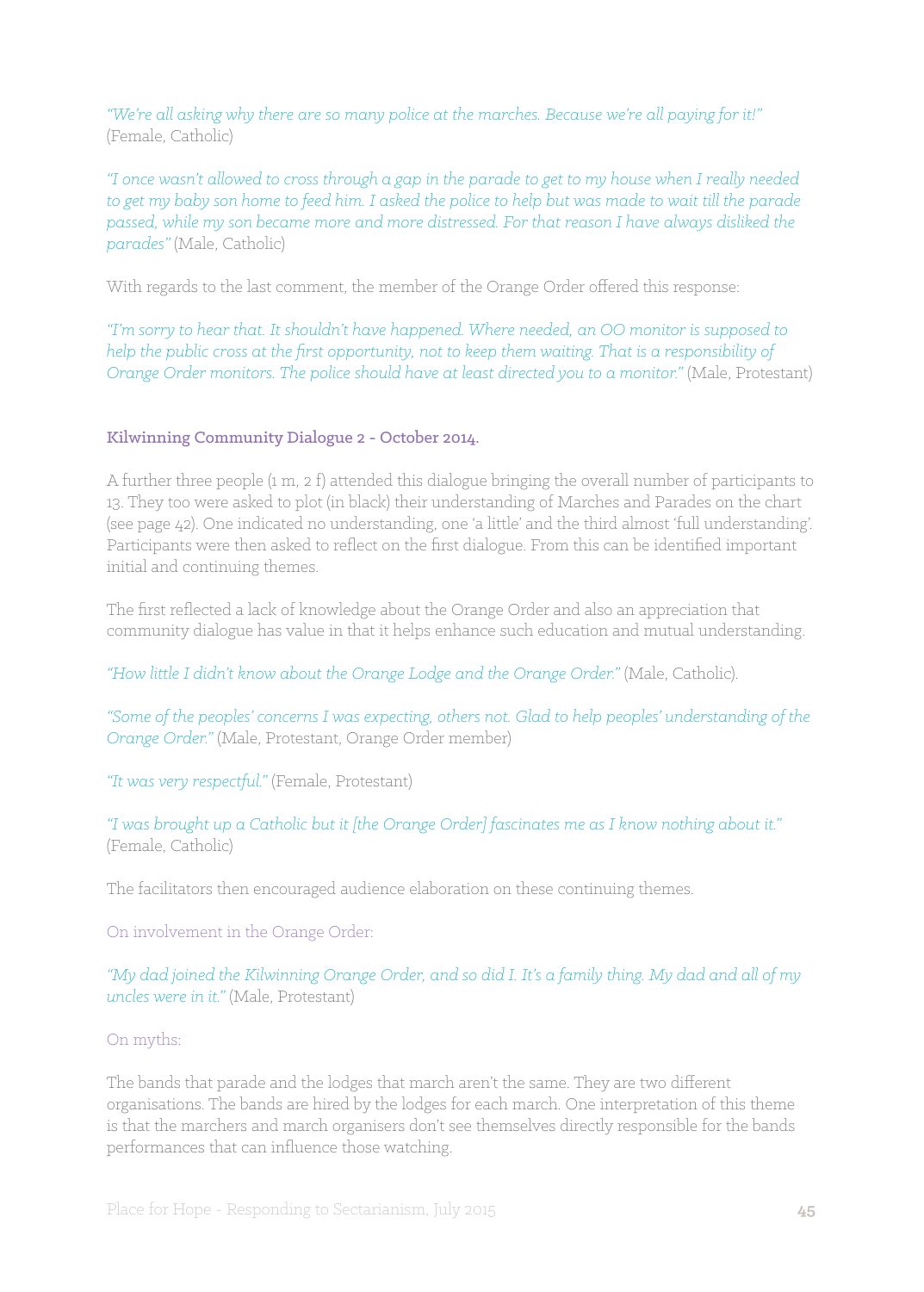*"We're all asking why there are so many police at the marches. Because we're all paying for it!"* (Female, Catholic)

*"I once wasn't allowed to cross through a gap in the parade to get to my house when I really needed to get my baby son home to feed him. I asked the police to help but was made to wait till the parade passed, while my son became more and more distressed. For that reason I have always disliked the parades"* (Male, Catholic)

With regards to the last comment, the member of the Orange Order offered this response:

*"I'm sorry to hear that. It shouldn't have happened. Where needed, an OO monitor is supposed to help the public cross at the first opportunity, not to keep them waiting. That is a responsibility of Orange Order monitors. The police should have at least directed you to a monitor."* (Male, Protestant)

#### Kilwinning Community Dialogue 2 - October 2014.

A further three people (1 m, 2 f) attended this dialogue bringing the overall number of participants to 13. They too were asked to plot (in black) their understanding of Marches and Parades on the chart (see page 42). One indicated no understanding, one 'a little' and the third almost 'full understanding'. Participants were then asked to reflect on the first dialogue. From this can be identified important initial and continuing themes.

The first reflected a lack of knowledge about the Orange Order and also an appreciation that community dialogue has value in that it helps enhance such education and mutual understanding.

*"How little I didn't know about the Orange Lodge and the Orange Order."* (Male, Catholic).

*"Some of the peoples' concerns I was expecting, others not. Glad to help peoples' understanding of the Orange Order."* (Male, Protestant, Orange Order member)

*"It was very respectful."* (Female, Protestant)

*"I was brought up a Catholic but it [the Orange Order] fascinates me as I know nothing about it."* (Female, Catholic)

The facilitators then encouraged audience elaboration on these continuing themes.

On involvement in the Orange Order:

*"My dad joined the Kilwinning Orange Order, and so did I. It's a family thing. My dad and all of my uncles were in it."* (Male, Protestant)

#### On myths:

The bands that parade and the lodges that march aren't the same. They are two different organisations. The bands are hired by the lodges for each march. One interpretation of this theme is that the marchers and march organisers don't see themselves directly responsible for the bands performances that can influence those watching.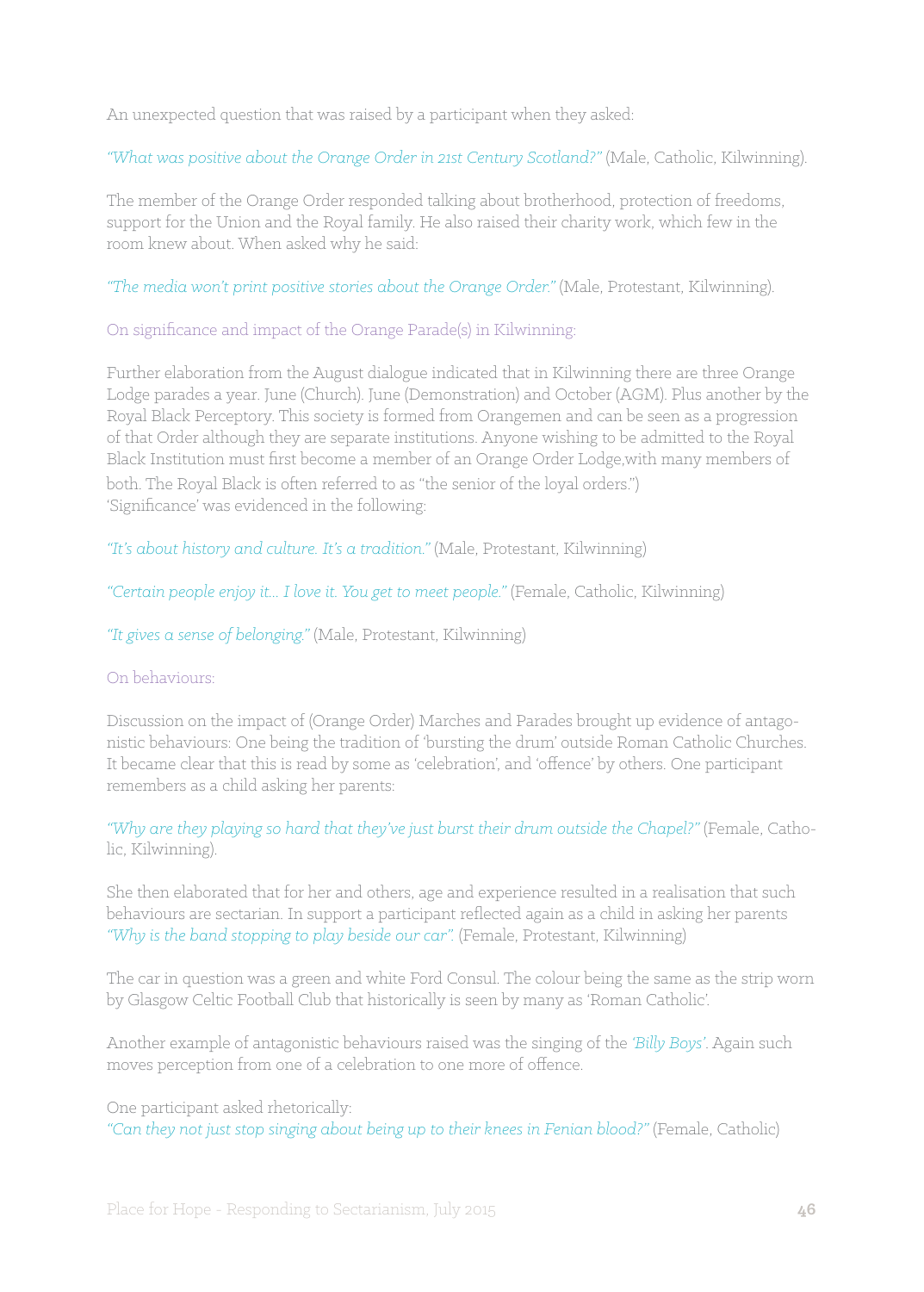An unexpected question that was raised by a participant when they asked:

*"What was positive about the Orange Order in 21st Century Scotland?"* (Male, Catholic, Kilwinning).

The member of the Orange Order responded talking about brotherhood, protection of freedoms, support for the Union and the Royal family. He also raised their charity work, which few in the room knew about. When asked why he said:

*"The media won't print positive stories about the Orange Order."* (Male, Protestant, Kilwinning).

On significance and impact of the Orange Parade(s) in Kilwinning:

Further elaboration from the August dialogue indicated that in Kilwinning there are three Orange Lodge parades a year. June (Church). June (Demonstration) and October (AGM). Plus another by the Royal Black Perceptory. This society is formed from Orangemen and can be seen as a progression of that Order although they are separate institutions. Anyone wishing to be admitted to the Royal Black Institution must first become a member of an Orange Order Lodge,with many members of both. The Royal Black is often referred to as "the senior of the loyal orders.") 'Significance' was evidenced in the following:

*"It's about history and culture. It's a tradition."* (Male, Protestant, Kilwinning)

*"Certain people enjoy it... I love it. You get to meet people."* (Female, Catholic, Kilwinning)

*"It gives a sense of belonging."* (Male, Protestant, Kilwinning)

#### On behaviours:

Discussion on the impact of (Orange Order) Marches and Parades brought up evidence of antagonistic behaviours: One being the tradition of 'bursting the drum' outside Roman Catholic Churches. It became clear that this is read by some as 'celebration', and 'offence' by others. One participant remembers as a child asking her parents:

*"Why are they playing so hard that they've just burst their drum outside the Chapel?"* (Female, Catholic, Kilwinning).

She then elaborated that for her and others, age and experience resulted in a realisation that such behaviours are sectarian. In support a participant reflected again as a child in asking her parents *"Why is the band stopping to play beside our car".* (Female, Protestant, Kilwinning)

The car in question was a green and white Ford Consul. The colour being the same as the strip worn by Glasgow Celtic Football Club that historically is seen by many as 'Roman Catholic'.

Another example of antagonistic behaviours raised was the singing of the *'Billy Boys'*. Again such moves perception from one of a celebration to one more of offence.

One participant asked rhetorically:

*"Can they not just stop singing about being up to their knees in Fenian blood?"* (Female, Catholic)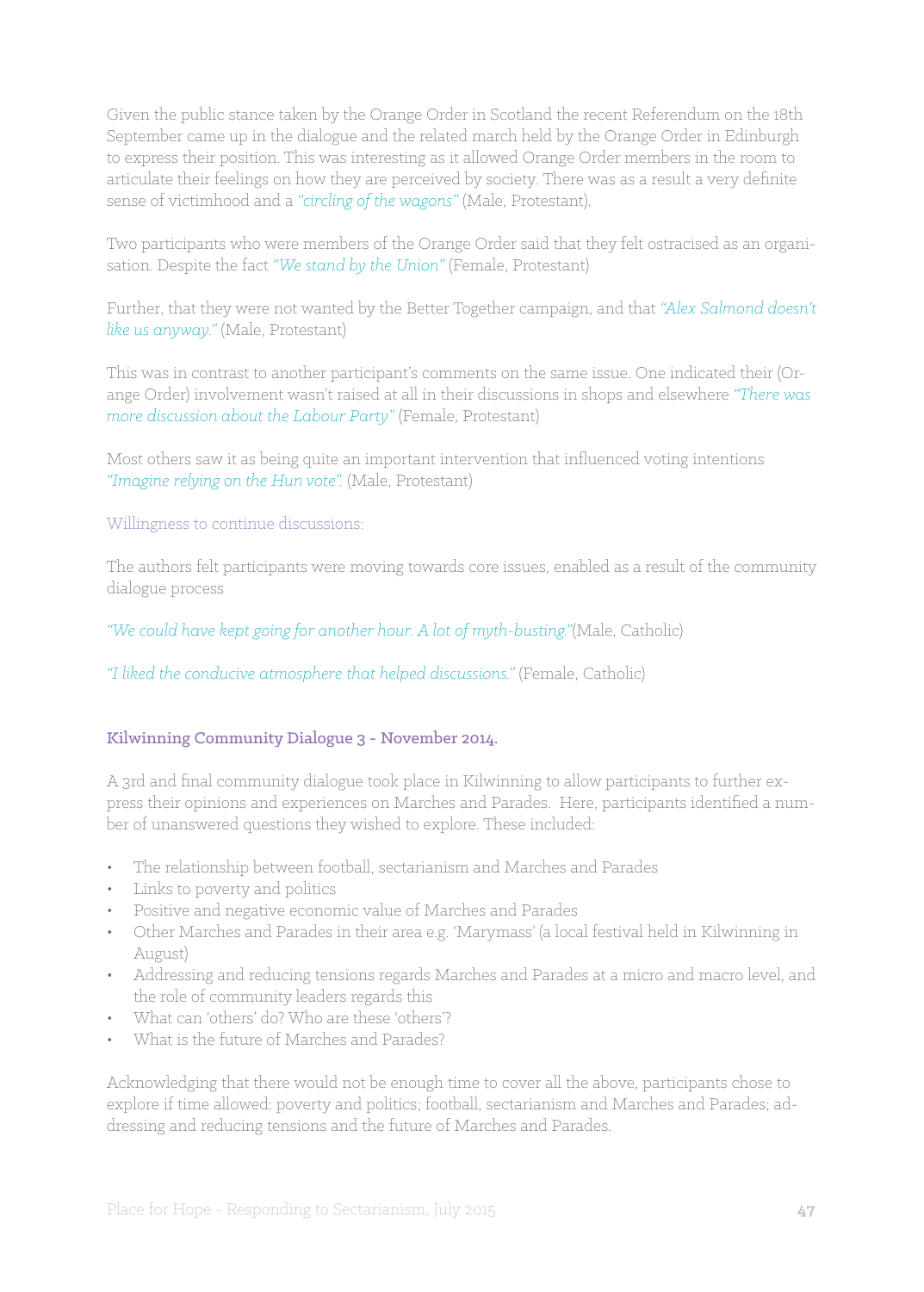Given the public stance taken by the Orange Order in Scotland the recent Referendum on the 18th September came up in the dialogue and the related march held by the Orange Order in Edinburgh to express their position. This was interesting as it allowed Orange Order members in the room to articulate their feelings on how they are perceived by society. There was as a result a very definite sense of victimhood and a *"circling of the wagons"* (Male, Protestant).

Two participants who were members of the Orange Order said that they felt ostracised as an organisation. Despite the fact *"We stand by the Union"* (Female, Protestant)

Further, that they were not wanted by the Better Together campaign, and that *"Alex Salmond doesn't like us anyway."* (Male, Protestant)

This was in contrast to another participant's comments on the same issue. One indicated their (Orange Order) involvement wasn't raised at all in their discussions in shops and elsewhere *"There was more discussion about the Labour Party"* (Female, Protestant)

Most others saw it as being quite an important intervention that influenced voting intentions *"Imagine relying on the Hun vote".* (Male, Protestant)

#### Willingness to continue discussions:

The authors felt participants were moving towards core issues, enabled as a result of the community dialogue process

*"We could have kept going for another hour. A lot of myth-busting."*(Male, Catholic)

*"I liked the conducive atmosphere that helped discussions."* (Female, Catholic)

#### Kilwinning Community Dialogue 3 - November 2014.

A 3rd and final community dialogue took place in Kilwinning to allow participants to further express their opinions and experiences on Marches and Parades. Here, participants identified a number of unanswered questions they wished to explore. These included:

- • The relationship between football, sectarianism and Marches and Parades
- • Links to poverty and politics
- • Positive and negative economic value of Marches and Parades
- • Other Marches and Parades in their area e.g. 'Marymass' (a local festival held in Kilwinning in August)
- • Addressing and reducing tensions regards Marches and Parades at a micro and macro level, and the role of community leaders regards this
- What can 'others' do? Who are these 'others'?
- What is the future of Marches and Parades?

Acknowledging that there would not be enough time to cover all the above, participants chose to explore if time allowed: poverty and politics; football, sectarianism and Marches and Parades; addressing and reducing tensions and the future of Marches and Parades.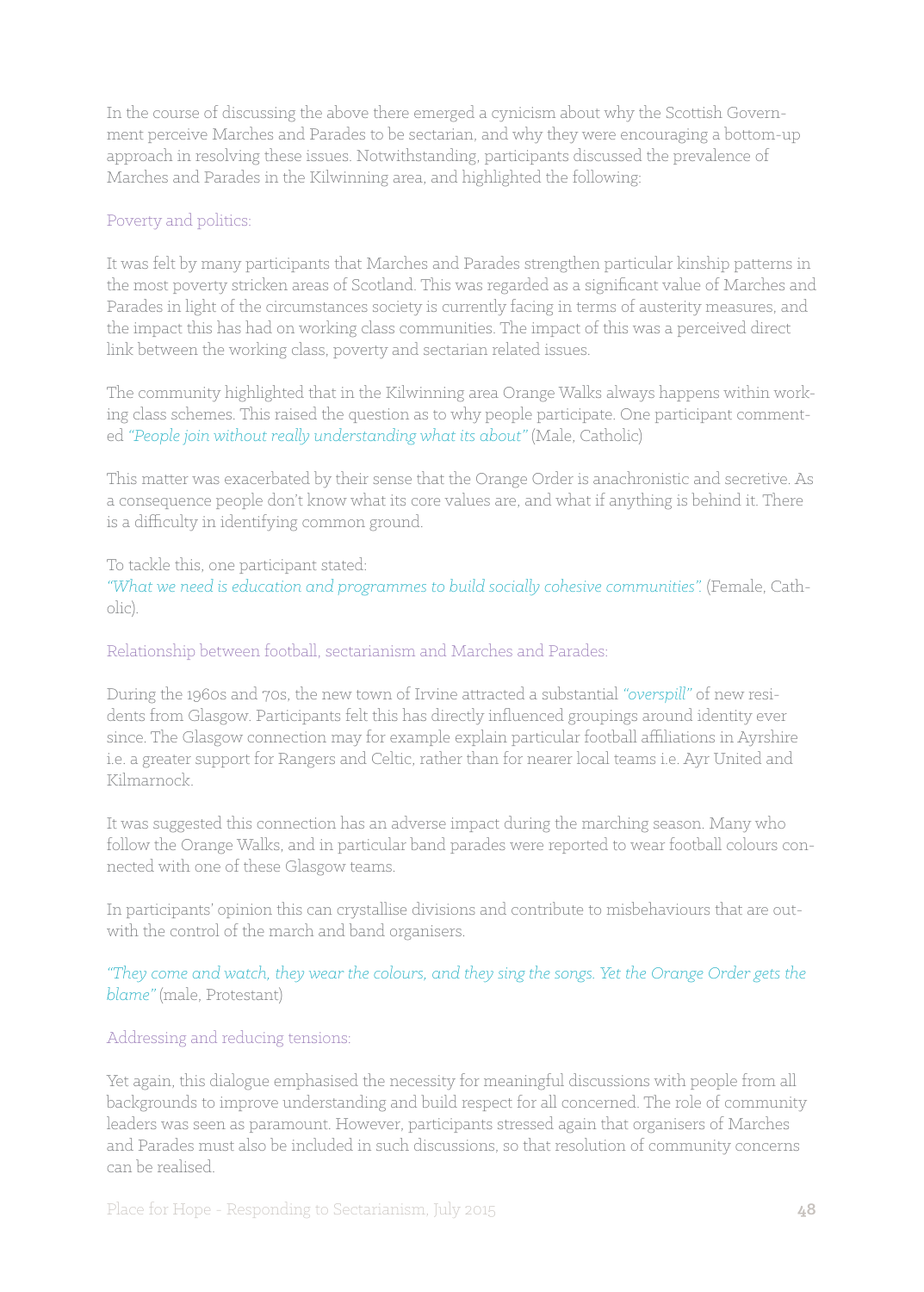In the course of discussing the above there emerged a cynicism about why the Scottish Government perceive Marches and Parades to be sectarian, and why they were encouraging a bottom-up approach in resolving these issues. Notwithstanding, participants discussed the prevalence of Marches and Parades in the Kilwinning area, and highlighted the following:

## Poverty and politics:

It was felt by many participants that Marches and Parades strengthen particular kinship patterns in the most poverty stricken areas of Scotland. This was regarded as a significant value of Marches and Parades in light of the circumstances society is currently facing in terms of austerity measures, and the impact this has had on working class communities. The impact of this was a perceived direct link between the working class, poverty and sectarian related issues.

The community highlighted that in the Kilwinning area Orange Walks always happens within working class schemes. This raised the question as to why people participate. One participant commented *"People join without really understanding what its about"* (Male, Catholic)

This matter was exacerbated by their sense that the Orange Order is anachronistic and secretive. As a consequence people don't know what its core values are, and what if anything is behind it. There is a difficulty in identifying common ground.

## To tackle this, one participant stated:

"What we need is education and programmes to build socially cohesive communities". (Female, Catholic).

## Relationship between football, sectarianism and Marches and Parades:

During the 1960s and 70s, the new town of Irvine attracted a substantial *"overspill"* of new residents from Glasgow. Participants felt this has directly influenced groupings around identity ever since. The Glasgow connection may for example explain particular football affiliations in Ayrshire i.e. a greater support for Rangers and Celtic, rather than for nearer local teams i.e. Ayr United and Kilmarnock.

It was suggested this connection has an adverse impact during the marching season. Many who follow the Orange Walks, and in particular band parades were reported to wear football colours connected with one of these Glasgow teams.

In participants' opinion this can crystallise divisions and contribute to misbehaviours that are outwith the control of the march and band organisers.

## *"They come and watch, they wear the colours, and they sing the songs. Yet the Orange Order gets the blame"* (male, Protestant)

## Addressing and reducing tensions:

Yet again, this dialogue emphasised the necessity for meaningful discussions with people from all backgrounds to improve understanding and build respect for all concerned. The role of community leaders was seen as paramount. However, participants stressed again that organisers of Marches and Parades must also be included in such discussions, so that resolution of community concerns can be realised.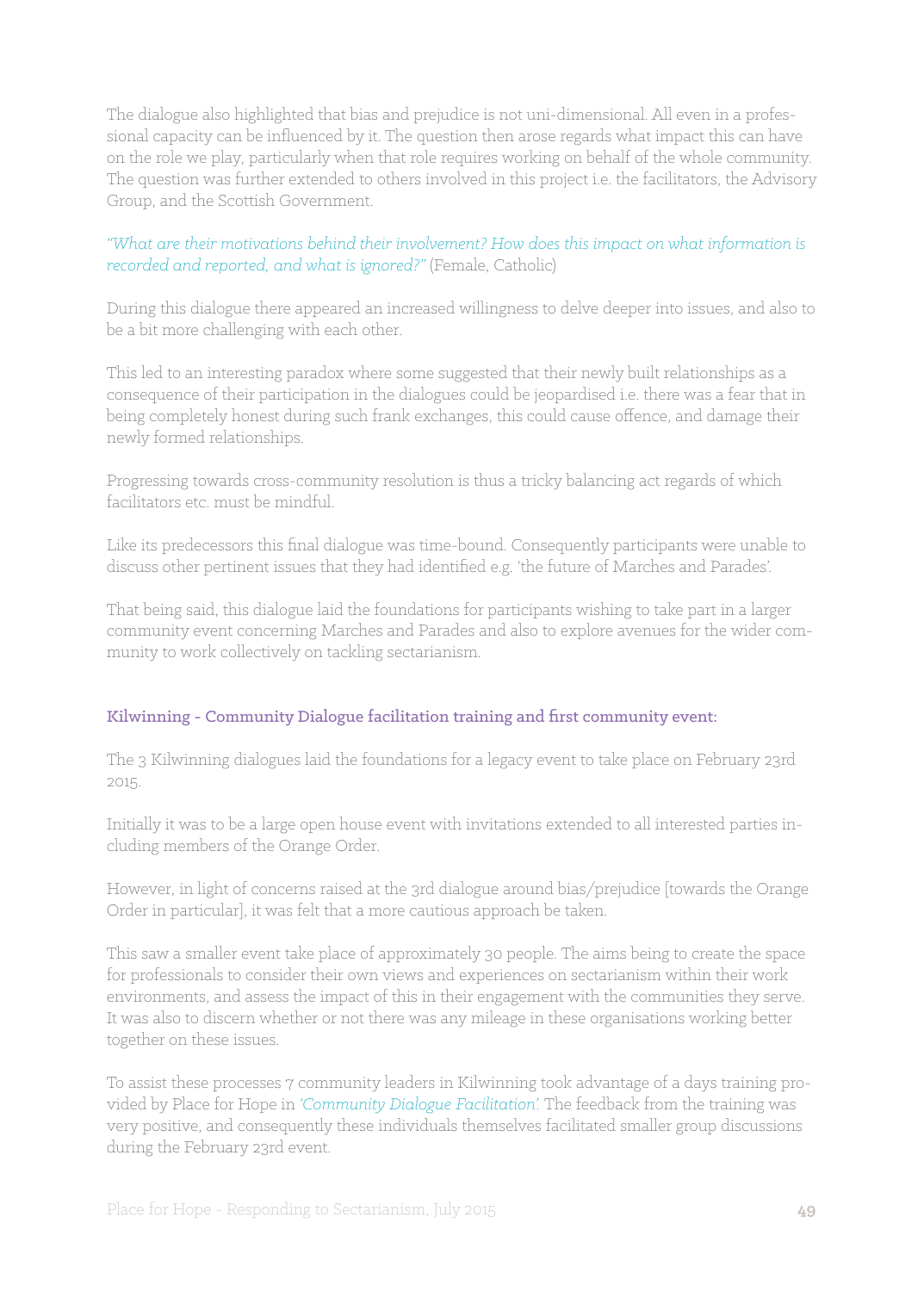The dialogue also highlighted that bias and prejudice is not uni-dimensional. All even in a professional capacity can be influenced by it. The question then arose regards what impact this can have on the role we play, particularly when that role requires working on behalf of the whole community. The question was further extended to others involved in this project i.e. the facilitators, the Advisory Group, and the Scottish Government.

## *"What are their motivations behind their involvement? How does this impact on what information is recorded and reported, and what is ignored?"* (Female, Catholic)

During this dialogue there appeared an increased willingness to delve deeper into issues, and also to be a bit more challenging with each other.

This led to an interesting paradox where some suggested that their newly built relationships as a consequence of their participation in the dialogues could be jeopardised i.e. there was a fear that in being completely honest during such frank exchanges, this could cause offence, and damage their newly formed relationships.

Progressing towards cross-community resolution is thus a tricky balancing act regards of which facilitators etc. must be mindful.

Like its predecessors this final dialogue was time-bound. Consequently participants were unable to discuss other pertinent issues that they had identified e.g. 'the future of Marches and Parades'.

That being said, this dialogue laid the foundations for participants wishing to take part in a larger community event concerning Marches and Parades and also to explore avenues for the wider community to work collectively on tackling sectarianism.

## Kilwinning - Community Dialogue facilitation training and first community event:

The 3 Kilwinning dialogues laid the foundations for a legacy event to take place on February 23rd 2015.

Initially it was to be a large open house event with invitations extended to all interested parties including members of the Orange Order.

However, in light of concerns raised at the 3rd dialogue around bias/prejudice [towards the Orange Order in particular], it was felt that a more cautious approach be taken.

This saw a smaller event take place of approximately 30 people. The aims being to create the space for professionals to consider their own views and experiences on sectarianism within their work environments, and assess the impact of this in their engagement with the communities they serve. It was also to discern whether or not there was any mileage in these organisations working better together on these issues.

To assist these processes 7 community leaders in Kilwinning took advantage of a days training provided by Place for Hope in *'Community Dialogue Facilitation'.* The feedback from the training was very positive, and consequently these individuals themselves facilitated smaller group discussions during the February 23rd event.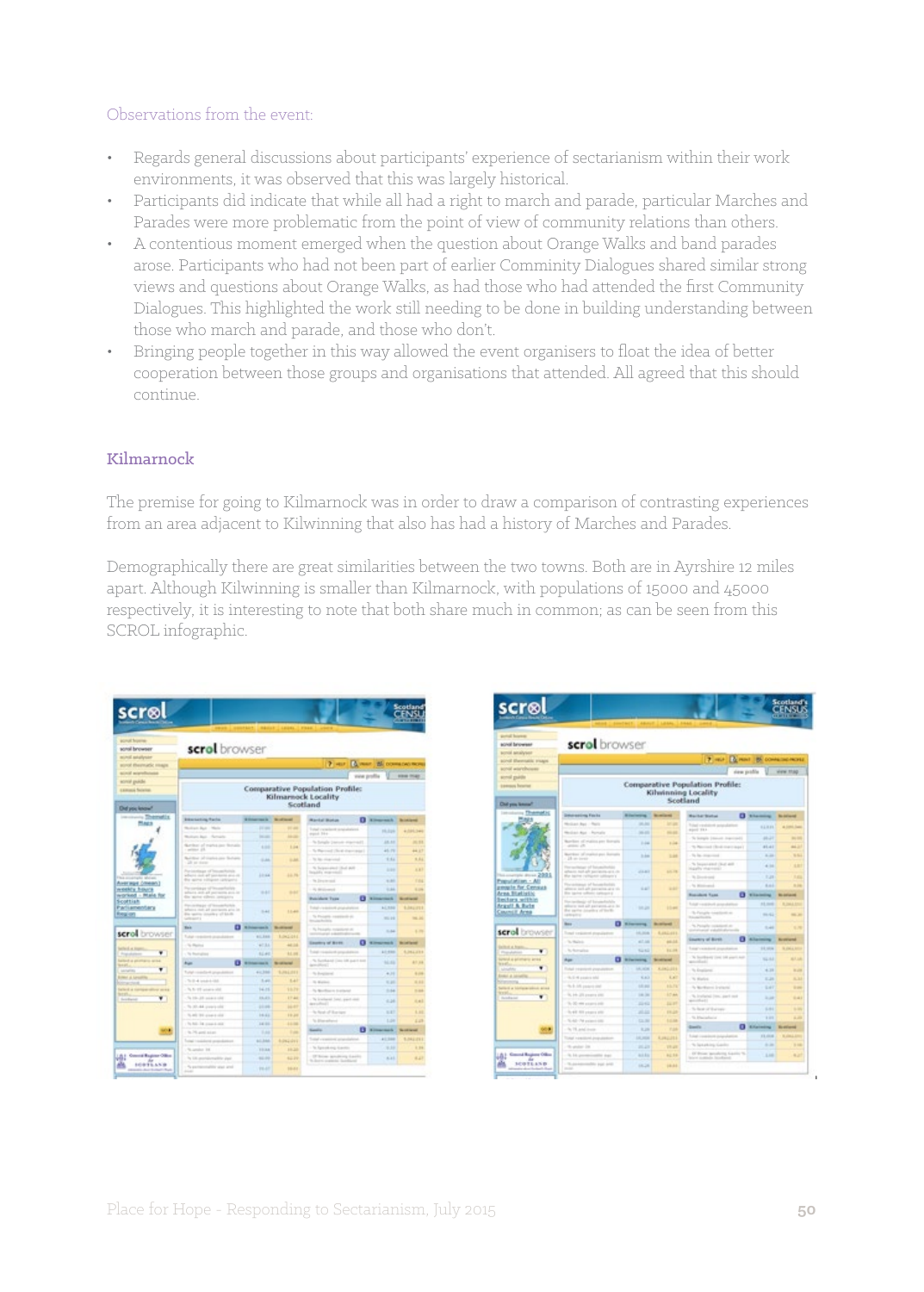#### Observations from the event:

- • Regards general discussions about participants' experience of sectarianism within their work environments, it was observed that this was largely historical.
- Participants did indicate that while all had a right to march and parade, particular Marches and Parades were more problematic from the point of view of community relations than others.
- A contentious moment emerged when the question about Orange Walks and band parades arose. Participants who had not been part of earlier Comminity Dialogues shared similar strong views and questions about Orange Walks, as had those who had attended the first Community Dialogues. This highlighted the work still needing to be done in building understanding between those who march and parade, and those who don't.
- Bringing people together in this way allowed the event organisers to float the idea of better cooperation between those groups and organisations that attended. All agreed that this should continue.

## Kilmarnock

The premise for going to Kilmarnock was in order to draw a comparison of contrasting experiences from an area adjacent to Kilwinning that also has had a history of Marches and Parades.

Demographically there are great similarities between the two towns. Both are in Ayrshire 12 miles apart. Although Kilwinning is smaller than Kilmarnock, with populations of 15000 and 45000 respectively, it is interesting to note that both share much in common; as can be seen from this SCROL infographic.

| scr⊗l                                                                                                                                                                                                           |                                                                                                         |                          | <b><i>RAGUE LEGAL TRAK</i></b> |                                                                                      |                                        | Scotland<br>CENIU<br><b><i><u>CASTA BRATIL</u></i></b> |
|-----------------------------------------------------------------------------------------------------------------------------------------------------------------------------------------------------------------|---------------------------------------------------------------------------------------------------------|--------------------------|--------------------------------|--------------------------------------------------------------------------------------|----------------------------------------|--------------------------------------------------------|
| <b>ACAUCA Brownia</b><br>sonal browser<br>mired astalysis.<br>acred theyroadic rinage.<br>accept anywheters<br>scrial puide<br><b>LEIGHA Science</b><br><b>Old you know!</b><br>- Themelix<br><b>STATE CARD</b> | scrol browser                                                                                           |                          |                                | 7 istor<br><b>Comparative Population Profile:</b><br>Kilmannock Locality<br>Scotland | A year. By come powers<br>your profile | <b>CONTRACTOR</b><br><b><i>STERN TRUBS</i></b>         |
| <b>PLAUS</b>                                                                                                                                                                                                    | <b>Electating facts</b>                                                                                 | -                        | <b>All Service</b>             | <b>Rankel Boston</b>                                                                 | <b>O</b> kingman h                     | <b>Britain</b>                                         |
|                                                                                                                                                                                                                 | Notice Aut. Made                                                                                        | <b>DOM:</b>              | <b>PERMIT</b><br><b>House</b>  | Total conclusive probabilities<br>aquit 144                                          | 16.334                                 | ALCOHOL: THANK                                         |
|                                                                                                                                                                                                                 | Motivan Ball - Remarks                                                                                  | <b>House</b>             |                                | To Senate Democratical Con-                                                          | 18.88                                  | 16, 54                                                 |
|                                                                                                                                                                                                                 | Northern of market last Notation<br>$m(m) = \frac{1}{2} \frac{1}{2}$                                    | 6.000                    | $1 - 4$                        | No Marcourt Chical Association I.                                                    | 46.79                                  | 44.17                                                  |
|                                                                                                                                                                                                                 | Building of trades are factors.<br>an an ann                                                            | <b>Take</b>              | 1,64                           | To the cities wind                                                                   | 1.54                                   | 1.11                                                   |
|                                                                                                                                                                                                                 | Perinthian of Incomforter.<br>adjacent study and state during an out-                                   | 10.64                    | 33.79                          | % between that will<br>bracks warvest.                                               | <b>ALLEN</b>                           | 6.47                                                   |
| Average (mean)                                                                                                                                                                                                  | the same miligan calculated                                                                             |                          |                                | To Directoriand                                                                      | 41.64                                  | <b>TIME</b>                                            |
| <b><i>ARREST BOATS</i></b><br>worked - Male for                                                                                                                                                                 | Personiage of Incomforter<br>adana and all persons and in<br>the street eithers interprise              | $1 - 2 = 1$              | <b>START</b>                   | -14 decisional                                                                       | 11.64                                  | 4.04                                                   |
| Scottish                                                                                                                                                                                                        | Percentage of Innote Auto                                                                               |                          |                                | o<br><b>Insiders Type</b>                                                            | <b>Nimarriott</b>                      | -                                                      |
| Parliamentary<br>Ring on                                                                                                                                                                                        | arbores met all porciares are in<br>dila nasional considerate and data di-<br><b><i>CARD MARK S</i></b> | $3 - 44$                 | 11.44                          | Total visionist planshation<br>To Procents constitute on                             | ALL RIGHT<br>111.28                    | <b>ELRECOVE</b><br><b>HALLM</b>                        |
|                                                                                                                                                                                                                 | o<br>m                                                                                                  | <b>STATE</b><br>-        | <b>Scott Street</b>            | <b>Broadwater</b>                                                                    |                                        |                                                        |
| scrol browser                                                                                                                                                                                                   | Tubal resolutions                                                                                       | 41,344                   | 1.042.041                      | The Principal to restate the ori<br>resolution and all a statements                  | $3 - 54$                               | L.m.                                                   |
|                                                                                                                                                                                                                 | To Pacifica                                                                                             | 47.34                    | $+1.14$                        | o<br>Exering of Byes                                                                 | <b>Williams</b> manufacturers for      | <b><i><u>ACCESSION</u></i></b>                         |
| <b>Sellect at Joans</b><br>٠<br>Paintern                                                                                                                                                                        | To Recruitme                                                                                            | 11.44                    | 4.1.44                         | Total resolution inc.                                                                | A C-FRE                                | 6,064,033                                              |
| falled a primary area.<br><b>STATISTICS</b>                                                                                                                                                                     | o<br><b>bus</b>                                                                                         | <b>Bill Secretary In</b> | <b>Brooklynd</b>               | "A Scotland Crew Oll paint for<br><b>Army Alberta</b>                                | <b>NEW</b>                             | 47.14                                                  |
| ۰<br><b>SAVATES</b>                                                                                                                                                                                             | Total<br>contact proposition                                                                            | 41, 314                  | 1,042,041                      | To Engineer                                                                          | $4 - 14$                               | 4.44                                                   |
| \$1990 A Lexandre<br><b>CALCULA</b>                                                                                                                                                                             | $76.0 + 14.0 + 0.004$                                                                                   | 5.44                     | $1 - 21$                       | To Marine                                                                            | 11, 211                                | 4.44                                                   |
| believe a continue allow seven                                                                                                                                                                                  | To first the series with                                                                                | 14.15                    | 16.71                          | To Northern Instant                                                                  | 3.64                                   | $3 - 34$                                               |
| <b>SERVICE</b><br>٠<br><b>Best Barnet</b>                                                                                                                                                                       | To 10-28 power city                                                                                     | 11.21                    | <b>ET-AL</b>                   | To limitered line, want old-                                                         | 6.16                                   | 6.41                                                   |
|                                                                                                                                                                                                                 | To 20144 presidents                                                                                     | 11.46                    | 14.47                          | Antichte (1)                                                                         |                                        |                                                        |
|                                                                                                                                                                                                                 | 5.40 ST control                                                                                         | 16.66                    | 11.21                          | As New of Australia                                                                  | 8.87                                   | 6.69                                                   |
|                                                                                                                                                                                                                 | To All-Tel: Lowell (400)                                                                                | 34.95                    | 11/04                          | To disposition                                                                       | 1,54                                   | East                                                   |
|                                                                                                                                                                                                                 | N. Ph. and ad at                                                                                        | T-Ad                     | <b>Tube</b>                    | o<br><b>Sanita</b>                                                                   | <b>South Pr</b>                        | <b>By AN INCOME.</b>                                   |
|                                                                                                                                                                                                                 | Today Characteristic and a state of any                                                                 | 61,866                   | <b>Education</b>               | Total vasances practices                                                             | 41.344                                 | 1,042,011                                              |
|                                                                                                                                                                                                                 | To construct 100                                                                                        | 11mm                     | 33.23                          | To Spracking Laster                                                                  | 9.59                                   | 1.24                                                   |
| Connell Regime Office                                                                                                                                                                                           | To U.S. promisionalities and                                                                            | 12.72                    | 42.29                          | Of Anne senderes Garden<br>To close to analyze the classroom                         | 8.11                                   | 6.17                                                   |
| 10031-113                                                                                                                                                                                                       | To premiers halling stack and                                                                           |                          |                                |                                                                                      |                                        |                                                        |

| script smalyser<br>airol themsels; trages<br>koval warehouse<br>scroll guide |                                                                       |               |                   |                                                      |                    |                               |
|------------------------------------------------------------------------------|-----------------------------------------------------------------------|---------------|-------------------|------------------------------------------------------|--------------------|-------------------------------|
|                                                                              |                                                                       |               |                   | $7 - m$<br><b>BE PRINT</b>                           |                    | <b>BE COMMUNICATES</b>        |
|                                                                              |                                                                       |               |                   |                                                      | riese profile      | view 11.60                    |
| <b>Edmont Teams</b>                                                          |                                                                       |               |                   | <b>Comparative Population Profile:</b>               |                    |                               |
|                                                                              |                                                                       |               |                   | Kilwinning Locality<br>Scotland                      |                    |                               |
| Chal you leased?<br>Themstic                                                 |                                                                       |               |                   |                                                      |                    |                               |
| <b>Internations For to</b>                                                   |                                                                       | $-$           |                   | <b>Backer Backer</b>                                 | <b>CE STANDING</b> | <b>Big Antiquest</b>          |
| Median Ave - Rent                                                            |                                                                       | <b>HARA</b>   | <b>SECURE</b>     | Total credit<br>--<br>4 (m) 13.4                     | 11331              | 4.000.046                     |
|                                                                              | Median Asia - Pomala                                                  | $-100$        | <b>HELM</b>       | To borgin (mount downtown)                           | 49.21              | <b>BUT DIE</b>                |
|                                                                              | Rearding of register pre-licensity<br>and and                         | 1.44          | 1.44              | To National Chief many lage (                        | 41.41              | as an                         |
|                                                                              | Marchael of copied part Burnella                                      | 3.56          | <b>Life</b>       | To be married                                        | 3.35               | 53, 54, 4                     |
| $28 - 0 = 0 = 0$                                                             | Fine sectionary of Transactive Con-<br>aftern not all periods and de- | 23.223        | 10.75             | % beam and clear and<br><b>Harly Harvest</b>         | $-4 - 24$          | 187                           |
| $-2001$                                                                      | Man bactive craftspools subleasting                                   |               |                   | No Denvis state                                      | 1,21               | ٠                             |
| <b>President - All</b><br>proprie for Census                                 | Planadoman of Record Return<br>after a lot all persons are to         | --            |                   | - No determined                                      | $4 - 1$            | 1.14                          |
| Arna Highlatic                                                               | the spring sellimic catterpre at                                      |               |                   | o<br><b><i><u>Estukct Taxa</u></i></b>               | <b>STAR</b><br>--  | -                             |
| <b>Smillers</b> within<br>Arguil & Bale                                      | For technic of brunchalds<br>allows said all particulates by          |               |                   | hold vestibut providence                             | 11,000             | <b>B. Dall &amp; Road</b>     |
| Council Area<br><b>LESSAGE</b>                                               | that parties detection of the R-                                      | ten per       | 10.44             | To Paragita substitute on<br><b>Tourist Trusters</b> | $-1.41$            | -                             |
| <b>Base</b>                                                                  |                                                                       | 0.14<br>--    | <b>STATISTICS</b> | To Percent consistent at                             | <b>Sale</b>        | 13                            |
| scrol browser                                                                | Total cellstood dogs/adver-                                           | <b>COLOR</b>  | 6,062,011         | printered validate                                   |                    |                               |
| The Maghelin                                                                 |                                                                       | 47.16         | 44.14             | ο<br><b>Lineway of Bank</b>                          | Allaneous          | <b><i><u>Scramond</u></i></b> |
| <b>The Alexander</b><br>۷                                                    |                                                                       | <b>SOLD</b>   | <b>EXCITE</b>     | big vanish put                                       | 11, 104            | <b>SLOWLA ROOM</b>            |
| torond at privilegity arrival<br>Age                                         | α                                                                     | -             | and the party     | To building time to part and<br>and others           | 52.53              | ALC UNK                       |
| Total capital page                                                           |                                                                       | LE, ADM       | <b>KUMLING</b>    | To Englished                                         | $+34$              | 14, 274                       |
| Event a program.<br>N.E.M. pages and                                         |                                                                       | K.AG          | L.F               | To Markets                                           | $1 - 24$           | 4, 34                         |
| Service of an Indefeating and<br>ALCOHOL:                                    | for \$1.000 persons start                                             | <b>LELAND</b> | 65.75             | A Martinez Industry                                  | 3.41               | $1 -$                         |
| ۰                                                                            | The John 2015 preventing prints                                       | 149.046       | 17.64             | % Instanti Inni, and not                             | <b>House</b>       | 11, 12, 13                    |
|                                                                              | To 20 with polaris and                                                | 1663          | 14.97             | March 1974                                           |                    |                               |
|                                                                              | To 440 AUX privates with                                              | -             | <b>FRUS</b>       | To final of the con-                                 | 5.91               | --                            |
|                                                                              | To All - 79 pointed life.                                             | 13, 36        | 10.44             | 15 Marchan                                           | 9 (19)             | a an                          |
| In 19 and insure                                                             |                                                                       | R.DR          | <b>Public</b>     | σ<br><b>Dealer</b>                                   | Entertainty        | نسب                           |
|                                                                              | Transfer a partitional programme                                      | LAL JACK      | 4, 24 (1973)      | <b><i><u>System can</u></i></b>                      | 13,000             | <b>N. John J. Johnson</b>     |
| No product link                                                              |                                                                       | <b>JALUA</b>  | 19.28             | % Speaking Garden                                    | 19.100             |                               |
|                                                                              | To be presented to dept                                               | 44.84         | 44.94             | (if from landers) fuently %.                         |                    | <b>Ball</b>                   |
| Greend Bugines Office<br>dia.                                                |                                                                       |               |                   | Briefel Australia Standards                          | 3.98               |                               |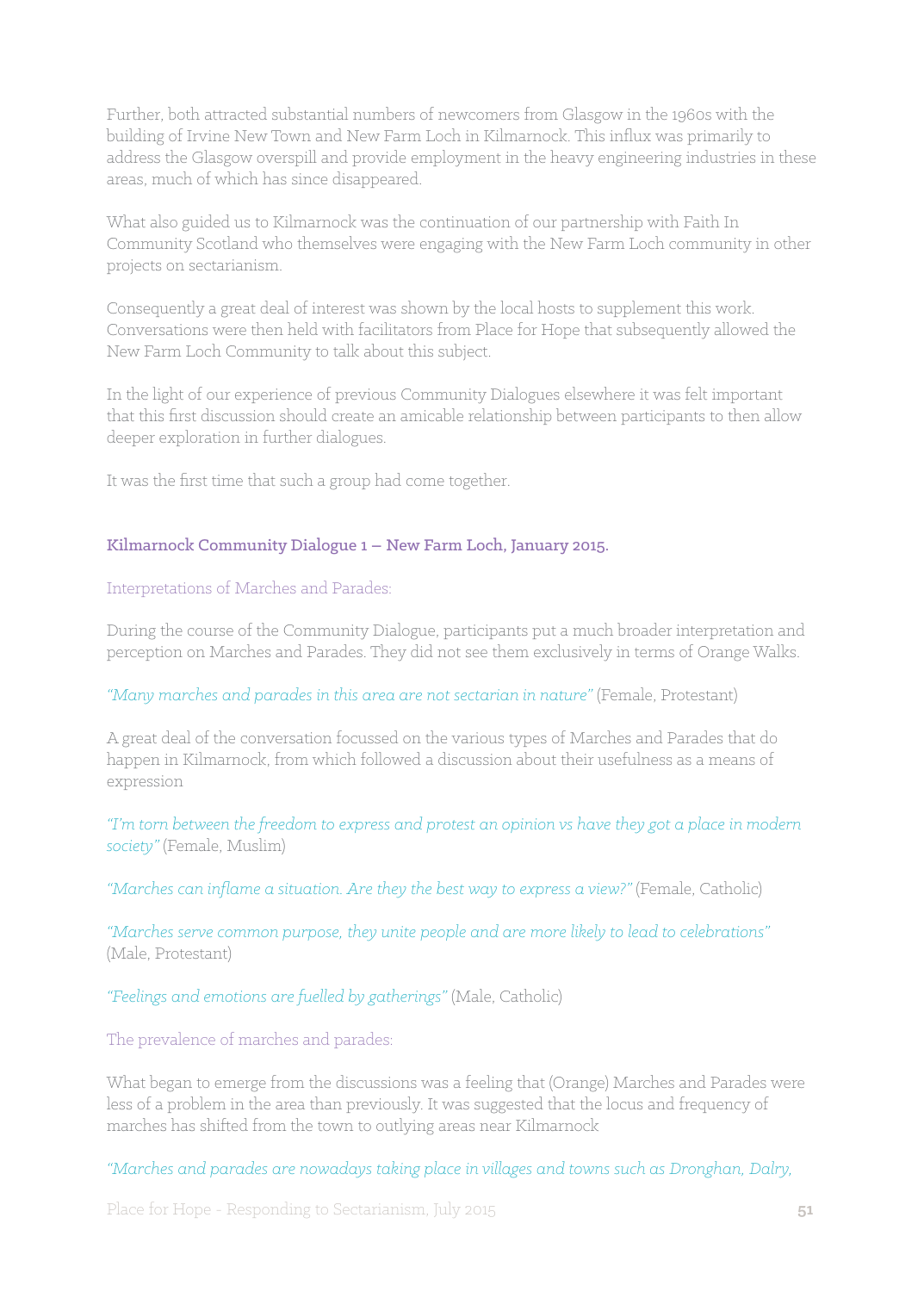Further, both attracted substantial numbers of newcomers from Glasgow in the 1960s with the building of Irvine New Town and New Farm Loch in Kilmarnock. This influx was primarily to address the Glasgow overspill and provide employment in the heavy engineering industries in these areas, much of which has since disappeared.

What also guided us to Kilmarnock was the continuation of our partnership with Faith In Community Scotland who themselves were engaging with the New Farm Loch community in other projects on sectarianism.

Consequently a great deal of interest was shown by the local hosts to supplement this work. Conversations were then held with facilitators from Place for Hope that subsequently allowed the New Farm Loch Community to talk about this subject.

In the light of our experience of previous Community Dialogues elsewhere it was felt important that this first discussion should create an amicable relationship between participants to then allow deeper exploration in further dialogues.

It was the first time that such a group had come together.

#### Kilmarnock Community Dialogue 1 – New Farm Loch, January 2015.

Interpretations of Marches and Parades:

During the course of the Community Dialogue, participants put a much broader interpretation and perception on Marches and Parades. They did not see them exclusively in terms of Orange Walks.

#### *"Many marches and parades in this area are not sectarian in nature"* (Female, Protestant)

A great deal of the conversation focussed on the various types of Marches and Parades that do happen in Kilmarnock, from which followed a discussion about their usefulness as a means of expression

*"I'm torn between the freedom to express and protest an opinion vs have they got a place in modern society"* (Female, Muslim)

"Marches can inflame a situation. Are they the best way to express a view?" (Female, Catholic)

*"Marches serve common purpose, they unite people and are more likely to lead to celebrations"* (Male, Protestant)

*"Feelings and emotions are fuelled by gatherings"* (Male, Catholic)

The prevalence of marches and parades:

What began to emerge from the discussions was a feeling that (Orange) Marches and Parades were less of a problem in the area than previously. It was suggested that the locus and frequency of marches has shifted from the town to outlying areas near Kilmarnock

*"Marches and parades are nowadays taking place in villages and towns such as Dronghan, Dalry,*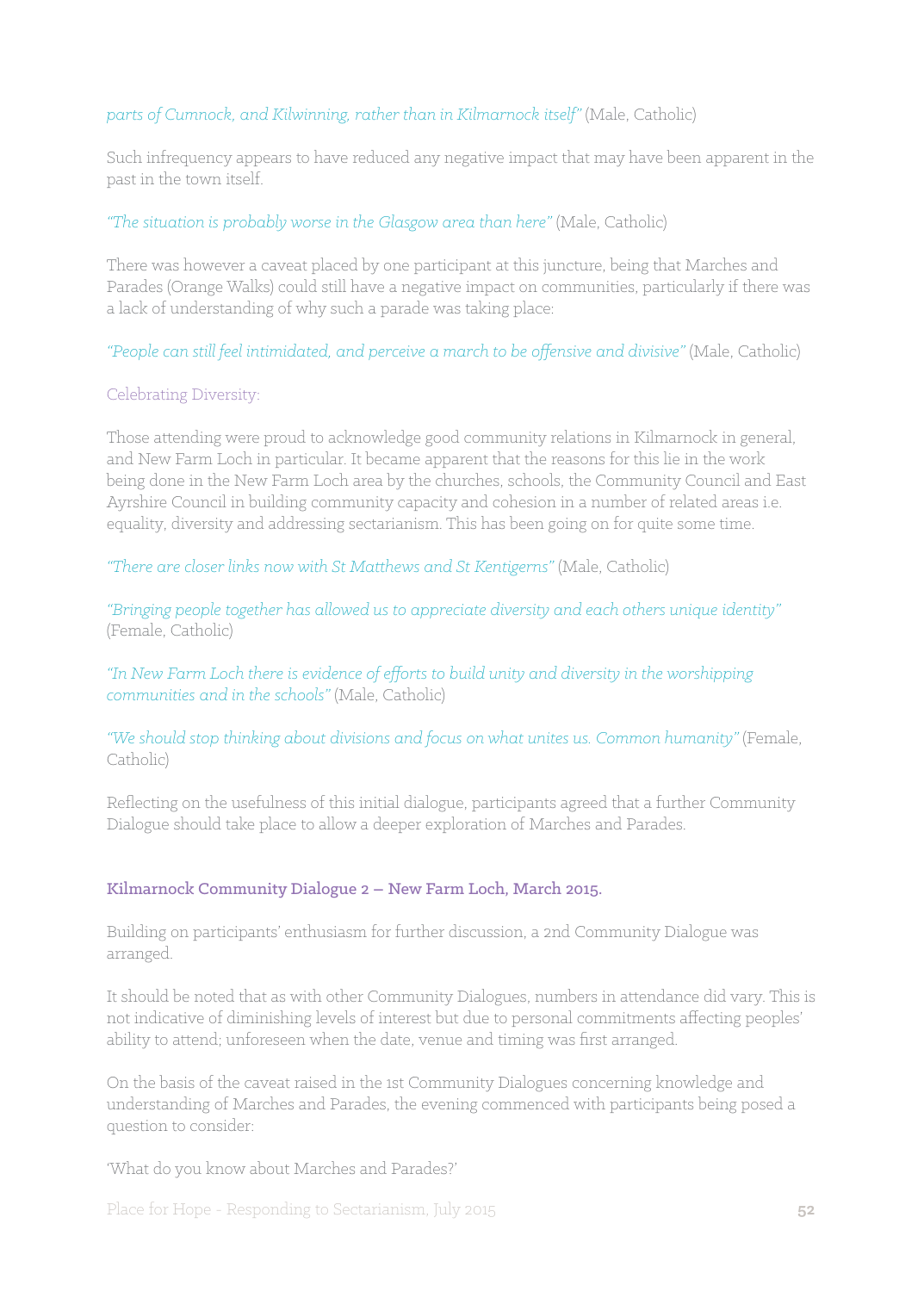### *parts of Cumnock, and Kilwinning, rather than in Kilmarnock itself"* (Male, Catholic)

Such infrequency appears to have reduced any negative impact that may have been apparent in the past in the town itself.

#### *"The situation is probably worse in the Glasgow area than here"* (Male, Catholic)

There was however a caveat placed by one participant at this juncture, being that Marches and Parades (Orange Walks) could still have a negative impact on communities, particularly if there was a lack of understanding of why such a parade was taking place:

*"People can still feel intimidated, and perceive a march to be offensive and divisive"* (Male, Catholic)

#### Celebrating Diversity:

Those attending were proud to acknowledge good community relations in Kilmarnock in general, and New Farm Loch in particular. It became apparent that the reasons for this lie in the work being done in the New Farm Loch area by the churches, schools, the Community Council and East Ayrshire Council in building community capacity and cohesion in a number of related areas i.e. equality, diversity and addressing sectarianism. This has been going on for quite some time.

*"There are closer links now with St Matthews and St Kentigerns"* (Male, Catholic)

*"Bringing people together has allowed us to appreciate diversity and each others unique identity"*  (Female, Catholic)

*"In New Farm Loch there is evidence of efforts to build unity and diversity in the worshipping communities and in the schools"* (Male, Catholic)

*"We should stop thinking about divisions and focus on what unites us. Common humanity"* (Female, Catholic)

Reflecting on the usefulness of this initial dialogue, participants agreed that a further Community Dialogue should take place to allow a deeper exploration of Marches and Parades.

#### Kilmarnock Community Dialogue 2 – New Farm Loch, March 2015.

Building on participants' enthusiasm for further discussion, a 2nd Community Dialogue was arranged.

It should be noted that as with other Community Dialogues, numbers in attendance did vary. This is not indicative of diminishing levels of interest but due to personal commitments affecting peoples' ability to attend; unforeseen when the date, venue and timing was first arranged.

On the basis of the caveat raised in the 1st Community Dialogues concerning knowledge and understanding of Marches and Parades, the evening commenced with participants being posed a question to consider:

'What do you know about Marches and Parades?'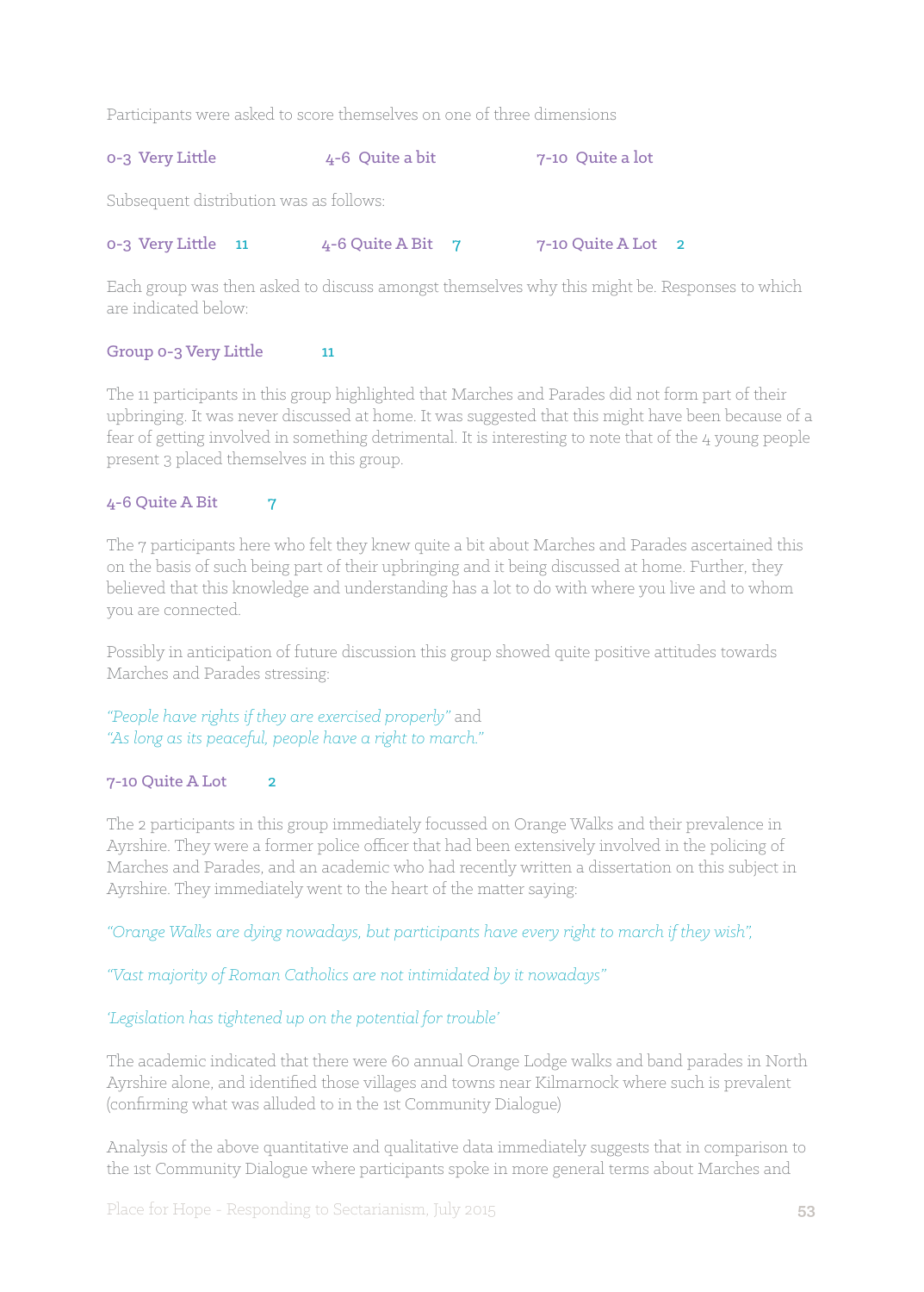Participants were asked to score themselves on one of three dimensions

## 0-3 Very Little  $4-6$  Quite a bit 7-10 Quite a lot

Subsequent distribution was as follows:

#### 0-3 Very Little 11 4-6 Quite A Bit 7 7-10 Quite A Lot 2

Each group was then asked to discuss amongst themselves why this might be. Responses to which are indicated below:

#### Group 0-3 Very Little 11

The 11 participants in this group highlighted that Marches and Parades did not form part of their upbringing. It was never discussed at home. It was suggested that this might have been because of a fear of getting involved in something detrimental. It is interesting to note that of the 4 young people present 3 placed themselves in this group.

#### $4-6$  Quite A Bit  $7$

The 7 participants here who felt they knew quite a bit about Marches and Parades ascertained this on the basis of such being part of their upbringing and it being discussed at home. Further, they believed that this knowledge and understanding has a lot to do with where you live and to whom you are connected.

Possibly in anticipation of future discussion this group showed quite positive attitudes towards Marches and Parades stressing:

#### *"People have rights if they are exercised properly"* and *"As long as its peaceful, people have a right to march."*

#### 7-10 Quite A Lot 2

The 2 participants in this group immediately focussed on Orange Walks and their prevalence in Ayrshire. They were a former police officer that had been extensively involved in the policing of Marches and Parades, and an academic who had recently written a dissertation on this subject in Ayrshire. They immediately went to the heart of the matter saying:

*"Orange Walks are dying nowadays, but participants have every right to march if they wish",*

#### *"Vast majority of Roman Catholics are not intimidated by it nowadays"*

## *'Legislation has tightened up on the potential for trouble'*

The academic indicated that there were 60 annual Orange Lodge walks and band parades in North Ayrshire alone, and identified those villages and towns near Kilmarnock where such is prevalent (confirming what was alluded to in the 1st Community Dialogue)

Analysis of the above quantitative and qualitative data immediately suggests that in comparison to the 1st Community Dialogue where participants spoke in more general terms about Marches and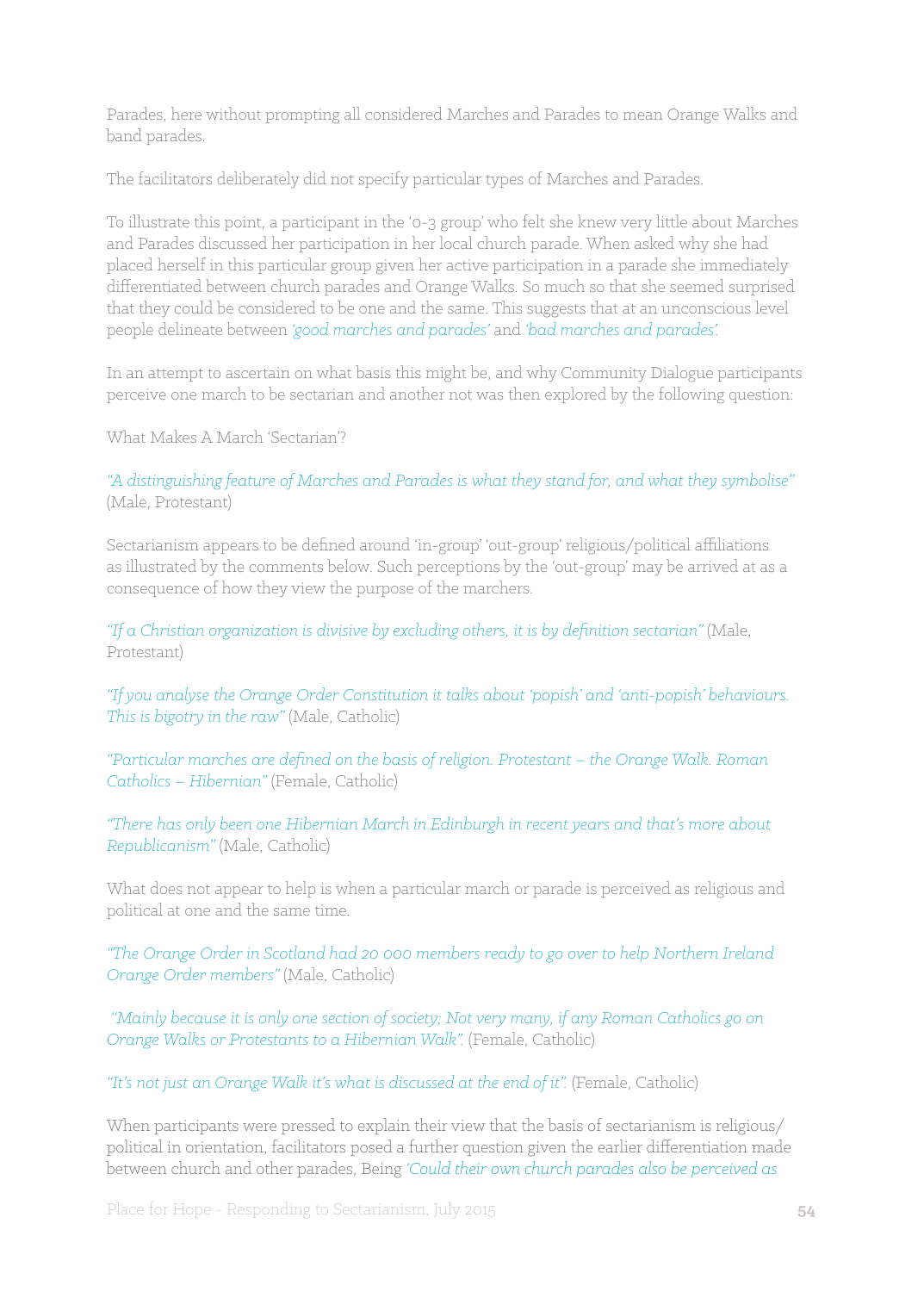Parades, here without prompting all considered Marches and Parades to mean Orange Walks and band parades.

The facilitators deliberately did not specify particular types of Marches and Parades.

To illustrate this point, a participant in the '0-3 group' who felt she knew very little about Marches and Parades discussed her participation in her local church parade. When asked why she had placed herself in this particular group given her active participation in a parade she immediately differentiated between church parades and Orange Walks. So much so that she seemed surprised that they could be considered to be one and the same. This suggests that at an unconscious level people delineate between *'good marches and parades'* and *'bad marches and parades'.*

In an attempt to ascertain on what basis this might be, and why Community Dialogue participants perceive one march to be sectarian and another not was then explored by the following question:

What Makes A March 'Sectarian'?

*"A distinguishing feature of Marches and Parades is what they stand for, and what they symbolise"*  (Male, Protestant)

Sectarianism appears to be defined around 'in-group' 'out-group' religious/political affiliations as illustrated by the comments below. Such perceptions by the 'out-group' may be arrived at as a consequence of how they view the purpose of the marchers.

*"If a Christian organization is divisive by excluding others, it is by definition sectarian"* (Male, Protestant)

*"If you analyse the Orange Order Constitution it talks about 'popish' and 'anti-popish' behaviours. This is bigotry in the raw"* (Male, Catholic)

*"Particular marches are defined on the basis of religion. Protestant – the Orange Walk. Roman Catholics – Hibernian"* (Female, Catholic)

*"There has only been one Hibernian March in Edinburgh in recent years and that's more about Republicanism"* (Male, Catholic)

What does not appear to help is when a particular march or parade is perceived as religious and political at one and the same time.

*"The Orange Order in Scotland had 20 000 members ready to go over to help Northern Ireland Orange Order members"* (Male, Catholic)

 *"Mainly because it is only one section of society; Not very many, if any Roman Catholics go on Orange Walks or Protestants to a Hibernian Walk".* (Female, Catholic)

*"It's not just an Orange Walk it's what is discussed at the end of it".* (Female, Catholic)

When participants were pressed to explain their view that the basis of sectarianism is religious/ political in orientation, facilitators posed a further question given the earlier differentiation made between church and other parades, Being *'Could their own church parades also be perceived as*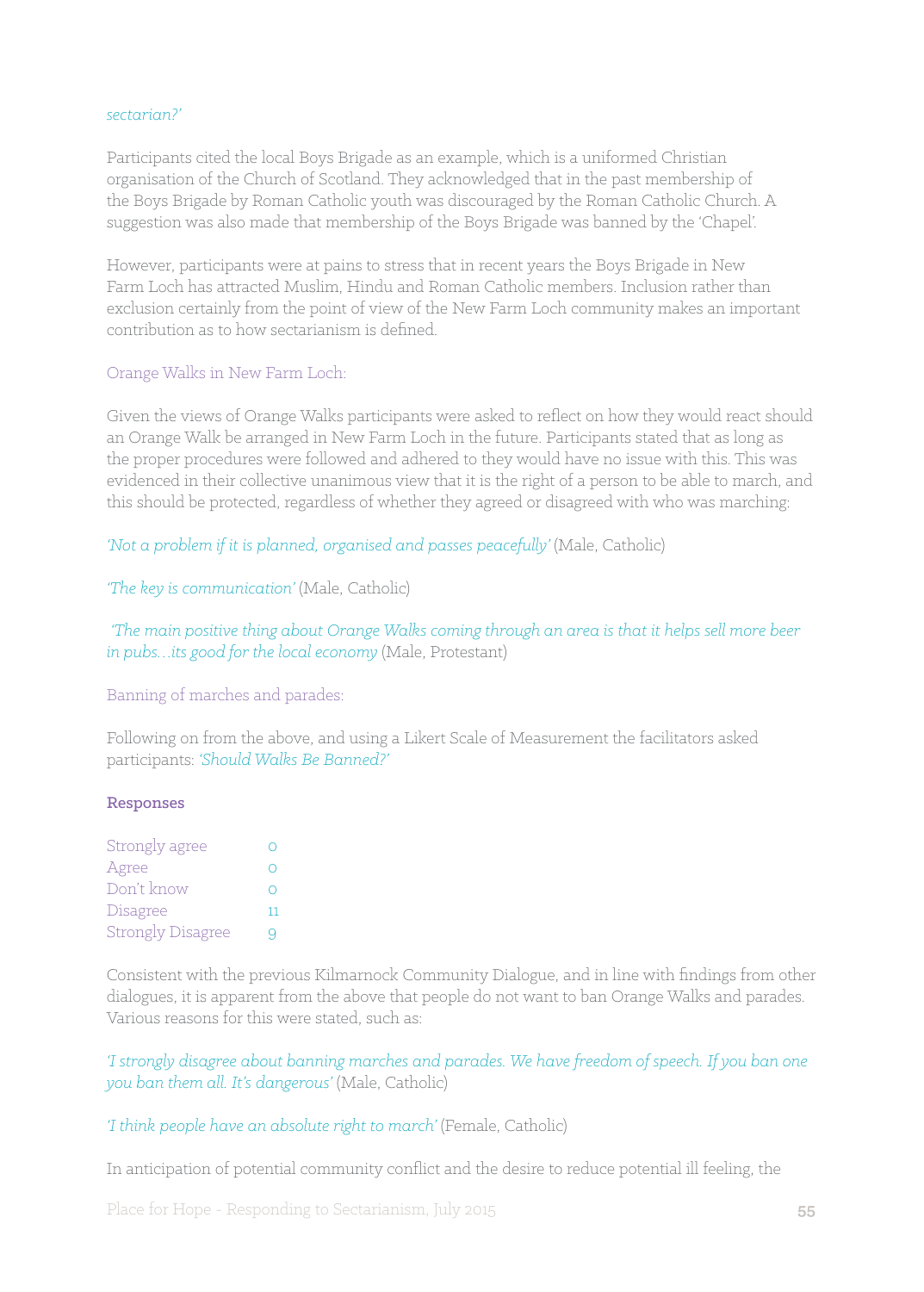#### *sectarian?'*

Participants cited the local Boys Brigade as an example, which is a uniformed Christian organisation of the Church of Scotland. They acknowledged that in the past membership of the Boys Brigade by Roman Catholic youth was discouraged by the Roman Catholic Church. A suggestion was also made that membership of the Boys Brigade was banned by the 'Chapel'.

However, participants were at pains to stress that in recent years the Boys Brigade in New Farm Loch has attracted Muslim, Hindu and Roman Catholic members. Inclusion rather than exclusion certainly from the point of view of the New Farm Loch community makes an important contribution as to how sectarianism is defined.

#### Orange Walks in New Farm Loch:

Given the views of Orange Walks participants were asked to reflect on how they would react should an Orange Walk be arranged in New Farm Loch in the future. Participants stated that as long as the proper procedures were followed and adhered to they would have no issue with this. This was evidenced in their collective unanimous view that it is the right of a person to be able to march, and this should be protected, regardless of whether they agreed or disagreed with who was marching:

#### 'Not a problem if it is planned, organised and passes peacefully' (Male, Catholic)

*'The key is communication'* (Male, Catholic)

 *'The main positive thing about Orange Walks coming through an area is that it helps sell more beer in pubs…its good for the local economy* (Male, Protestant)

Banning of marches and parades:

Following on from the above, and using a Likert Scale of Measurement the facilitators asked participants: *'Should Walks Be Banned?'*

#### Responses

| Strongly agree           |    |
|--------------------------|----|
| Agree                    |    |
| Don't know               |    |
| Disagree                 | 11 |
| <b>Strongly Disagree</b> | u  |

Consistent with the previous Kilmarnock Community Dialogue, and in line with findings from other dialogues, it is apparent from the above that people do not want to ban Orange Walks and parades. Various reasons for this were stated, such as:

*'I strongly disagree about banning marches and parades. We have freedom of speech. If you ban one you ban them all. It's dangerous'* (Male, Catholic)

*'I think people have an absolute right to march'* (Female, Catholic)

In anticipation of potential community conflict and the desire to reduce potential ill feeling, the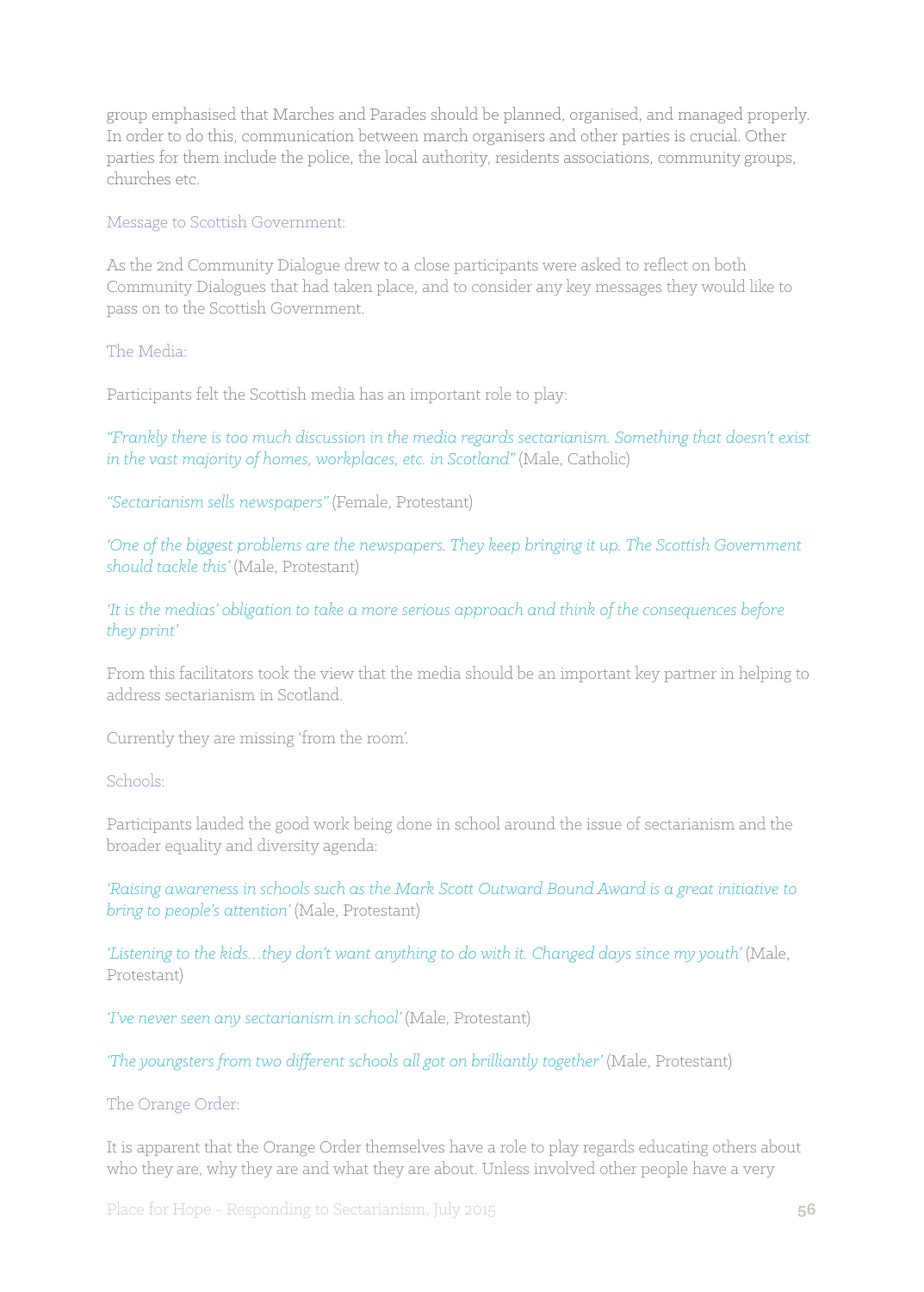group emphasised that Marches and Parades should be planned, organised, and managed properly. In order to do this, communication between march organisers and other parties is crucial. Other parties for them include the police, the local authority, residents associations, community groups, churches etc.

Message to Scottish Government:

As the 2nd Community Dialogue drew to a close participants were asked to reflect on both Community Dialogues that had taken place, and to consider any key messages they would like to pass on to the Scottish Government.

The Media:

Participants felt the Scottish media has an important role to play:

*"Frankly there is too much discussion in the media regards sectarianism. Something that doesn't exist in the vast majority of homes, workplaces, etc. in Scotland"* (Male, Catholic)

*"Sectarianism sells newspapers"* (Female, Protestant)

*'One of the biggest problems are the newspapers. They keep bringing it up. The Scottish Government should tackle this'* (Male, Protestant)

*'It is the medias' obligation to take a more serious approach and think of the consequences before they print'* 

From this facilitators took the view that the media should be an important key partner in helping to address sectarianism in Scotland.

Currently they are missing 'from the room'.

Schools:

Participants lauded the good work being done in school around the issue of sectarianism and the broader equality and diversity agenda:

*'Raising awareness in schools such as the Mark Scott Outward Bound Award is a great initiative to bring to people's attention'* (Male, Protestant)

*'Listening to the kids…they don't want anything to do with it. Changed days since my youth'* (Male, Protestant)

*'I've never seen any sectarianism in school'* (Male, Protestant)

*'The youngsters from two different schools all got on brilliantly together'* (Male, Protestant)

#### The Orange Order:

It is apparent that the Orange Order themselves have a role to play regards educating others about who they are, why they are and what they are about. Unless involved other people have a very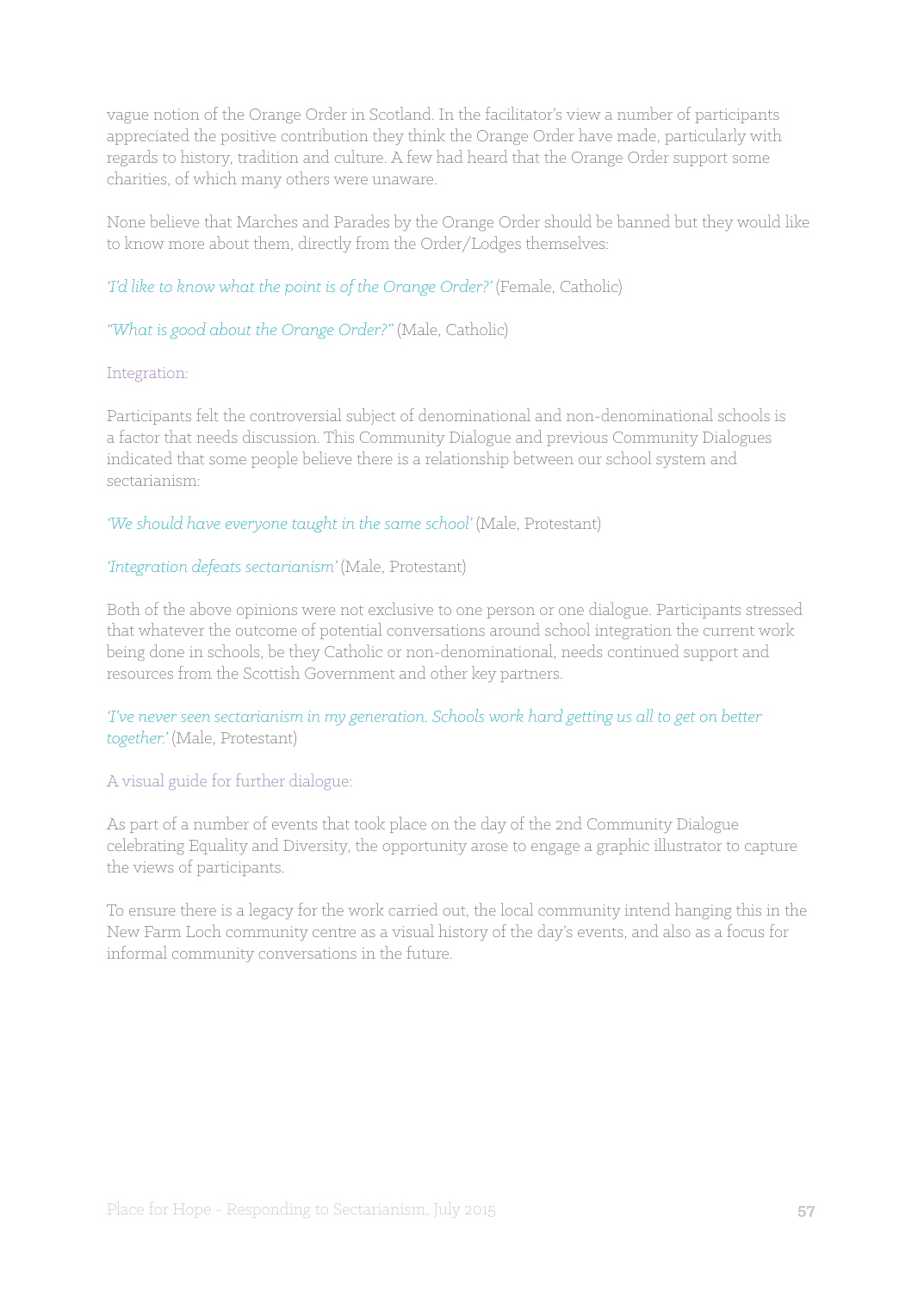vague notion of the Orange Order in Scotland. In the facilitator's view a number of participants appreciated the positive contribution they think the Orange Order have made, particularly with regards to history, tradition and culture. A few had heard that the Orange Order support some charities, of which many others were unaware.

None believe that Marches and Parades by the Orange Order should be banned but they would like to know more about them, directly from the Order/Lodges themselves:

*'I'd like to know what the point is of the Orange Order?'* (Female, Catholic)

*"What is good about the Orange Order?"* (Male, Catholic)

#### Integration:

Participants felt the controversial subject of denominational and non-denominational schools is a factor that needs discussion. This Community Dialogue and previous Community Dialogues indicated that some people believe there is a relationship between our school system and sectarianism:

*'We should have everyone taught in the same school'* (Male, Protestant)

#### *'Integration defeats sectarianism'* (Male, Protestant)

Both of the above opinions were not exclusive to one person or one dialogue. Participants stressed that whatever the outcome of potential conversations around school integration the current work being done in schools, be they Catholic or non-denominational, needs continued support and resources from the Scottish Government and other key partners.

*'I've never seen sectarianism in my generation. Schools work hard getting us all to get on better together.'* (Male, Protestant)

#### A visual guide for further dialogue:

As part of a number of events that took place on the day of the 2nd Community Dialogue celebrating Equality and Diversity, the opportunity arose to engage a graphic illustrator to capture the views of participants.

To ensure there is a legacy for the work carried out, the local community intend hanging this in the New Farm Loch community centre as a visual history of the day's events, and also as a focus for informal community conversations in the future.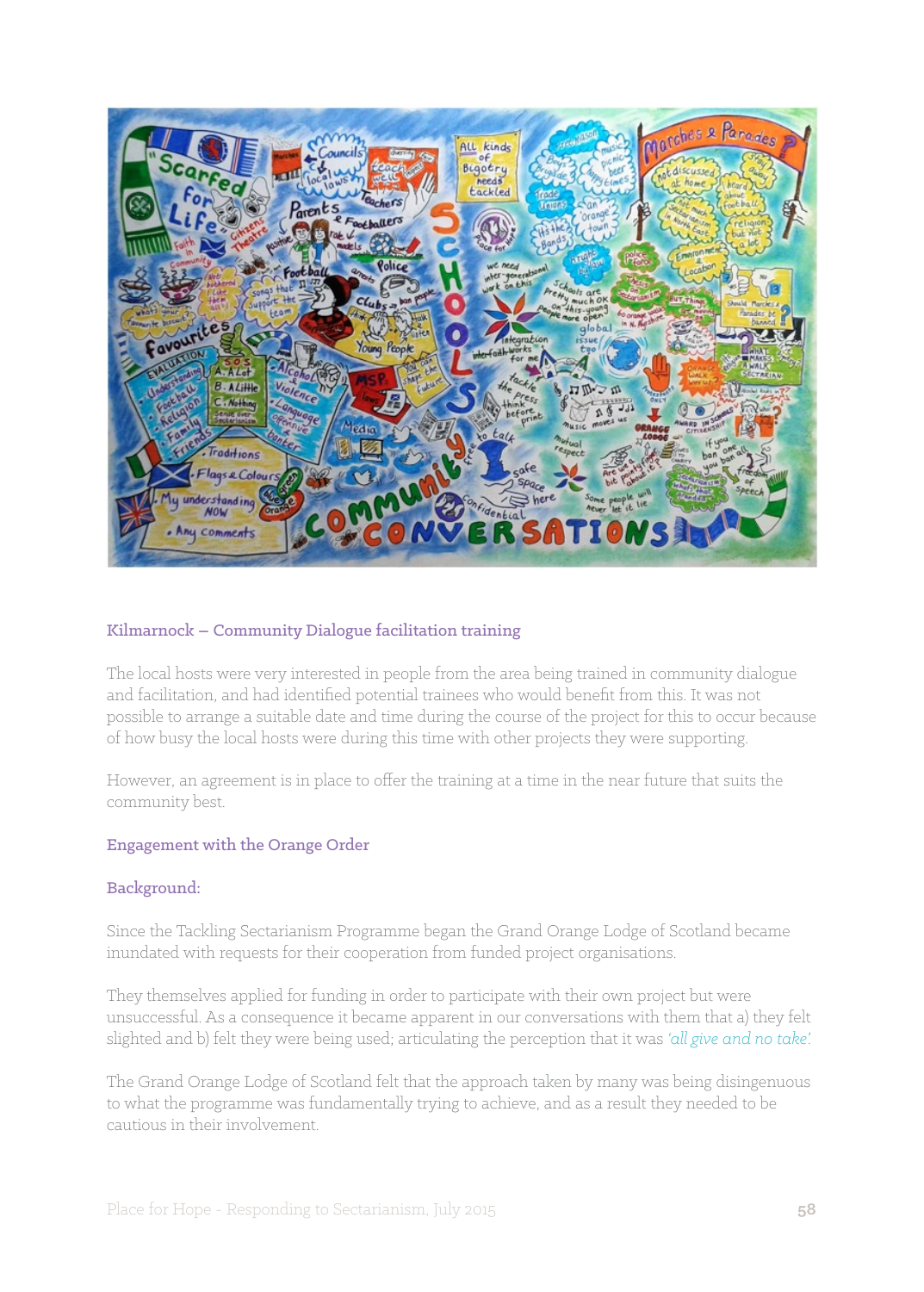

#### Kilmarnock – Community Dialogue facilitation training

The local hosts were very interested in people from the area being trained in community dialogue and facilitation, and had identified potential trainees who would benefit from this. It was not possible to arrange a suitable date and time during the course of the project for this to occur because of how busy the local hosts were during this time with other projects they were supporting.

However, an agreement is in place to offer the training at a time in the near future that suits the community best.

#### Engagement with the Orange Order

#### Background:

Since the Tackling Sectarianism Programme began the Grand Orange Lodge of Scotland became inundated with requests for their cooperation from funded project organisations.

They themselves applied for funding in order to participate with their own project but were unsuccessful. As a consequence it became apparent in our conversations with them that a) they felt slighted and b) felt they were being used; articulating the perception that it was *'all give and no take'.* 

The Grand Orange Lodge of Scotland felt that the approach taken by many was being disingenuous to what the programme was fundamentally trying to achieve, and as a result they needed to be cautious in their involvement.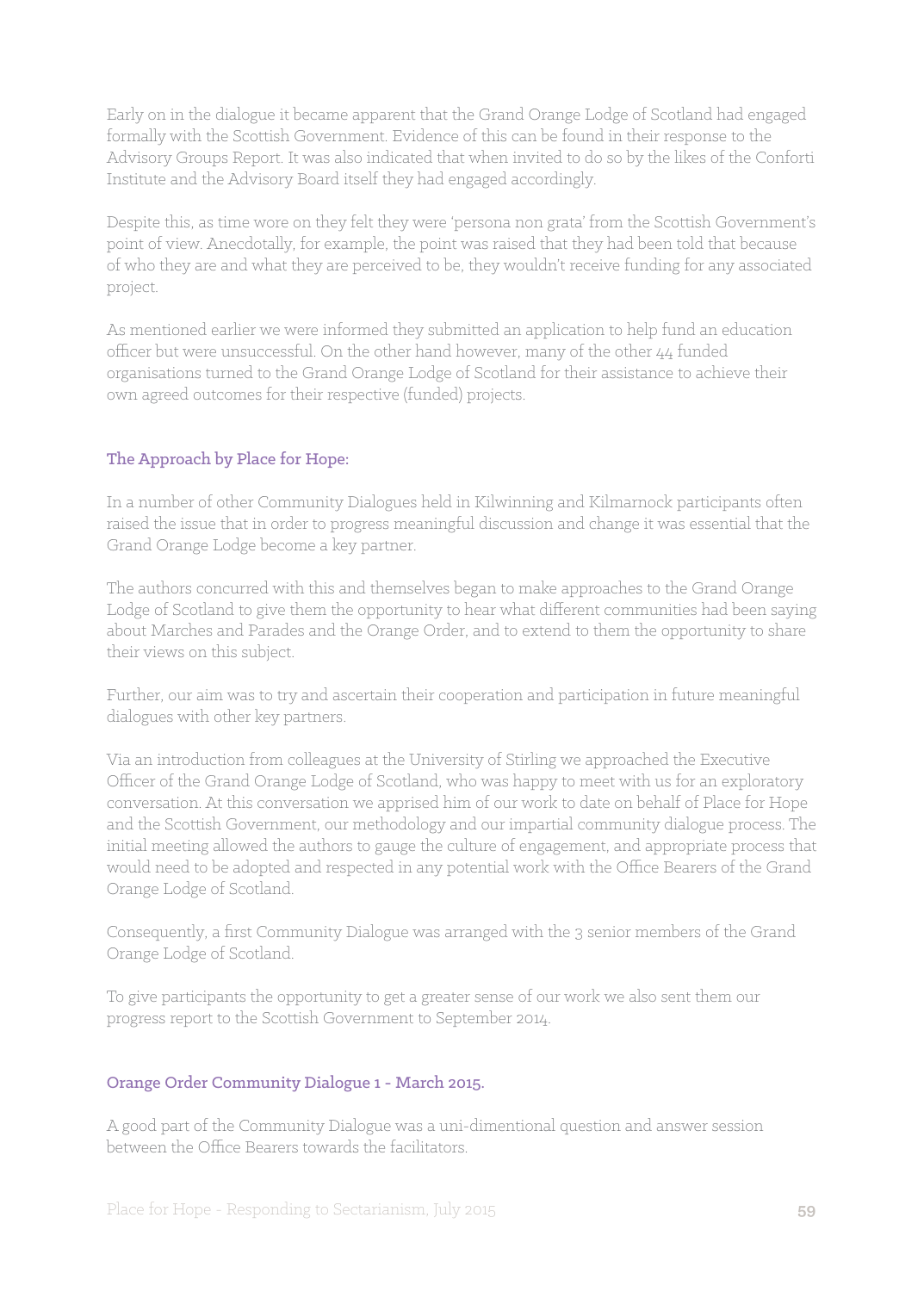Early on in the dialogue it became apparent that the Grand Orange Lodge of Scotland had engaged formally with the Scottish Government. Evidence of this can be found in their response to the Advisory Groups Report. It was also indicated that when invited to do so by the likes of the Conforti Institute and the Advisory Board itself they had engaged accordingly.

Despite this, as time wore on they felt they were 'persona non grata' from the Scottish Government's point of view. Anecdotally, for example, the point was raised that they had been told that because of who they are and what they are perceived to be, they wouldn't receive funding for any associated project.

As mentioned earlier we were informed they submitted an application to help fund an education officer but were unsuccessful. On the other hand however, many of the other 44 funded organisations turned to the Grand Orange Lodge of Scotland for their assistance to achieve their own agreed outcomes for their respective (funded) projects.

## The Approach by Place for Hope:

In a number of other Community Dialogues held in Kilwinning and Kilmarnock participants often raised the issue that in order to progress meaningful discussion and change it was essential that the Grand Orange Lodge become a key partner.

The authors concurred with this and themselves began to make approaches to the Grand Orange Lodge of Scotland to give them the opportunity to hear what different communities had been saying about Marches and Parades and the Orange Order, and to extend to them the opportunity to share their views on this subject.

Further, our aim was to try and ascertain their cooperation and participation in future meaningful dialogues with other key partners.

Via an introduction from colleagues at the University of Stirling we approached the Executive Officer of the Grand Orange Lodge of Scotland, who was happy to meet with us for an exploratory conversation. At this conversation we apprised him of our work to date on behalf of Place for Hope and the Scottish Government, our methodology and our impartial community dialogue process. The initial meeting allowed the authors to gauge the culture of engagement, and appropriate process that would need to be adopted and respected in any potential work with the Office Bearers of the Grand Orange Lodge of Scotland.

Consequently, a first Community Dialogue was arranged with the 3 senior members of the Grand Orange Lodge of Scotland.

To give participants the opportunity to get a greater sense of our work we also sent them our progress report to the Scottish Government to September 2014.

#### Orange Order Community Dialogue 1 - March 2015.

A good part of the Community Dialogue was a uni-dimentional question and answer session between the Office Bearers towards the facilitators.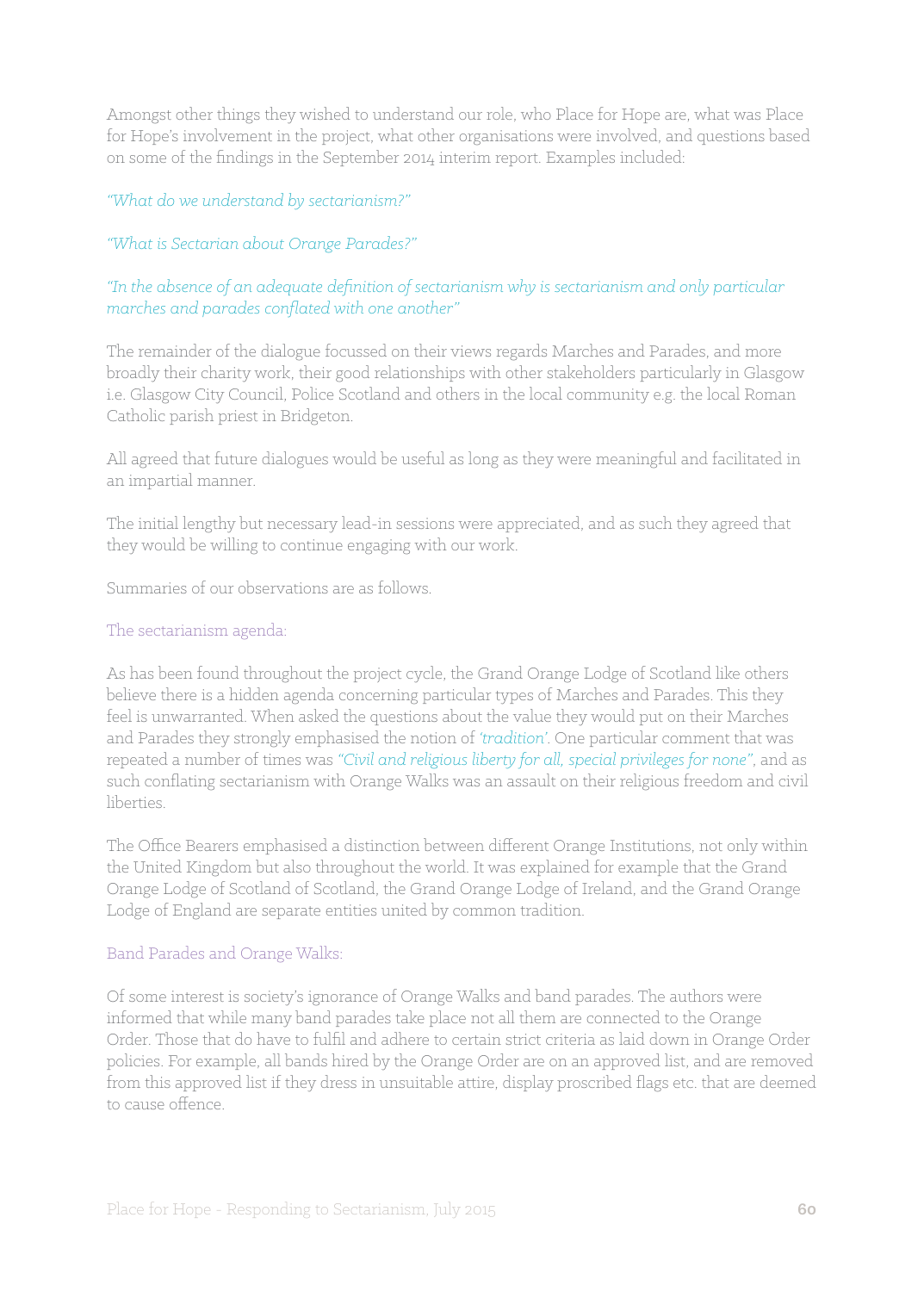Amongst other things they wished to understand our role, who Place for Hope are, what was Place for Hope's involvement in the project, what other organisations were involved, and questions based on some of the findings in the September 2014 interim report. Examples included:

#### *"What do we understand by sectarianism?"*

#### *"What is Sectarian about Orange Parades?"*

#### *"In the absence of an adequate definition of sectarianism why is sectarianism and only particular marches and parades conflated with one another"*

The remainder of the dialogue focussed on their views regards Marches and Parades, and more broadly their charity work, their good relationships with other stakeholders particularly in Glasgow i.e. Glasgow City Council, Police Scotland and others in the local community e.g. the local Roman Catholic parish priest in Bridgeton.

All agreed that future dialogues would be useful as long as they were meaningful and facilitated in an impartial manner.

The initial lengthy but necessary lead-in sessions were appreciated, and as such they agreed that they would be willing to continue engaging with our work.

Summaries of our observations are as follows.

#### The sectarianism agenda:

As has been found throughout the project cycle, the Grand Orange Lodge of Scotland like others believe there is a hidden agenda concerning particular types of Marches and Parades. This they feel is unwarranted. When asked the questions about the value they would put on their Marches and Parades they strongly emphasised the notion of *'tradition'*. One particular comment that was repeated a number of times was *"Civil and religious liberty for all, special privileges for none"*, and as such conflating sectarianism with Orange Walks was an assault on their religious freedom and civil liberties.

The Office Bearers emphasised a distinction between different Orange Institutions, not only within the United Kingdom but also throughout the world. It was explained for example that the Grand Orange Lodge of Scotland of Scotland, the Grand Orange Lodge of Ireland, and the Grand Orange Lodge of England are separate entities united by common tradition.

#### Band Parades and Orange Walks:

Of some interest is society's ignorance of Orange Walks and band parades. The authors were informed that while many band parades take place not all them are connected to the Orange Order. Those that do have to fulfil and adhere to certain strict criteria as laid down in Orange Order policies. For example, all bands hired by the Orange Order are on an approved list, and are removed from this approved list if they dress in unsuitable attire, display proscribed flags etc. that are deemed to cause offence.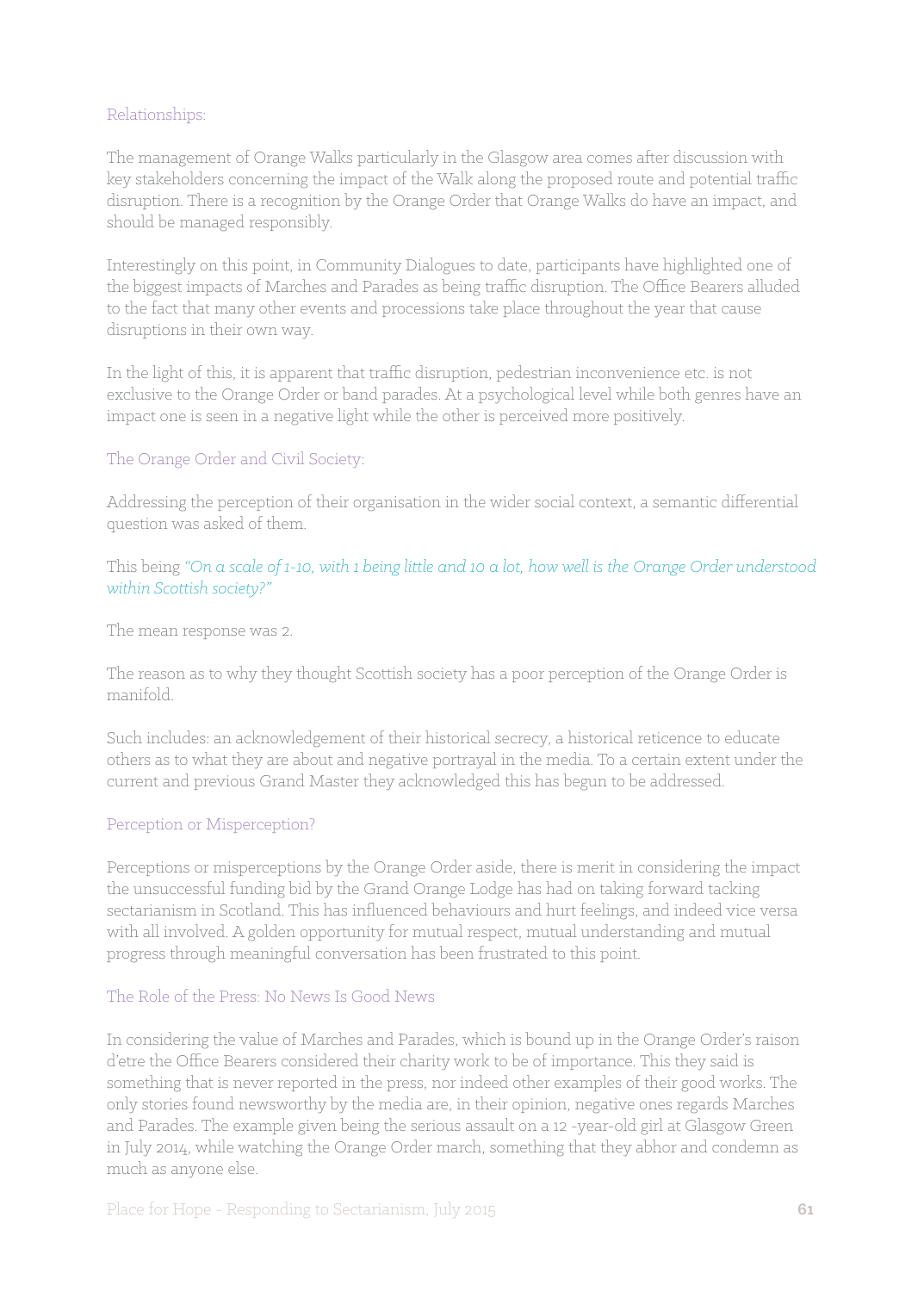#### Relationships:

The management of Orange Walks particularly in the Glasgow area comes after discussion with key stakeholders concerning the impact of the Walk along the proposed route and potential traffic disruption. There is a recognition by the Orange Order that Orange Walks do have an impact, and should be managed responsibly.

Interestingly on this point, in Community Dialogues to date, participants have highlighted one of the biggest impacts of Marches and Parades as being traffic disruption. The Office Bearers alluded to the fact that many other events and processions take place throughout the year that cause disruptions in their own way.

In the light of this, it is apparent that traffic disruption, pedestrian inconvenience etc. is not exclusive to the Orange Order or band parades. At a psychological level while both genres have an impact one is seen in a negative light while the other is perceived more positively.

## The Orange Order and Civil Society:

Addressing the perception of their organisation in the wider social context, a semantic differential question was asked of them.

This being *"On a scale of 1-10, with 1 being little and 10 a lot, how well is the Orange Order understood within Scottish society?"* 

The mean response was 2.

The reason as to why they thought Scottish society has a poor perception of the Orange Order is manifold.

Such includes: an acknowledgement of their historical secrecy, a historical reticence to educate others as to what they are about and negative portrayal in the media. To a certain extent under the current and previous Grand Master they acknowledged this has begun to be addressed.

#### Perception or Misperception?

Perceptions or misperceptions by the Orange Order aside, there is merit in considering the impact the unsuccessful funding bid by the Grand Orange Lodge has had on taking forward tacking sectarianism in Scotland. This has influenced behaviours and hurt feelings, and indeed vice versa with all involved. A golden opportunity for mutual respect, mutual understanding and mutual progress through meaningful conversation has been frustrated to this point.

#### The Role of the Press: No News Is Good News

In considering the value of Marches and Parades, which is bound up in the Orange Order's raison d'etre the Office Bearers considered their charity work to be of importance. This they said is something that is never reported in the press, nor indeed other examples of their good works. The only stories found newsworthy by the media are, in their opinion, negative ones regards Marches and Parades. The example given being the serious assault on a 12 -year-old girl at Glasgow Green in July 2014, while watching the Orange Order march, something that they abhor and condemn as much as anyone else.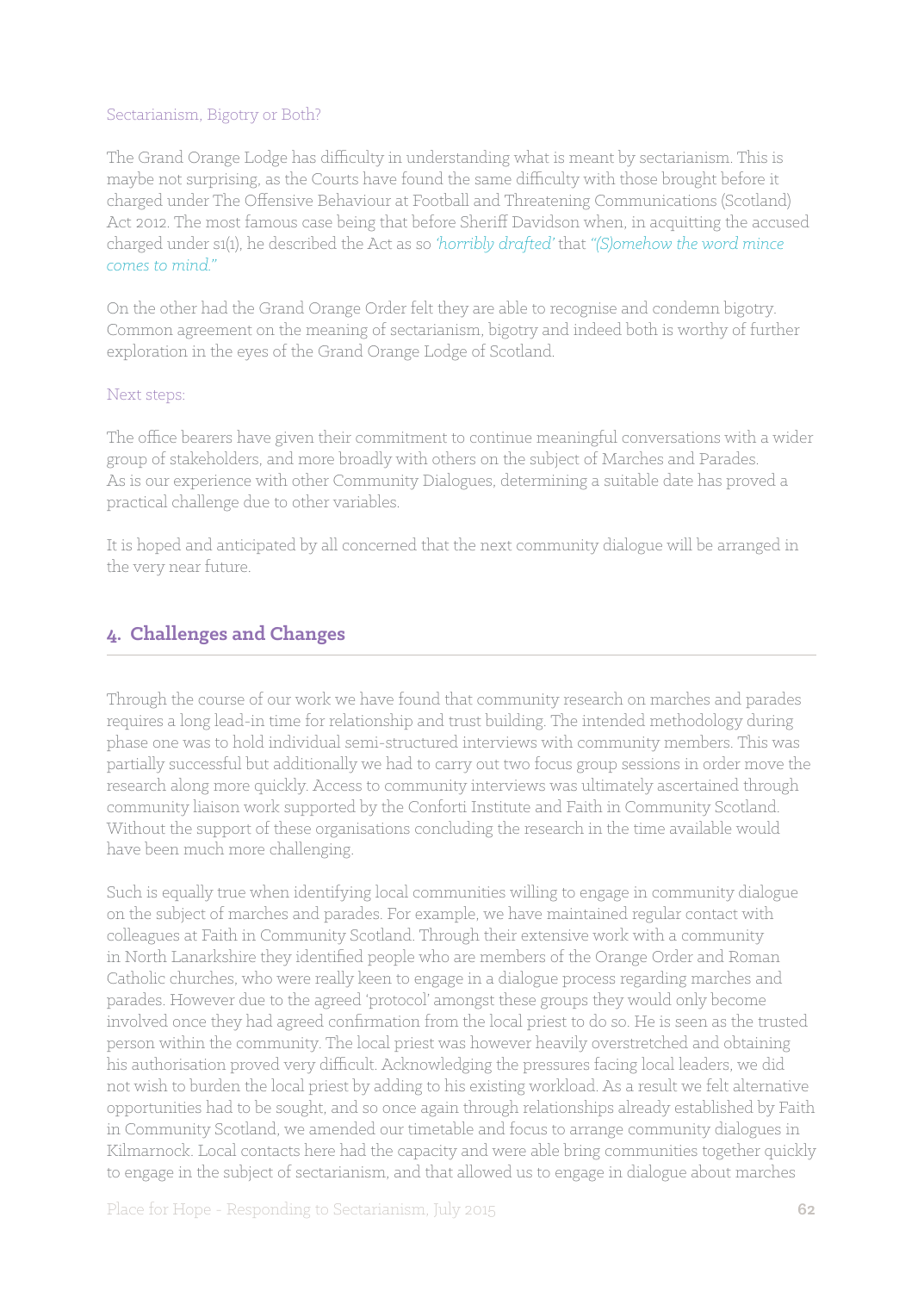#### Sectarianism, Bigotry or Both?

The Grand Orange Lodge has difficulty in understanding what is meant by sectarianism. This is maybe not surprising, as the Courts have found the same difficulty with those brought before it charged under The Offensive Behaviour at Football and Threatening Communications (Scotland) Act 2012. The most famous case being that before Sheriff Davidson when, in acquitting the accused charged under s1(1), he described the Act as so *'horribly drafted'* that *"(S)omehow the word mince comes to mind."* 

On the other had the Grand Orange Order felt they are able to recognise and condemn bigotry. Common agreement on the meaning of sectarianism, bigotry and indeed both is worthy of further exploration in the eyes of the Grand Orange Lodge of Scotland.

#### Next steps:

The office bearers have given their commitment to continue meaningful conversations with a wider group of stakeholders, and more broadly with others on the subject of Marches and Parades. As is our experience with other Community Dialogues, determining a suitable date has proved a practical challenge due to other variables.

It is hoped and anticipated by all concerned that the next community dialogue will be arranged in the very near future.

## **4. Challenges and Changes**

Through the course of our work we have found that community research on marches and parades requires a long lead-in time for relationship and trust building. The intended methodology during phase one was to hold individual semi-structured interviews with community members. This was partially successful but additionally we had to carry out two focus group sessions in order move the research along more quickly. Access to community interviews was ultimately ascertained through community liaison work supported by the Conforti Institute and Faith in Community Scotland. Without the support of these organisations concluding the research in the time available would have been much more challenging.

Such is equally true when identifying local communities willing to engage in community dialogue on the subject of marches and parades. For example, we have maintained regular contact with colleagues at Faith in Community Scotland. Through their extensive work with a community in North Lanarkshire they identified people who are members of the Orange Order and Roman Catholic churches, who were really keen to engage in a dialogue process regarding marches and parades. However due to the agreed 'protocol' amongst these groups they would only become involved once they had agreed confirmation from the local priest to do so. He is seen as the trusted person within the community. The local priest was however heavily overstretched and obtaining his authorisation proved very difficult. Acknowledging the pressures facing local leaders, we did not wish to burden the local priest by adding to his existing workload. As a result we felt alternative opportunities had to be sought, and so once again through relationships already established by Faith in Community Scotland, we amended our timetable and focus to arrange community dialogues in Kilmarnock. Local contacts here had the capacity and were able bring communities together quickly to engage in the subject of sectarianism, and that allowed us to engage in dialogue about marches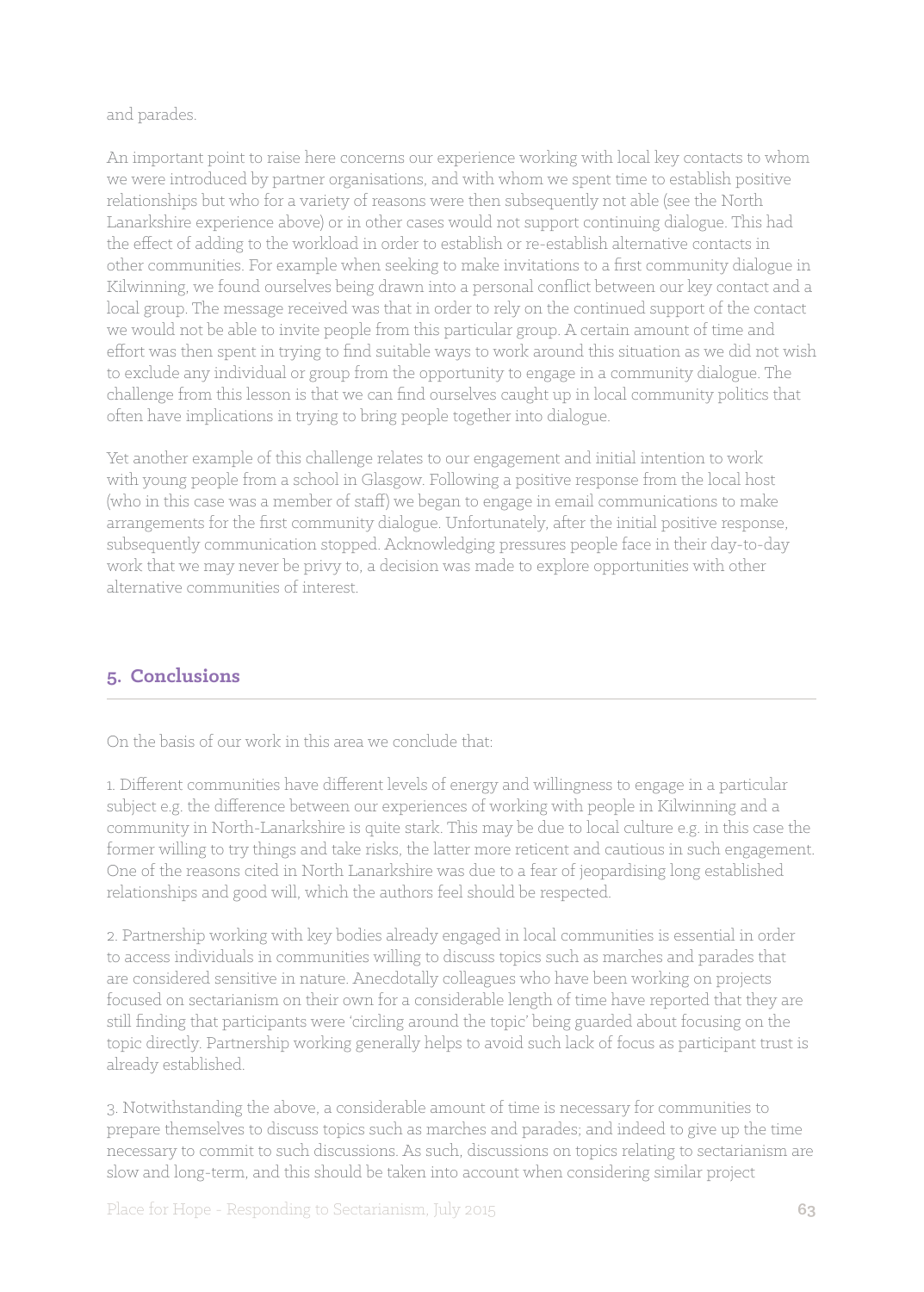#### and parades.

An important point to raise here concerns our experience working with local key contacts to whom we were introduced by partner organisations, and with whom we spent time to establish positive relationships but who for a variety of reasons were then subsequently not able (see the North Lanarkshire experience above) or in other cases would not support continuing dialogue. This had the effect of adding to the workload in order to establish or re-establish alternative contacts in other communities. For example when seeking to make invitations to a first community dialogue in Kilwinning, we found ourselves being drawn into a personal conflict between our key contact and a local group. The message received was that in order to rely on the continued support of the contact we would not be able to invite people from this particular group. A certain amount of time and effort was then spent in trying to find suitable ways to work around this situation as we did not wish to exclude any individual or group from the opportunity to engage in a community dialogue. The challenge from this lesson is that we can find ourselves caught up in local community politics that often have implications in trying to bring people together into dialogue.

Yet another example of this challenge relates to our engagement and initial intention to work with young people from a school in Glasgow. Following a positive response from the local host (who in this case was a member of staff) we began to engage in email communications to make arrangements for the first community dialogue. Unfortunately, after the initial positive response, subsequently communication stopped. Acknowledging pressures people face in their day-to-day work that we may never be privy to, a decision was made to explore opportunities with other alternative communities of interest.

## **5. Conclusions**

On the basis of our work in this area we conclude that:

1. Different communities have different levels of energy and willingness to engage in a particular subject e.g. the difference between our experiences of working with people in Kilwinning and a community in North-Lanarkshire is quite stark. This may be due to local culture e.g. in this case the former willing to try things and take risks, the latter more reticent and cautious in such engagement. One of the reasons cited in North Lanarkshire was due to a fear of jeopardising long established relationships and good will, which the authors feel should be respected.

2. Partnership working with key bodies already engaged in local communities is essential in order to access individuals in communities willing to discuss topics such as marches and parades that are considered sensitive in nature. Anecdotally colleagues who have been working on projects focused on sectarianism on their own for a considerable length of time have reported that they are still finding that participants were 'circling around the topic' being guarded about focusing on the topic directly. Partnership working generally helps to avoid such lack of focus as participant trust is already established.

3. Notwithstanding the above, a considerable amount of time is necessary for communities to prepare themselves to discuss topics such as marches and parades; and indeed to give up the time necessary to commit to such discussions. As such, discussions on topics relating to sectarianism are slow and long-term, and this should be taken into account when considering similar project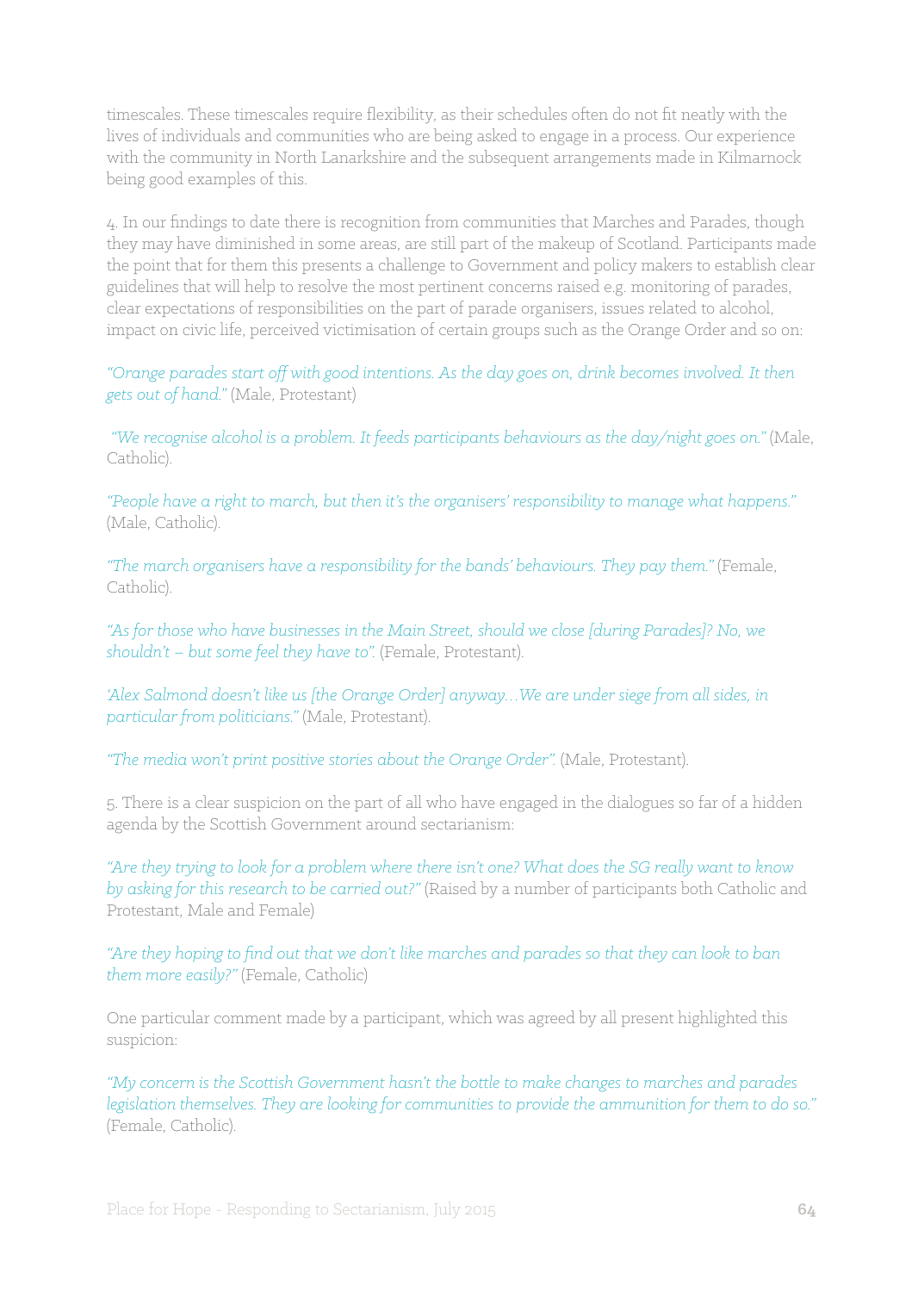timescales. These timescales require flexibility, as their schedules often do not fit neatly with the lives of individuals and communities who are being asked to engage in a process. Our experience with the community in North Lanarkshire and the subsequent arrangements made in Kilmarnock being good examples of this.

4. In our findings to date there is recognition from communities that Marches and Parades, though they may have diminished in some areas, are still part of the makeup of Scotland. Participants made the point that for them this presents a challenge to Government and policy makers to establish clear guidelines that will help to resolve the most pertinent concerns raised e.g. monitoring of parades, clear expectations of responsibilities on the part of parade organisers, issues related to alcohol, impact on civic life, perceived victimisation of certain groups such as the Orange Order and so on:

*"Orange parades start off with good intentions. As the day goes on, drink becomes involved. It then gets out of hand."* (Male, Protestant)

*"We recognise alcohol is a problem. It feeds participants behaviours as the day/night goes on."* (Male, Catholic).

*"People have a right to march, but then it's the organisers' responsibility to manage what happens."*  (Male, Catholic).

*"The march organisers have a responsibility for the bands' behaviours. They pay them."* (Female, Catholic).

*"As for those who have businesses in the Main Street, should we close [during Parades]? No, we shouldn't – but some feel they have to".* (Female, Protestant).

*'Alex Salmond doesn't like us [the Orange Order] anyway…We are under siege from all sides, in particular from politicians."* (Male, Protestant).

"The media won't print positive stories about the Orange Order". (Male, Protestant).

5. There is a clear suspicion on the part of all who have engaged in the dialogues so far of a hidden agenda by the Scottish Government around sectarianism:

*"Are they trying to look for a problem where there isn't one? What does the SG really want to know by asking for this research to be carried out?"* (Raised by a number of participants both Catholic and Protestant, Male and Female)

*"Are they hoping to find out that we don't like marches and parades so that they can look to ban them more easily?"* (Female, Catholic)

One particular comment made by a participant, which was agreed by all present highlighted this suspicion:

*"My concern is the Scottish Government hasn't the bottle to make changes to marches and parades legislation themselves. They are looking for communities to provide the ammunition for them to do so."*  (Female, Catholic).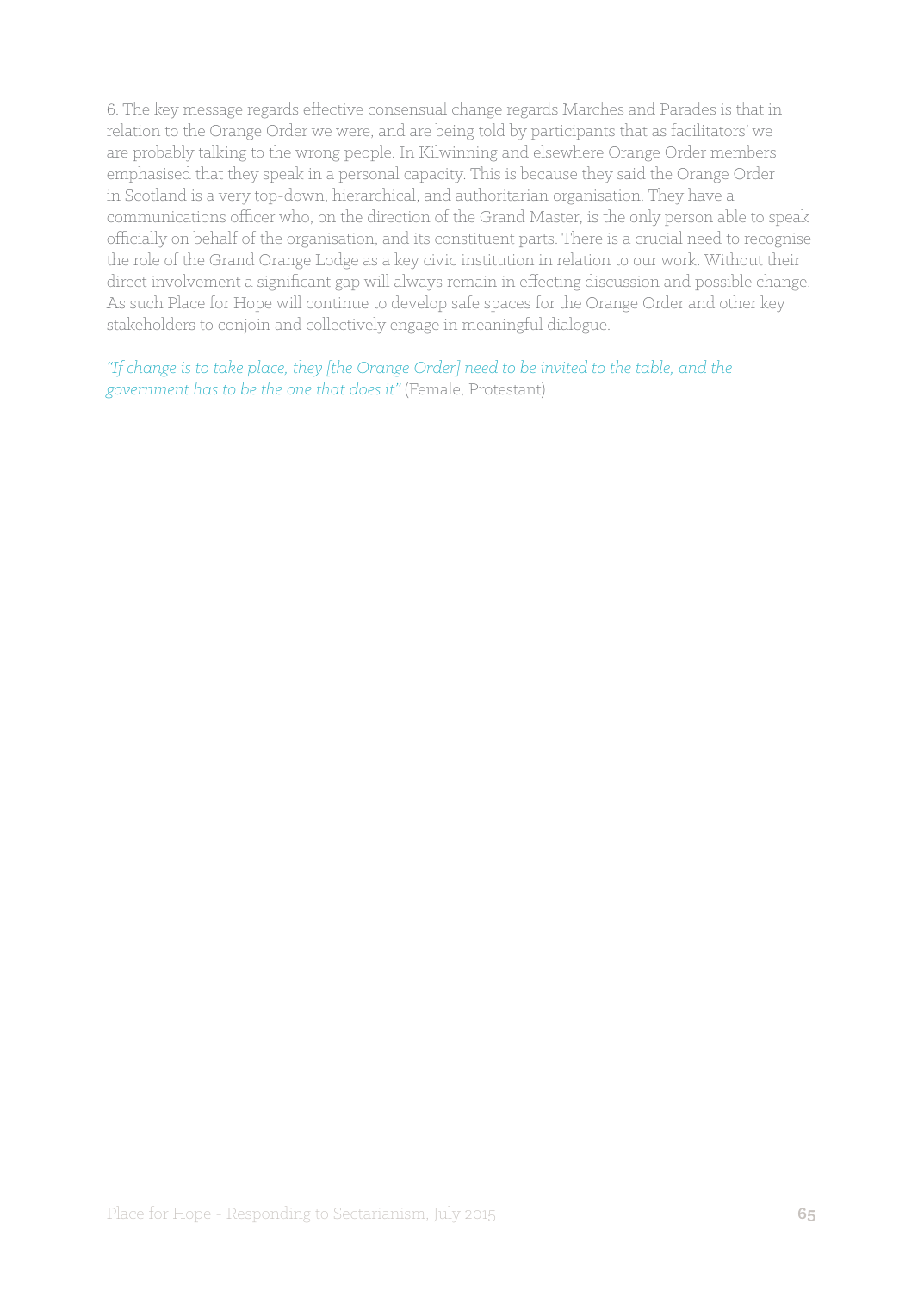6. The key message regards effective consensual change regards Marches and Parades is that in relation to the Orange Order we were, and are being told by participants that as facilitators' we are probably talking to the wrong people. In Kilwinning and elsewhere Orange Order members emphasised that they speak in a personal capacity. This is because they said the Orange Order in Scotland is a very top-down, hierarchical, and authoritarian organisation. They have a communications officer who, on the direction of the Grand Master, is the only person able to speak officially on behalf of the organisation, and its constituent parts. There is a crucial need to recognise the role of the Grand Orange Lodge as a key civic institution in relation to our work. Without their direct involvement a significant gap will always remain in effecting discussion and possible change. As such Place for Hope will continue to develop safe spaces for the Orange Order and other key stakeholders to conjoin and collectively engage in meaningful dialogue.

*"If change is to take place, they [the Orange Order] need to be invited to the table, and the government has to be the one that does it"* (Female, Protestant)